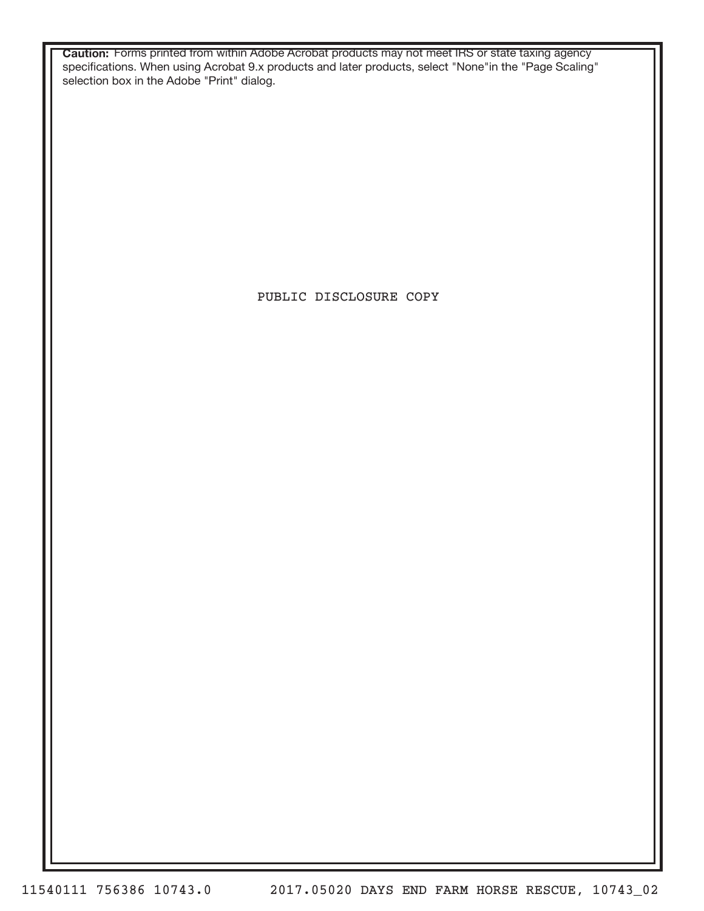**Caution:** Forms printed from within Adobe Acrobat products may not meet IRS or state taxing agency specifications. When using Acrobat 9.x products and later products, select "None"in the "Page Scaling" selection box in the Adobe "Print" dialog.

PUBLIC DISCLOSURE COPY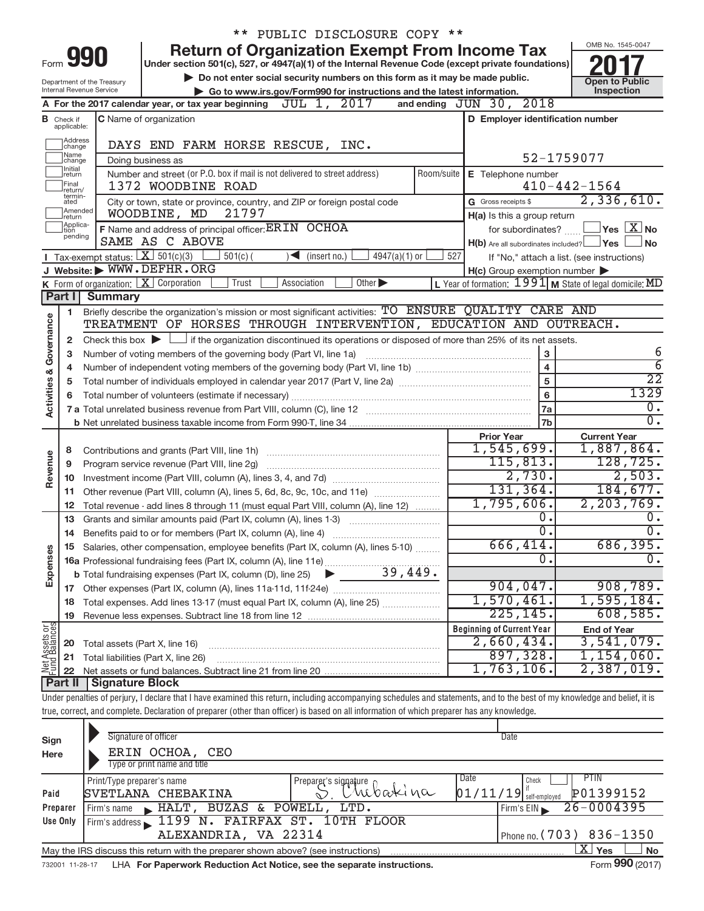|                         |                                  |                                    |                                                                                                                                                                            | ** PUBLIC DISCLOSURE COPY **                                                |     |                                                     |                                                                      |
|-------------------------|----------------------------------|------------------------------------|----------------------------------------------------------------------------------------------------------------------------------------------------------------------------|-----------------------------------------------------------------------------|-----|-----------------------------------------------------|----------------------------------------------------------------------|
|                         |                                  |                                    |                                                                                                                                                                            | <b>Return of Organization Exempt From Income Tax</b>                        |     |                                                     | OMB No. 1545-0047                                                    |
| Form                    |                                  | 990                                | Under section 501(c), 527, or 4947(a)(1) of the Internal Revenue Code (except private foundations)                                                                         |                                                                             |     |                                                     |                                                                      |
|                         |                                  | Department of the Treasury         |                                                                                                                                                                            | Do not enter social security numbers on this form as it may be made public. |     |                                                     | <b>Open to Public</b>                                                |
|                         |                                  | Internal Revenue Service           |                                                                                                                                                                            | Go to www.irs.gov/Form990 for instructions and the latest information.      |     |                                                     | Inspection                                                           |
|                         |                                  |                                    | A For the 2017 calendar year, or tax year beginning $JUL$ 1, $2017$                                                                                                        |                                                                             |     | and ending JUN 30, 2018                             |                                                                      |
|                         | <b>B</b> Check if<br>applicable: |                                    | C Name of organization                                                                                                                                                     |                                                                             |     | D Employer identification number                    |                                                                      |
|                         | Address<br>change                |                                    | DAYS END FARM HORSE RESCUE, INC.                                                                                                                                           |                                                                             |     |                                                     |                                                                      |
|                         | Name<br>change                   |                                    | Doing business as                                                                                                                                                          |                                                                             |     |                                                     | 52-1759077                                                           |
|                         | Initial<br>return                |                                    | Number and street (or P.O. box if mail is not delivered to street address)                                                                                                 |                                                                             |     | Room/suite   E Telephone number                     |                                                                      |
|                         | Final<br>return/<br>termin-      |                                    | 1372 WOODBINE ROAD                                                                                                                                                         |                                                                             |     |                                                     | $410 - 442 - 1564$                                                   |
|                         | ated<br>Amended<br>return        |                                    | City or town, state or province, country, and ZIP or foreign postal code<br>WOODBINE, MD<br>21797                                                                          |                                                                             |     | G Gross receipts \$<br>H(a) Is this a group return  | 2,336,610.                                                           |
|                         | Applica-<br>tion                 |                                    | F Name and address of principal officer: ERIN OCHOA                                                                                                                        |                                                                             |     |                                                     | for subordinates? $\boxed{\phantom{a}}$ Yes $\boxed{\phantom{a}}$ No |
|                         | pending                          |                                    | SAME AS C ABOVE                                                                                                                                                            |                                                                             |     | $H(b)$ Are all subordinates included? $\Box$ Yes    | l No                                                                 |
|                         |                                  | Tax-exempt status: $X \ 501(c)(3)$ | $501(c)$ (                                                                                                                                                                 | 4947(a)(1) or<br>$\sum$ (insert no.)                                        | 527 |                                                     | If "No," attach a list. (see instructions)                           |
|                         |                                  |                                    | J Website: WWW.DEFHR.ORG                                                                                                                                                   |                                                                             |     | $H(c)$ Group exemption number $\blacktriangleright$ |                                                                      |
|                         |                                  |                                    | <b>K</b> Form of organization: $\boxed{\mathbf{X}}$ Corporation<br>Trust                                                                                                   | Other $\blacktriangleright$<br>Association                                  |     |                                                     | L Year of formation: $1991$ M State of legal domicile: MD            |
|                         | Part II                          | <b>Summary</b>                     |                                                                                                                                                                            |                                                                             |     |                                                     |                                                                      |
|                         | 1                                |                                    | Briefly describe the organization's mission or most significant activities: TO ENSURE QUALITY CARE AND                                                                     |                                                                             |     |                                                     |                                                                      |
|                         |                                  |                                    | TREATMENT OF HORSES THROUGH INTERVENTION, EDUCATION AND OUTREACH.                                                                                                          |                                                                             |     |                                                     |                                                                      |
|                         | $\mathbf{2}$                     |                                    | Check this box $\blacktriangleright$ $\Box$ if the organization discontinued its operations or disposed of more than 25% of its net assets.                                |                                                                             |     |                                                     |                                                                      |
|                         | 3                                |                                    | Number of voting members of the governing body (Part VI, line 1a)                                                                                                          |                                                                             |     | $\mathbf 3$<br>$\overline{4}$                       | 6<br>$\overline{6}$                                                  |
|                         | 4                                |                                    |                                                                                                                                                                            |                                                                             |     | 5                                                   | $\overline{22}$                                                      |
|                         | 5                                |                                    |                                                                                                                                                                            |                                                                             | 6   | 1329                                                |                                                                      |
| Activities & Governance | 6                                |                                    |                                                                                                                                                                            |                                                                             | 7a  | Ο.                                                  |                                                                      |
|                         |                                  |                                    |                                                                                                                                                                            |                                                                             |     | 7b                                                  | σ.                                                                   |
|                         |                                  |                                    |                                                                                                                                                                            |                                                                             |     | <b>Prior Year</b>                                   | <b>Current Year</b>                                                  |
|                         | 8                                |                                    |                                                                                                                                                                            |                                                                             |     | 1,545,699.                                          | 1,887,864.                                                           |
|                         | 9                                |                                    |                                                                                                                                                                            |                                                                             |     | 115, 813.                                           | 128, 725.                                                            |
| Revenue                 | 10                               |                                    |                                                                                                                                                                            |                                                                             |     | 2,730.                                              | 2,503.                                                               |
|                         | 11                               |                                    | Other revenue (Part VIII, column (A), lines 5, 6d, 8c, 9c, 10c, and 11e)                                                                                                   |                                                                             |     | 131,364.                                            | 184,677.                                                             |
|                         | 12                               |                                    | Total revenue - add lines 8 through 11 (must equal Part VIII, column (A), line 12)                                                                                         |                                                                             |     | 1,795,606.                                          | 2, 203, 769.                                                         |
|                         | 13                               |                                    | Grants and similar amounts paid (Part IX, column (A), lines 1-3)                                                                                                           | <u> 1986 - Januar Stein, martin a</u>                                       |     | 0.                                                  | 0.                                                                   |
|                         | 14                               |                                    | Benefits paid to or for members (Part IX, column (A), line 4)                                                                                                              |                                                                             |     | $\overline{0}$ .                                    | $\overline{0}$ .                                                     |
|                         |                                  |                                    | 15 Salaries, other compensation, employee benefits (Part IX, column (A), lines 5-10)                                                                                       |                                                                             |     | 666,414.<br>0                                       | 686,395.                                                             |
|                         |                                  |                                    |                                                                                                                                                                            |                                                                             |     |                                                     |                                                                      |
| Expenses                |                                  |                                    |                                                                                                                                                                            |                                                                             |     | 904,047.                                            | 908,789.                                                             |
|                         | 18                               |                                    | Total expenses. Add lines 13-17 (must equal Part IX, column (A), line 25)                                                                                                  |                                                                             |     | 1,570,461.                                          | 1,595,184.                                                           |
|                         | 19                               |                                    |                                                                                                                                                                            |                                                                             |     | 225, 145.                                           | 608,585.                                                             |
|                         |                                  |                                    |                                                                                                                                                                            |                                                                             |     | <b>Beginning of Current Year</b>                    | <b>End of Year</b>                                                   |
| Net Assets or           | 20                               | Total assets (Part X, line 16)     |                                                                                                                                                                            |                                                                             |     | 2,660,434.                                          | 3,541,079.                                                           |
|                         | 21                               |                                    | Total liabilities (Part X, line 26)                                                                                                                                        |                                                                             |     | 897,328.                                            | 1,154,060.                                                           |
|                         | 22                               |                                    |                                                                                                                                                                            |                                                                             |     | 1,763,106.                                          | 2,387,019.                                                           |
|                         | <b>Part II</b>                   | Signature Block                    |                                                                                                                                                                            |                                                                             |     |                                                     |                                                                      |
|                         |                                  |                                    | Under penalties of perjury, I declare that I have examined this return, including accompanying schedules and statements, and to the best of my knowledge and belief, it is |                                                                             |     |                                                     |                                                                      |
|                         |                                  |                                    | true, correct, and complete. Declaration of preparer (other than officer) is based on all information of which preparer has any knowledge.                                 |                                                                             |     |                                                     |                                                                      |
|                         |                                  |                                    |                                                                                                                                                                            |                                                                             |     |                                                     |                                                                      |
| Sign                    |                                  |                                    | Signature of officer                                                                                                                                                       |                                                                             |     | Date                                                |                                                                      |
| Here                    |                                  |                                    | ERIN OCHOA,<br>CEO                                                                                                                                                         |                                                                             |     |                                                     |                                                                      |
|                         |                                  |                                    | Type or print name and title                                                                                                                                               |                                                                             |     | Date                                                | PTIN                                                                 |
| Paid                    |                                  | Print/Type preparer's name         | SVETLANA CHEBAKINA                                                                                                                                                         | Preparer's signature bakina                                                 |     | Check<br>$01/11/19$ self-employed                   | P01399152                                                            |
|                         |                                  |                                    |                                                                                                                                                                            |                                                                             |     |                                                     |                                                                      |

|                                                                                                         |                                                                                                                                                                                                                                                        |                                               | <b>UUII UIII PIUTUTU</b>   |                |  |  |  |  |  |
|---------------------------------------------------------------------------------------------------------|--------------------------------------------------------------------------------------------------------------------------------------------------------------------------------------------------------------------------------------------------------|-----------------------------------------------|----------------------------|----------------|--|--|--|--|--|
|                                                                                                         | Preparer                                                                                                                                                                                                                                               | HALT, BUZAS & POWELL, LTD.<br>Firm's name     | Firm's EIN                 | $26 - 0004395$ |  |  |  |  |  |
|                                                                                                         | Use Only                                                                                                                                                                                                                                               | Firm's address 1199 N. FAIRFAX ST. 10TH FLOOR |                            |                |  |  |  |  |  |
|                                                                                                         |                                                                                                                                                                                                                                                        | ALEXANDRIA, VA 22314                          | I Phone no. (703) 836-1350 |                |  |  |  |  |  |
| <b>No</b><br>X∣Yes<br>May the IRS discuss this return with the preparer shown above? (see instructions) |                                                                                                                                                                                                                                                        |                                               |                            |                |  |  |  |  |  |
|                                                                                                         | $F = 000 \text{ m/s}$<br>and a comparison of the the first property of the decision for the comparison of the comparison of the second second second second second second second second second second second second second second second second second |                                               |                            |                |  |  |  |  |  |

732001 11-28-17 **For Paperwork Reduction Act Notice, see the separate instructions.**  LHA Form (2017)

**990**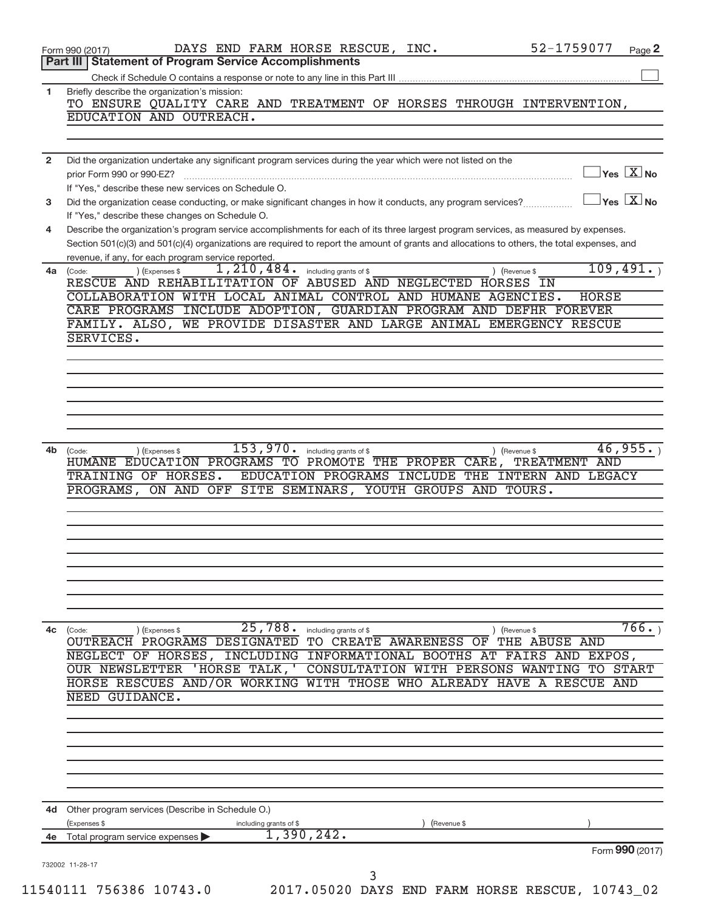|                | 52-1759077<br>DAYS END FARM HORSE RESCUE, INC.<br>Form 990 (2017)<br>Page 2                                                                                                                                                   |
|----------------|-------------------------------------------------------------------------------------------------------------------------------------------------------------------------------------------------------------------------------|
|                | <b>Statement of Program Service Accomplishments</b><br>Part III                                                                                                                                                               |
|                |                                                                                                                                                                                                                               |
| 1              | Briefly describe the organization's mission:<br>TO ENSURE QUALITY CARE AND TREATMENT OF HORSES THROUGH INTERVENTION,                                                                                                          |
|                | EDUCATION AND OUTREACH.                                                                                                                                                                                                       |
|                |                                                                                                                                                                                                                               |
| $\overline{2}$ | Did the organization undertake any significant program services during the year which were not listed on the<br>$\sqrt{\mathsf{Yes}\ \mathsf{X}}$ No<br>prior Form 990 or 990-EZ?                                             |
|                | If "Yes," describe these new services on Schedule O.                                                                                                                                                                          |
| 3              | $\gamma$ es $\boxed{\text{X}}$ No<br>Did the organization cease conducting, or make significant changes in how it conducts, any program services?                                                                             |
| 4              | If "Yes," describe these changes on Schedule O.<br>Describe the organization's program service accomplishments for each of its three largest program services, as measured by expenses.                                       |
|                | Section 501(c)(3) and 501(c)(4) organizations are required to report the amount of grants and allocations to others, the total expenses, and                                                                                  |
| 4a             | revenue, if any, for each program service reported.<br>109,491.<br>1,210,484.<br>including grants of \$<br>) (Expenses \$<br>) (Revenue \$<br>(Code:                                                                          |
|                | RESCUE AND REHABILITATION OF ABUSED AND NEGLECTED HORSES<br>ΙN                                                                                                                                                                |
|                | COLLABORATION WITH LOCAL ANIMAL CONTROL AND HUMANE AGENCIES.<br><b>HORSE</b><br>CARE PROGRAMS INCLUDE ADOPTION, GUARDIAN PROGRAM AND DEFHR FOREVER                                                                            |
|                | WE PROVIDE DISASTER AND LARGE ANIMAL EMERGENCY RESCUE<br>FAMILY. ALSO,                                                                                                                                                        |
|                | SERVICES.                                                                                                                                                                                                                     |
|                |                                                                                                                                                                                                                               |
|                |                                                                                                                                                                                                                               |
|                |                                                                                                                                                                                                                               |
|                |                                                                                                                                                                                                                               |
|                |                                                                                                                                                                                                                               |
| 4b             | 153,970.<br>46,955.<br>) (Expenses \$<br>including grants of \$<br>(Revenue \$<br>(Code:                                                                                                                                      |
|                | EDUCATION PROGRAMS TO PROMOTE THE PROPER CARE,<br>TREATMENT AND<br>HUMANE                                                                                                                                                     |
|                | EDUCATION PROGRAMS INCLUDE THE INTERN AND LEGACY<br>TRAINING OF HORSES.                                                                                                                                                       |
|                | ON AND OFF SITE SEMINARS,<br>YOUTH GROUPS AND TOURS.<br>PROGRAMS,                                                                                                                                                             |
|                |                                                                                                                                                                                                                               |
|                |                                                                                                                                                                                                                               |
|                |                                                                                                                                                                                                                               |
|                |                                                                                                                                                                                                                               |
|                |                                                                                                                                                                                                                               |
|                |                                                                                                                                                                                                                               |
| 4c             | 766.<br>25,788.<br>including grants of \$<br>) (Revenue \$<br>(Code:<br>) (Expenses \$                                                                                                                                        |
|                | OUTREACH PROGRAMS DESIGNATED TO CREATE AWARENESS OF<br>THE ABUSE AND                                                                                                                                                          |
|                | NEGLECT OF HORSES, INCLUDING INFORMATIONAL BOOTHS AT FAIRS<br>AND<br>EXPOS,                                                                                                                                                   |
|                | 'HORSE TALK, '<br><b>OUR NEWSLETTER</b><br><b>CONSULTATION</b><br><b>WITH PERSONS</b><br><b>START</b><br>WANTING<br>TО<br>HORSE RESCUES AND/OR WORKING WITH THOSE<br>WHO ALREADY HAVE<br>$\mathbf{A}$<br><b>RESCUE</b><br>AND |
|                | NEED GUIDANCE.                                                                                                                                                                                                                |
|                |                                                                                                                                                                                                                               |
|                |                                                                                                                                                                                                                               |
|                |                                                                                                                                                                                                                               |
|                |                                                                                                                                                                                                                               |
|                |                                                                                                                                                                                                                               |
|                | 4d Other program services (Describe in Schedule O.)                                                                                                                                                                           |
|                | (Expenses \$<br>including grants of \$<br>(Revenue \$                                                                                                                                                                         |
| 4е             | 1,390,242.<br>Total program service expenses                                                                                                                                                                                  |
|                | Form 990 (2017)                                                                                                                                                                                                               |
|                | 732002 11-28-17<br>3                                                                                                                                                                                                          |
|                | 11540111 756386 10743.0<br>2017.05020 DAYS END FARM HORSE RESCUE, 10743_02                                                                                                                                                    |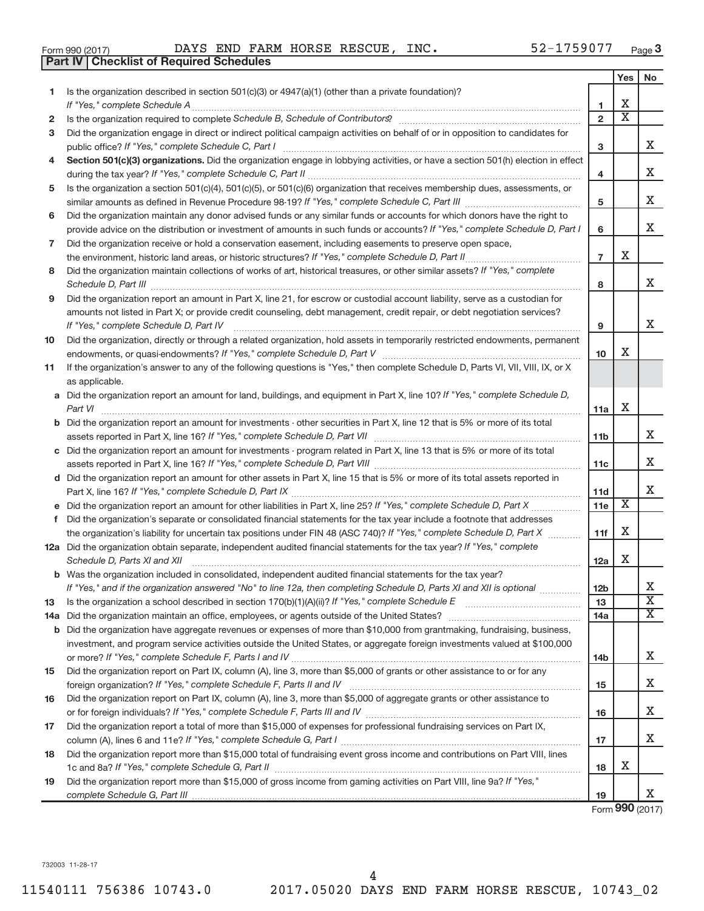|  | Form 990 (2017) |
|--|-----------------|
|  |                 |

Form 990 (2017) Page DAYS END FARM HORSE RESCUE, INC. 52-1759077

|     | <b>Checklist of Required Schedules</b><br><b>Part IV</b>                                                                                                                                                                           |                 |                         |                         |
|-----|------------------------------------------------------------------------------------------------------------------------------------------------------------------------------------------------------------------------------------|-----------------|-------------------------|-------------------------|
|     |                                                                                                                                                                                                                                    |                 | Yes                     | No                      |
| 1   | Is the organization described in section 501(c)(3) or 4947(a)(1) (other than a private foundation)?                                                                                                                                |                 |                         |                         |
|     |                                                                                                                                                                                                                                    | 1               | х                       |                         |
| 2   | Is the organization required to complete Schedule B, Schedule of Contributors? [11] The organization required to complete Schedule B, Schedule of Contributors?                                                                    | $\overline{2}$  | $\overline{\textbf{x}}$ |                         |
| з   | Did the organization engage in direct or indirect political campaign activities on behalf of or in opposition to candidates for                                                                                                    |                 |                         |                         |
|     |                                                                                                                                                                                                                                    | з               |                         | x                       |
| 4   | Section 501(c)(3) organizations. Did the organization engage in lobbying activities, or have a section 501(h) election in effect                                                                                                   |                 |                         |                         |
|     |                                                                                                                                                                                                                                    | 4               |                         | x                       |
| 5   | Is the organization a section 501(c)(4), 501(c)(5), or 501(c)(6) organization that receives membership dues, assessments, or                                                                                                       |                 |                         |                         |
|     |                                                                                                                                                                                                                                    | 5               |                         | х                       |
| 6   | Did the organization maintain any donor advised funds or any similar funds or accounts for which donors have the right to                                                                                                          |                 |                         |                         |
|     | provide advice on the distribution or investment of amounts in such funds or accounts? If "Yes," complete Schedule D, Part I                                                                                                       | 6               |                         | x                       |
|     |                                                                                                                                                                                                                                    |                 |                         |                         |
| 7   | Did the organization receive or hold a conservation easement, including easements to preserve open space,                                                                                                                          | $\overline{7}$  | X                       |                         |
|     |                                                                                                                                                                                                                                    |                 |                         |                         |
| 8   | Did the organization maintain collections of works of art, historical treasures, or other similar assets? If "Yes," complete                                                                                                       |                 |                         | x                       |
|     | Schedule D, Part III <b>Martin Communication</b> and the Contract of Part III and the Contract of Contract of Contract of Contract of Contract of Contract of Contract of Contract of Contract of Contract of Contract of Contract | 8               |                         |                         |
| 9   | Did the organization report an amount in Part X, line 21, for escrow or custodial account liability, serve as a custodian for                                                                                                      |                 |                         |                         |
|     | amounts not listed in Part X; or provide credit counseling, debt management, credit repair, or debt negotiation services?                                                                                                          |                 |                         |                         |
|     | If "Yes," complete Schedule D, Part IV                                                                                                                                                                                             | 9               |                         | x                       |
| 10  | Did the organization, directly or through a related organization, hold assets in temporarily restricted endowments, permanent                                                                                                      |                 |                         |                         |
|     |                                                                                                                                                                                                                                    | 10 <sup>1</sup> | х                       |                         |
| 11  | If the organization's answer to any of the following questions is "Yes," then complete Schedule D, Parts VI, VII, VIII, IX, or X                                                                                                   |                 |                         |                         |
|     | as applicable.                                                                                                                                                                                                                     |                 |                         |                         |
|     | a Did the organization report an amount for land, buildings, and equipment in Part X, line 10? If "Yes," complete Schedule D,                                                                                                      |                 |                         |                         |
|     | Part VI                                                                                                                                                                                                                            | 11a             | х                       |                         |
|     | <b>b</b> Did the organization report an amount for investments - other securities in Part X, line 12 that is 5% or more of its total                                                                                               |                 |                         |                         |
|     |                                                                                                                                                                                                                                    | 11 <sub>b</sub> |                         | X                       |
|     | c Did the organization report an amount for investments - program related in Part X, line 13 that is 5% or more of its total                                                                                                       |                 |                         |                         |
|     |                                                                                                                                                                                                                                    | 11c             |                         | х                       |
|     | d Did the organization report an amount for other assets in Part X, line 15 that is 5% or more of its total assets reported in                                                                                                     |                 |                         |                         |
|     |                                                                                                                                                                                                                                    | 11d             |                         | х                       |
|     |                                                                                                                                                                                                                                    | 11e             | X                       |                         |
|     | f Did the organization's separate or consolidated financial statements for the tax year include a footnote that addresses                                                                                                          |                 |                         |                         |
|     | the organization's liability for uncertain tax positions under FIN 48 (ASC 740)? If "Yes," complete Schedule D, Part X                                                                                                             | 11f             | х                       |                         |
|     | 12a Did the organization obtain separate, independent audited financial statements for the tax year? If "Yes," complete                                                                                                            |                 |                         |                         |
|     | Schedule D, Parts XI and XII                                                                                                                                                                                                       | 12a             | х                       |                         |
|     | <b>b</b> Was the organization included in consolidated, independent audited financial statements for the tax year?                                                                                                                 |                 |                         |                         |
|     | If "Yes," and if the organization answered "No" to line 12a, then completing Schedule D, Parts XI and XII is optional                                                                                                              | 12 <sub>b</sub> |                         | x                       |
| 13  |                                                                                                                                                                                                                                    | 13              |                         | $\overline{\textbf{X}}$ |
| 14a |                                                                                                                                                                                                                                    | 14a             |                         | $\overline{\mathbf{x}}$ |
|     | <b>b</b> Did the organization have aggregate revenues or expenses of more than \$10,000 from grantmaking, fundraising, business,                                                                                                   |                 |                         |                         |
|     | investment, and program service activities outside the United States, or aggregate foreign investments valued at \$100,000                                                                                                         |                 |                         |                         |
|     |                                                                                                                                                                                                                                    | 14 <sub>b</sub> |                         | X                       |
| 15  | Did the organization report on Part IX, column (A), line 3, more than \$5,000 of grants or other assistance to or for any                                                                                                          |                 |                         |                         |
|     |                                                                                                                                                                                                                                    | 15              |                         | X                       |
| 16  | Did the organization report on Part IX, column (A), line 3, more than \$5,000 of aggregate grants or other assistance to                                                                                                           |                 |                         |                         |
|     |                                                                                                                                                                                                                                    | 16              |                         | х                       |
| 17  | Did the organization report a total of more than \$15,000 of expenses for professional fundraising services on Part IX,                                                                                                            |                 |                         |                         |
|     |                                                                                                                                                                                                                                    | 17              |                         | X                       |
| 18  | Did the organization report more than \$15,000 total of fundraising event gross income and contributions on Part VIII, lines                                                                                                       |                 |                         |                         |
|     |                                                                                                                                                                                                                                    | 18              | х                       |                         |
| 19  | Did the organization report more than \$15,000 of gross income from gaming activities on Part VIII, line 9a? If "Yes,"                                                                                                             |                 |                         |                         |
|     |                                                                                                                                                                                                                                    | 19              |                         | X                       |
|     |                                                                                                                                                                                                                                    |                 |                         |                         |

Form **990** (2017)

732003 11-28-17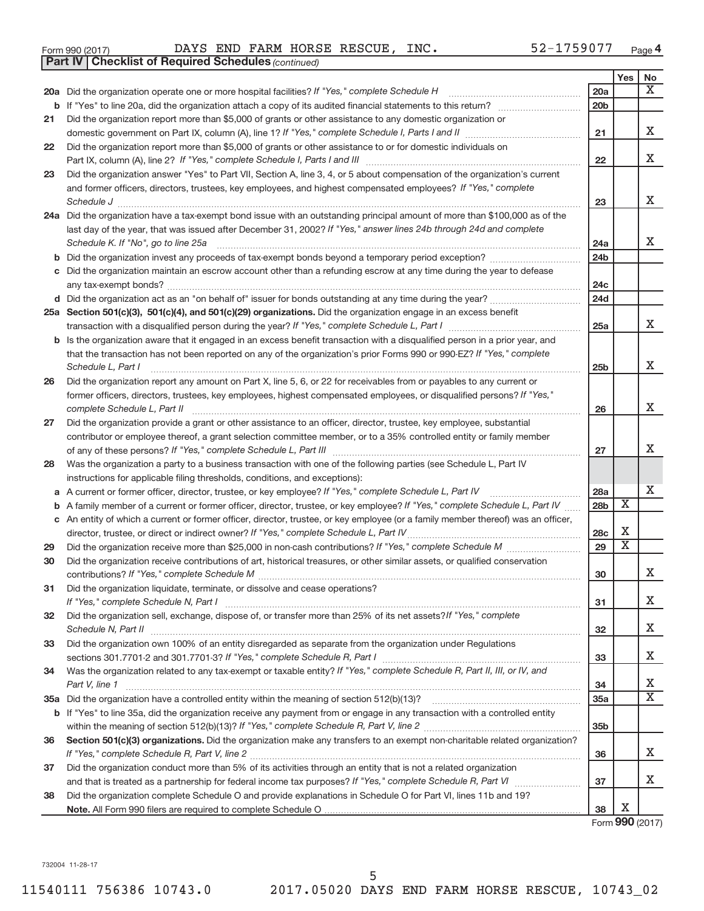|  | Form 990 (2017) |
|--|-----------------|
|  |                 |

Form 990 (2017) Page DAYS END FARM HORSE RESCUE, INC. 52-1759077

|    | <b>Part IV   Checklist of Required Schedules</b> (continued)                                                                      |                 |                         |    |
|----|-----------------------------------------------------------------------------------------------------------------------------------|-----------------|-------------------------|----|
|    |                                                                                                                                   |                 | Yes                     | No |
|    | 20a Did the organization operate one or more hospital facilities? If "Yes," complete Schedule H                                   | 20a             |                         | X  |
| b  |                                                                                                                                   | 20 <sub>b</sub> |                         |    |
| 21 | Did the organization report more than \$5,000 of grants or other assistance to any domestic organization or                       |                 |                         |    |
|    |                                                                                                                                   | 21              |                         | X  |
| 22 | Did the organization report more than \$5,000 of grants or other assistance to or for domestic individuals on                     |                 |                         |    |
|    |                                                                                                                                   | 22              |                         | х  |
| 23 | Did the organization answer "Yes" to Part VII, Section A, line 3, 4, or 5 about compensation of the organization's current        |                 |                         |    |
|    | and former officers, directors, trustees, key employees, and highest compensated employees? If "Yes," complete                    |                 |                         |    |
|    | Schedule J                                                                                                                        | 23              |                         | X  |
|    | 24a Did the organization have a tax-exempt bond issue with an outstanding principal amount of more than \$100,000 as of the       |                 |                         |    |
|    | last day of the year, that was issued after December 31, 2002? If "Yes," answer lines 24b through 24d and complete                |                 |                         |    |
|    | Schedule K. If "No", go to line 25a                                                                                               | 24a             |                         | X. |
| b  |                                                                                                                                   | 24 <sub>b</sub> |                         |    |
|    | Did the organization maintain an escrow account other than a refunding escrow at any time during the year to defease              |                 |                         |    |
|    |                                                                                                                                   | 24 <sub>c</sub> |                         |    |
|    |                                                                                                                                   | 24 <sub>d</sub> |                         |    |
|    | 25a Section 501(c)(3), 501(c)(4), and 501(c)(29) organizations. Did the organization engage in an excess benefit                  |                 |                         |    |
|    |                                                                                                                                   | 25a             |                         | x  |
| b  | Is the organization aware that it engaged in an excess benefit transaction with a disqualified person in a prior year, and        |                 |                         |    |
|    | that the transaction has not been reported on any of the organization's prior Forms 990 or 990-EZ? If "Yes," complete             |                 |                         |    |
|    | Schedule L, Part I                                                                                                                | 25 <sub>b</sub> |                         | х  |
| 26 | Did the organization report any amount on Part X, line 5, 6, or 22 for receivables from or payables to any current or             |                 |                         |    |
|    | former officers, directors, trustees, key employees, highest compensated employees, or disqualified persons? If "Yes,"            |                 |                         |    |
|    | complete Schedule L, Part II                                                                                                      | 26              |                         | х  |
| 27 | Did the organization provide a grant or other assistance to an officer, director, trustee, key employee, substantial              |                 |                         |    |
|    | contributor or employee thereof, a grant selection committee member, or to a 35% controlled entity or family member               |                 |                         |    |
|    |                                                                                                                                   | 27              |                         | x  |
| 28 | Was the organization a party to a business transaction with one of the following parties (see Schedule L, Part IV                 |                 |                         |    |
|    | instructions for applicable filing thresholds, conditions, and exceptions):                                                       |                 |                         |    |
| а  | A current or former officer, director, trustee, or key employee? If "Yes," complete Schedule L, Part IV                           | 28a             |                         | х  |
| b  | A family member of a current or former officer, director, trustee, or key employee? If "Yes," complete Schedule L, Part IV        | 28 <sub>b</sub> | $\overline{\textbf{x}}$ |    |
|    | c An entity of which a current or former officer, director, trustee, or key employee (or a family member thereof) was an officer, |                 |                         |    |
|    |                                                                                                                                   | 28c             | X                       |    |
| 29 |                                                                                                                                   | 29              | $\overline{\textbf{X}}$ |    |
| 30 | Did the organization receive contributions of art, historical treasures, or other similar assets, or qualified conservation       |                 |                         |    |
|    |                                                                                                                                   | 30              |                         | ▵  |
| 31 | Did the organization liquidate, terminate, or dissolve and cease operations?                                                      |                 |                         | x  |
|    |                                                                                                                                   | 31              |                         |    |
| 32 | Did the organization sell, exchange, dispose of, or transfer more than 25% of its net assets? If "Yes," complete                  |                 |                         | x  |
|    | Did the organization own 100% of an entity disregarded as separate from the organization under Regulations                        | 32              |                         |    |
| 33 |                                                                                                                                   | 33              |                         | x  |
| 34 | Was the organization related to any tax-exempt or taxable entity? If "Yes," complete Schedule R, Part II, III, or IV, and         |                 |                         |    |
|    | Part V, line 1                                                                                                                    | 34              |                         | х  |
|    |                                                                                                                                   | 35a             |                         | X  |
|    | b If "Yes" to line 35a, did the organization receive any payment from or engage in any transaction with a controlled entity       |                 |                         |    |
|    |                                                                                                                                   | 35 <sub>b</sub> |                         |    |
| 36 | Section 501(c)(3) organizations. Did the organization make any transfers to an exempt non-charitable related organization?        |                 |                         |    |
|    |                                                                                                                                   | 36              |                         | x  |
| 37 | Did the organization conduct more than 5% of its activities through an entity that is not a related organization                  |                 |                         |    |
|    |                                                                                                                                   | 37              |                         | x  |
| 38 | Did the organization complete Schedule O and provide explanations in Schedule O for Part VI, lines 11b and 19?                    |                 |                         |    |
|    |                                                                                                                                   | 38              | Х                       |    |

Form **990** (2017)

732004 11-28-17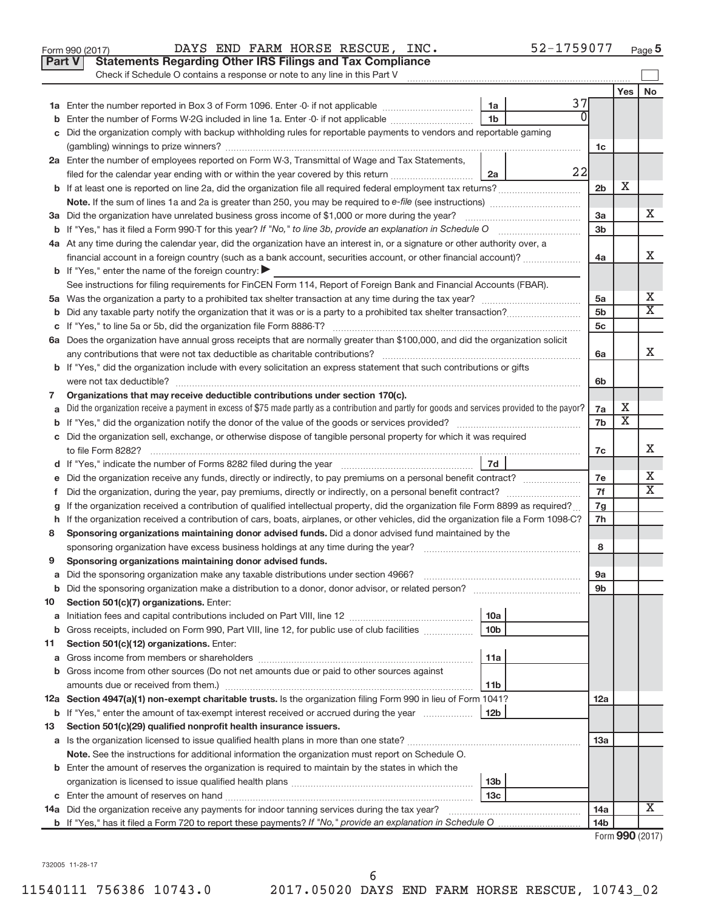|    | Part V<br><b>Statements Regarding Other IRS Filings and Tax Compliance</b><br>Check if Schedule O contains a response or note to any line in this Part V |                 |                          |                       |
|----|----------------------------------------------------------------------------------------------------------------------------------------------------------|-----------------|--------------------------|-----------------------|
|    |                                                                                                                                                          |                 | Yes                      | No                    |
|    | 37<br>1a                                                                                                                                                 |                 |                          |                       |
|    | 0<br>1 <sub>b</sub><br>Enter the number of Forms W-2G included in line 1a. Enter -0- if not applicable                                                   |                 |                          |                       |
|    | Did the organization comply with backup withholding rules for reportable payments to vendors and reportable gaming                                       |                 |                          |                       |
|    |                                                                                                                                                          | 1c              |                          |                       |
|    | 2a Enter the number of employees reported on Form W-3, Transmittal of Wage and Tax Statements,                                                           |                 |                          |                       |
|    | 22<br>filed for the calendar year ending with or within the year covered by this return <i>[[[[[[[[[[[[[[[]]]]</i> ]]<br>2a                              |                 |                          |                       |
|    | b If at least one is reported on line 2a, did the organization file all required federal employment tax returns?                                         | 2 <sub>b</sub>  | X                        |                       |
|    |                                                                                                                                                          |                 |                          |                       |
|    |                                                                                                                                                          | За              |                          | x                     |
|    | <b>b</b> If "Yes," has it filed a Form 990-T for this year? If "No," to line 3b, provide an explanation in Schedule O manumum                            | 3 <sub>b</sub>  |                          |                       |
|    | 4a At any time during the calendar year, did the organization have an interest in, or a signature or other authority over, a                             |                 |                          |                       |
|    | financial account in a foreign country (such as a bank account, securities account, or other financial account)?                                         | 4a              |                          | х                     |
|    | <b>b</b> If "Yes," enter the name of the foreign country:                                                                                                |                 |                          |                       |
|    | See instructions for filing requirements for FinCEN Form 114, Report of Foreign Bank and Financial Accounts (FBAR).                                      |                 |                          |                       |
|    |                                                                                                                                                          | 5a              |                          | х                     |
|    |                                                                                                                                                          | 5 <sub>b</sub>  |                          | X                     |
|    |                                                                                                                                                          | 5 <sub>c</sub>  |                          |                       |
|    | 6a Does the organization have annual gross receipts that are normally greater than \$100,000, and did the organization solicit                           |                 |                          |                       |
|    |                                                                                                                                                          | 6a              |                          | х                     |
|    | <b>b</b> If "Yes," did the organization include with every solicitation an express statement that such contributions or gifts                            |                 |                          |                       |
|    |                                                                                                                                                          | 6b              |                          |                       |
| 7  | Organizations that may receive deductible contributions under section 170(c).                                                                            |                 |                          |                       |
|    | Did the organization receive a payment in excess of \$75 made partly as a contribution and partly for goods and services provided to the payor?          | 7a              | х                        |                       |
|    |                                                                                                                                                          | 7b              | $\overline{\textbf{X}}$  |                       |
|    | c Did the organization sell, exchange, or otherwise dispose of tangible personal property for which it was required                                      |                 |                          |                       |
|    |                                                                                                                                                          | 7c              |                          | х                     |
|    | 7d                                                                                                                                                       |                 |                          |                       |
| е  | Did the organization receive any funds, directly or indirectly, to pay premiums on a personal benefit contract?                                          | 7e              |                          | х                     |
| f. | Did the organization, during the year, pay premiums, directly or indirectly, on a personal benefit contract?                                             | 7f              |                          | $\overline{\text{X}}$ |
|    | If the organization received a contribution of qualified intellectual property, did the organization file Form 8899 as required?                         | 7g              |                          |                       |
|    | h If the organization received a contribution of cars, boats, airplanes, or other vehicles, did the organization file a Form 1098-C?                     | 7h              |                          |                       |
| 8  | Sponsoring organizations maintaining donor advised funds. Did a donor advised fund maintained by the                                                     |                 |                          |                       |
|    |                                                                                                                                                          | 8               |                          |                       |
| 9  | Sponsoring organizations maintaining donor advised funds.                                                                                                |                 |                          |                       |
|    |                                                                                                                                                          | эа              |                          |                       |
|    | <b>b</b> Did the sponsoring organization make a distribution to a donor, donor advisor, or related person?                                               | 9b              |                          |                       |
| 10 | Section 501(c)(7) organizations. Enter:                                                                                                                  |                 |                          |                       |
| а  | 10a                                                                                                                                                      |                 |                          |                       |
| b  | Gross receipts, included on Form 990, Part VIII, line 12, for public use of club facilities<br>10 <sub>b</sub>                                           |                 |                          |                       |
| 11 | Section 501(c)(12) organizations. Enter:                                                                                                                 |                 |                          |                       |
| а  | 11a                                                                                                                                                      |                 |                          |                       |
|    | <b>b</b> Gross income from other sources (Do not net amounts due or paid to other sources against                                                        |                 |                          |                       |
|    | 11b                                                                                                                                                      |                 |                          |                       |
|    | 12a Section 4947(a)(1) non-exempt charitable trusts. Is the organization filing Form 990 in lieu of Form 1041?                                           | 12a             |                          |                       |
|    | <b>b</b> If "Yes," enter the amount of tax-exempt interest received or accrued during the year<br>12 <sub>b</sub>                                        |                 |                          |                       |
| 13 | Section 501(c)(29) qualified nonprofit health insurance issuers.                                                                                         |                 |                          |                       |
|    | a Is the organization licensed to issue qualified health plans in more than one state?                                                                   | 13a             |                          |                       |
|    | Note. See the instructions for additional information the organization must report on Schedule O.                                                        |                 |                          |                       |
|    | <b>b</b> Enter the amount of reserves the organization is required to maintain by the states in which the                                                |                 |                          |                       |
|    | 13 <sub>b</sub>                                                                                                                                          |                 |                          |                       |
|    | 13 <sub>c</sub>                                                                                                                                          |                 |                          |                       |
|    | 14a Did the organization receive any payments for indoor tanning services during the tax year?                                                           | 14a             |                          | x                     |
|    |                                                                                                                                                          | 14 <sub>b</sub> |                          |                       |
|    |                                                                                                                                                          |                 | $Form$ QQ $\Omega$ (2017 |                       |

Form (2017) **990**

732005 11-28-17

6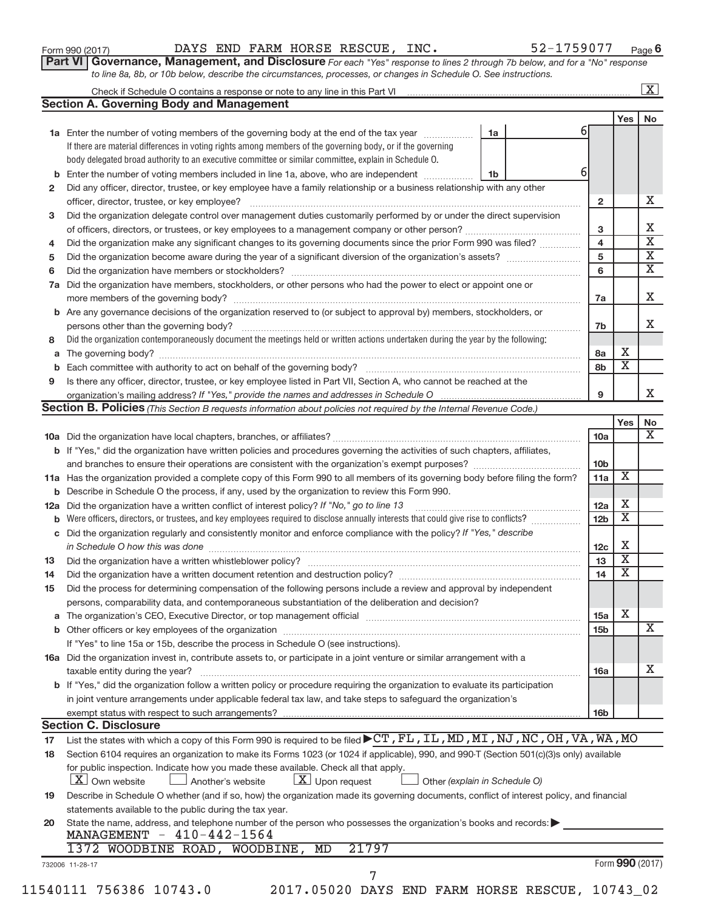| Form 990 (2017) |  |  |  |
|-----------------|--|--|--|
|-----------------|--|--|--|

Form 990 (2017) Page DAYS END FARM HORSE RESCUE, INC. 52-1759077

**Part VI** Governance, Management, and Disclosure For each "Yes" response to lines 2 through 7b below, and for a "No" response *to line 8a, 8b, or 10b below, describe the circumstances, processes, or changes in Schedule O. See instructions.*

|              |                                                                                                                                                                                                                               |    |  |   |                 |                         | $\mathbf{X}$ |  |
|--------------|-------------------------------------------------------------------------------------------------------------------------------------------------------------------------------------------------------------------------------|----|--|---|-----------------|-------------------------|--------------|--|
|              | <b>Section A. Governing Body and Management</b>                                                                                                                                                                               |    |  |   |                 |                         |              |  |
|              |                                                                                                                                                                                                                               |    |  |   |                 | Yes                     | No           |  |
|              | 1a Enter the number of voting members of the governing body at the end of the tax year                                                                                                                                        | 1a |  | 6 |                 |                         |              |  |
|              | If there are material differences in voting rights among members of the governing body, or if the governing                                                                                                                   |    |  |   |                 |                         |              |  |
|              | body delegated broad authority to an executive committee or similar committee, explain in Schedule O.                                                                                                                         |    |  |   |                 |                         |              |  |
| b            | Enter the number of voting members included in line 1a, above, who are independent <i>manumum</i>                                                                                                                             | 1b |  | 6 |                 |                         |              |  |
| $\mathbf{2}$ | Did any officer, director, trustee, or key employee have a family relationship or a business relationship with any other                                                                                                      |    |  |   |                 |                         |              |  |
|              | officer, director, trustee, or key employee?                                                                                                                                                                                  |    |  |   | $\overline{2}$  |                         |              |  |
| 3            | Did the organization delegate control over management duties customarily performed by or under the direct supervision                                                                                                         |    |  |   |                 |                         |              |  |
|              |                                                                                                                                                                                                                               |    |  |   | 3               |                         |              |  |
| 4            | Did the organization make any significant changes to its governing documents since the prior Form 990 was filed?                                                                                                              |    |  |   | 4               |                         |              |  |
| 5            |                                                                                                                                                                                                                               |    |  |   | 5               |                         |              |  |
| 6            |                                                                                                                                                                                                                               |    |  |   | 6               |                         |              |  |
| 7a           | Did the organization have members, stockholders, or other persons who had the power to elect or appoint one or                                                                                                                |    |  |   |                 |                         |              |  |
|              |                                                                                                                                                                                                                               |    |  |   |                 |                         |              |  |
|              | Are any governance decisions of the organization reserved to (or subject to approval by) members, stockholders, or                                                                                                            |    |  |   | 7a              |                         |              |  |
| b            |                                                                                                                                                                                                                               |    |  |   |                 |                         |              |  |
|              |                                                                                                                                                                                                                               |    |  |   | 7b              |                         |              |  |
| 8            | Did the organization contemporaneously document the meetings held or written actions undertaken during the year by the following:                                                                                             |    |  |   |                 |                         |              |  |
| а            |                                                                                                                                                                                                                               |    |  |   | 8a              | х                       |              |  |
| b            |                                                                                                                                                                                                                               |    |  |   | 8b              | $\overline{\mathbf{X}}$ |              |  |
| 9            | Is there any officer, director, trustee, or key employee listed in Part VII, Section A, who cannot be reached at the                                                                                                          |    |  |   |                 |                         |              |  |
|              |                                                                                                                                                                                                                               |    |  |   | 9               |                         |              |  |
|              | <b>Section B. Policies</b> (This Section B requests information about policies not required by the Internal Revenue Code.)                                                                                                    |    |  |   |                 |                         |              |  |
|              |                                                                                                                                                                                                                               |    |  |   |                 | Yes                     |              |  |
|              |                                                                                                                                                                                                                               |    |  |   | <b>10a</b>      |                         |              |  |
|              | <b>b</b> If "Yes," did the organization have written policies and procedures governing the activities of such chapters, affiliates,                                                                                           |    |  |   |                 |                         |              |  |
|              |                                                                                                                                                                                                                               |    |  |   | 10 <sub>b</sub> |                         |              |  |
|              | 11a Has the organization provided a complete copy of this Form 990 to all members of its governing body before filing the form?                                                                                               |    |  |   | 11a             | Χ                       |              |  |
| b            | Describe in Schedule O the process, if any, used by the organization to review this Form 990.                                                                                                                                 |    |  |   |                 |                         |              |  |
| 12a          | Did the organization have a written conflict of interest policy? If "No," go to line 13                                                                                                                                       |    |  |   | 12a             | х                       |              |  |
| b            | Were officers, directors, or trustees, and key employees required to disclose annually interests that could give rise to conflicts?                                                                                           |    |  |   | 12 <sub>b</sub> | $\overline{\textbf{X}}$ |              |  |
| С            | Did the organization regularly and consistently monitor and enforce compliance with the policy? If "Yes," describe                                                                                                            |    |  |   |                 |                         |              |  |
|              |                                                                                                                                                                                                                               |    |  |   | 12 <sub>c</sub> | Х                       |              |  |
| 13           |                                                                                                                                                                                                                               |    |  |   | 13              | $\overline{\textbf{X}}$ |              |  |
| 14           |                                                                                                                                                                                                                               |    |  |   | 14              | $\overline{\textbf{X}}$ |              |  |
| 15           | Did the process for determining compensation of the following persons include a review and approval by independent                                                                                                            |    |  |   |                 |                         |              |  |
|              | persons, comparability data, and contemporaneous substantiation of the deliberation and decision?                                                                                                                             |    |  |   |                 |                         |              |  |
|              | The organization's CEO, Executive Director, or top management official [111] [12] manument content of the organization's CEO, Executive Director, or top management official [11] manument content of the organization of the |    |  |   | 15a             | X                       |              |  |
| а            |                                                                                                                                                                                                                               |    |  |   |                 |                         |              |  |
|              |                                                                                                                                                                                                                               |    |  |   | 15 <sub>b</sub> |                         |              |  |
|              | If "Yes" to line 15a or 15b, describe the process in Schedule O (see instructions).                                                                                                                                           |    |  |   |                 |                         |              |  |
|              | 16a Did the organization invest in, contribute assets to, or participate in a joint venture or similar arrangement with a                                                                                                     |    |  |   |                 |                         |              |  |
|              | taxable entity during the year?                                                                                                                                                                                               |    |  |   | 16a             |                         |              |  |
|              | b If "Yes," did the organization follow a written policy or procedure requiring the organization to evaluate its participation                                                                                                |    |  |   |                 |                         |              |  |
|              | in joint venture arrangements under applicable federal tax law, and take steps to safeguard the organization's                                                                                                                |    |  |   |                 |                         |              |  |
|              | exempt status with respect to such arrangements?                                                                                                                                                                              |    |  |   | 16 <sub>b</sub> |                         |              |  |
|              | <b>Section C. Disclosure</b>                                                                                                                                                                                                  |    |  |   |                 |                         |              |  |
| 17           | List the states with which a copy of this Form 990 is required to be filed CT, FL, IL, MD, MI, NJ, NC, OH, VA, WA, MO                                                                                                         |    |  |   |                 |                         |              |  |
| 18           | Section 6104 requires an organization to make its Forms 1023 (or 1024 if applicable), 990, and 990-T (Section 501(c)(3)s only) available                                                                                      |    |  |   |                 |                         |              |  |
|              | for public inspection. Indicate how you made these available. Check all that apply.                                                                                                                                           |    |  |   |                 |                         |              |  |
|              |                                                                                                                                                                                                                               |    |  |   |                 |                         |              |  |
|              | $\lfloor x \rfloor$ Upon request<br>$ \mathbf{X} $ Own website<br>Another's website<br>Other (explain in Schedule O)                                                                                                          |    |  |   |                 |                         |              |  |
|              |                                                                                                                                                                                                                               |    |  |   |                 |                         |              |  |
|              | Describe in Schedule O whether (and if so, how) the organization made its governing documents, conflict of interest policy, and financial                                                                                     |    |  |   |                 |                         |              |  |
|              | statements available to the public during the tax year.                                                                                                                                                                       |    |  |   |                 |                         |              |  |
|              | State the name, address, and telephone number of the person who possesses the organization's books and records:                                                                                                               |    |  |   |                 |                         |              |  |
|              | MANAGEMENT - 410-442-1564                                                                                                                                                                                                     |    |  |   |                 |                         |              |  |
|              | 21797<br>1372 WOODBINE ROAD, WOODBINE, MD                                                                                                                                                                                     |    |  |   |                 |                         |              |  |
| 19<br>20     | 732006 11-28-17<br>7                                                                                                                                                                                                          |    |  |   |                 | Form 990 (2017)         |              |  |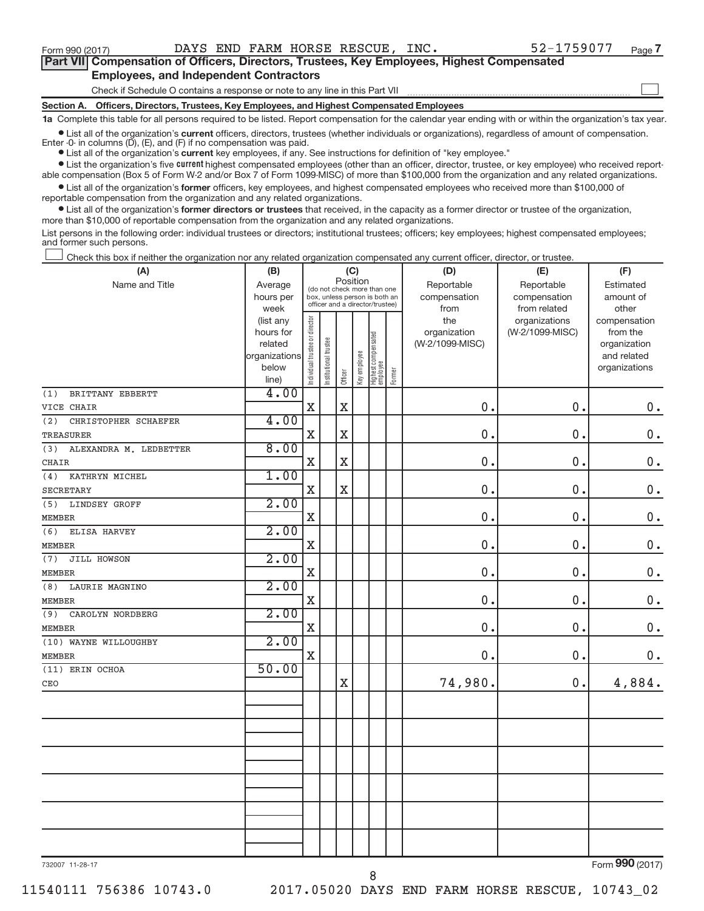$\begin{array}{c} \hline \end{array}$ 

| Part VII Compensation of Officers, Directors, Trustees, Key Employees, Highest Compensated |  |  |  |
|--------------------------------------------------------------------------------------------|--|--|--|
| <b>Employees, and Independent Contractors</b>                                              |  |  |  |

Check if Schedule O contains a response or note to any line in this Part VII

**Section A. Officers, Directors, Trustees, Key Employees, and Highest Compensated Employees**

**1a**  Complete this table for all persons required to be listed. Report compensation for the calendar year ending with or within the organization's tax year.

 $\bullet$  List all of the organization's current officers, directors, trustees (whether individuals or organizations), regardless of amount of compensation. Enter -0- in columns  $(D)$ ,  $(E)$ , and  $(F)$  if no compensation was paid.

**•** List all of the organization's **current** key employees, if any. See instructions for definition of "key employee."

**Examber 1** Current Lightest compensated employees (other than an officer, director, trustee, or key employee) who received reportable compensation (Box 5 of Form W-2 and/or Box 7 of Form 1099-MISC) of more than \$100,000 from the organization and any related organizations.

 $\bullet$  List all of the organization's former officers, key employees, and highest compensated employees who received more than \$100,000 of reportable compensation from the organization and any related organizations.

**•** List all of the organization's former directors or trustees that received, in the capacity as a former director or trustee of the organization, more than \$10,000 of reportable compensation from the organization and any related organizations.

List persons in the following order: individual trustees or directors; institutional trustees; officers; key employees; highest compensated employees; and former such persons.

Check this box if neither the organization nor any related organization compensated any current officer, director, or trustee.  $\overline{\phantom{a}}$ 

| (A)                           | (B)               |                                |                                                                  | (C)                     |              |                                 |        | (D)             | (E)                           | (F)                   |
|-------------------------------|-------------------|--------------------------------|------------------------------------------------------------------|-------------------------|--------------|---------------------------------|--------|-----------------|-------------------------------|-----------------------|
| Name and Title                | Average           |                                | (do not check more than one                                      |                         | Position     |                                 |        | Reportable      | Reportable                    | Estimated             |
|                               | hours per         |                                | box, unless person is both an<br>officer and a director/trustee) |                         |              |                                 |        | compensation    | compensation                  | amount of             |
|                               | week<br>(list any |                                |                                                                  |                         |              |                                 |        | from<br>the     | from related<br>organizations | other<br>compensation |
|                               | hours for         |                                |                                                                  |                         |              |                                 |        | organization    | (W-2/1099-MISC)               | from the              |
|                               | related           |                                |                                                                  |                         |              |                                 |        | (W-2/1099-MISC) |                               | organization          |
|                               | organizations     |                                |                                                                  |                         |              |                                 |        |                 |                               | and related           |
|                               | below             | Individual trustee or director | Institutional trustee                                            | Officer                 | Key employee | Highest compensated<br>employee | Former |                 |                               | organizations         |
| BRITTANY EBBERTT<br>(1)       | line)<br>4.00     |                                |                                                                  |                         |              |                                 |        |                 |                               |                       |
| VICE CHAIR                    |                   | $\mathbf X$                    |                                                                  | $\mathbf X$             |              |                                 |        | 0.              | 0.                            | $0$ .                 |
| (2)<br>CHRISTOPHER SCHAEFER   | 4.00              |                                |                                                                  |                         |              |                                 |        |                 |                               |                       |
| <b>TREASURER</b>              |                   | $\mathbf X$                    |                                                                  | $\overline{\mathbf{X}}$ |              |                                 |        | 0.              | 0.                            | $0$ .                 |
| ALEXANDRA M. LEDBETTER<br>(3) | 8.00              |                                |                                                                  |                         |              |                                 |        |                 |                               |                       |
| <b>CHAIR</b>                  |                   | $\mathbf X$                    |                                                                  | $\overline{\mathbf{X}}$ |              |                                 |        | 0.              | $\mathbf 0$ .                 | $\mathbf 0$ .         |
| (4)<br>KATHRYN MICHEL         | 1.00              |                                |                                                                  |                         |              |                                 |        |                 |                               |                       |
| <b>SECRETARY</b>              |                   | $\mathbf X$                    |                                                                  | $\mathbf X$             |              |                                 |        | 0.              | $\mathbf 0$ .                 | $\mathbf 0$ .         |
| (5)<br><b>LINDSEY GROFF</b>   | 2.00              |                                |                                                                  |                         |              |                                 |        |                 |                               |                       |
| <b>MEMBER</b>                 |                   | $\mathbf X$                    |                                                                  |                         |              |                                 |        | 0.              | $\mathbf 0$ .                 | $\mathbf 0$ .         |
| (6)<br>ELISA HARVEY           | 2.00              |                                |                                                                  |                         |              |                                 |        |                 |                               |                       |
| <b>MEMBER</b>                 |                   | $\mathbf X$                    |                                                                  |                         |              |                                 |        | 0.              | 0.                            | $0$ .                 |
| JILL HOWSON<br>(7)            | 2.00              |                                |                                                                  |                         |              |                                 |        |                 |                               |                       |
| <b>MEMBER</b>                 |                   | $\mathbf X$                    |                                                                  |                         |              |                                 |        | 0.              | 0.                            | $\mathbf 0$ .         |
| (8)<br>LAURIE MAGNINO         | 2.00              |                                |                                                                  |                         |              |                                 |        |                 |                               |                       |
| <b>MEMBER</b>                 |                   | $\mathbf X$                    |                                                                  |                         |              |                                 |        | 0.              | $\mathbf 0$ .                 | $\mathbf 0$ .         |
| (9)<br>CAROLYN NORDBERG       | 2.00              |                                |                                                                  |                         |              |                                 |        |                 |                               |                       |
| <b>MEMBER</b>                 |                   | X                              |                                                                  |                         |              |                                 |        | 0.              | 0.                            | $0$ .                 |
| (10) WAYNE WILLOUGHBY         | 2.00              |                                |                                                                  |                         |              |                                 |        |                 |                               |                       |
| <b>MEMBER</b>                 |                   | $\mathbf X$                    |                                                                  |                         |              |                                 |        | 0.              | 0.                            | $\mathbf 0$ .         |
| (11) ERIN OCHOA               | 50.00             |                                |                                                                  |                         |              |                                 |        |                 |                               |                       |
| CEO                           |                   |                                |                                                                  | $\overline{\text{X}}$   |              |                                 |        | 74,980.         | 0.                            | 4,884.                |
|                               |                   |                                |                                                                  |                         |              |                                 |        |                 |                               |                       |
|                               |                   |                                |                                                                  |                         |              |                                 |        |                 |                               |                       |
|                               |                   |                                |                                                                  |                         |              |                                 |        |                 |                               |                       |
|                               |                   |                                |                                                                  |                         |              |                                 |        |                 |                               |                       |
|                               |                   |                                |                                                                  |                         |              |                                 |        |                 |                               |                       |
|                               |                   |                                |                                                                  |                         |              |                                 |        |                 |                               |                       |
|                               |                   |                                |                                                                  |                         |              |                                 |        |                 |                               |                       |
|                               |                   |                                |                                                                  |                         |              |                                 |        |                 |                               |                       |
|                               |                   |                                |                                                                  |                         |              |                                 |        |                 |                               |                       |
|                               |                   |                                |                                                                  |                         |              |                                 |        |                 |                               |                       |
|                               |                   |                                |                                                                  |                         |              |                                 |        |                 |                               |                       |
|                               |                   |                                |                                                                  |                         |              |                                 |        |                 |                               | $000 \approx 1$       |

732007 11-28-17

8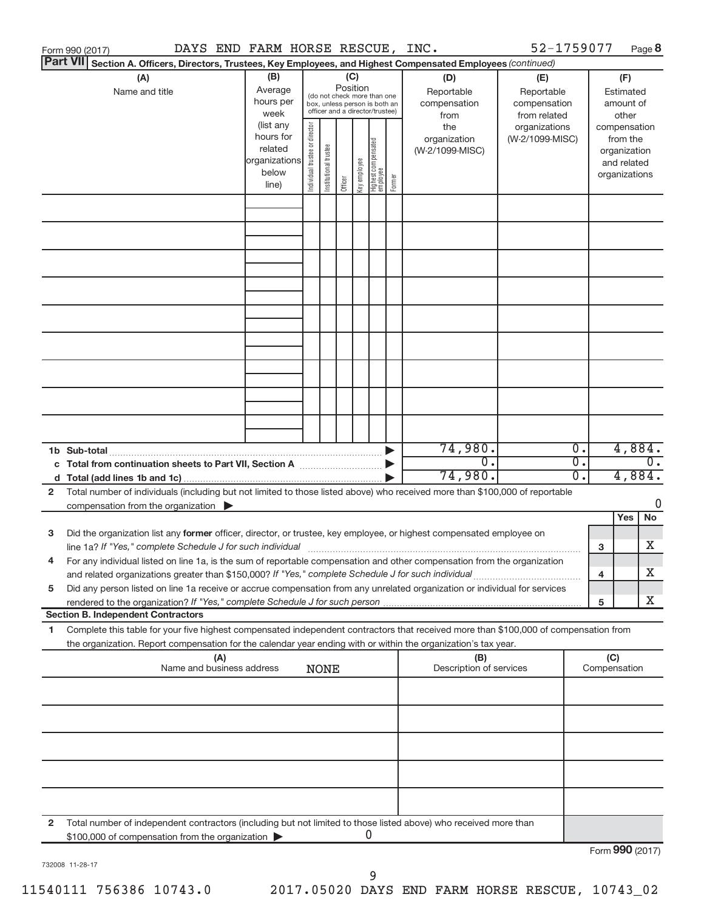|   |                 | Form 990 (2017)                                                                                     | DAYS END FARM HORSE RESCUE, INC. |     |                        |                                |                       |          |              |                                                                  |        |                                                                                                                                      | 52-1759077      |                  |     |                          | Page 8           |
|---|-----------------|-----------------------------------------------------------------------------------------------------|----------------------------------|-----|------------------------|--------------------------------|-----------------------|----------|--------------|------------------------------------------------------------------|--------|--------------------------------------------------------------------------------------------------------------------------------------|-----------------|------------------|-----|--------------------------|------------------|
|   | <b>Part VII</b> |                                                                                                     |                                  |     |                        |                                |                       |          |              |                                                                  |        | Section A. Officers, Directors, Trustees, Key Employees, and Highest Compensated Employees (continued)                               |                 |                  |     |                          |                  |
|   |                 | (A)                                                                                                 |                                  |     | (B)                    |                                |                       | (C)      |              |                                                                  |        | (D)                                                                                                                                  | (E)             |                  |     | (F)                      |                  |
|   |                 | Name and title                                                                                      |                                  |     | Average                |                                |                       | Position |              | (do not check more than one                                      |        | Reportable                                                                                                                           | Reportable      |                  |     | Estimated                |                  |
|   |                 |                                                                                                     |                                  |     | hours per              |                                |                       |          |              | box, unless person is both an<br>officer and a director/trustee) |        | compensation                                                                                                                         | compensation    |                  |     | amount of                |                  |
|   |                 |                                                                                                     |                                  |     | week                   |                                |                       |          |              |                                                                  |        | from                                                                                                                                 | from related    |                  |     | other                    |                  |
|   |                 |                                                                                                     |                                  |     | (list any<br>hours for |                                |                       |          |              |                                                                  |        | the                                                                                                                                  | organizations   |                  |     | compensation             |                  |
|   |                 |                                                                                                     |                                  |     | related                | Individual trustee or director |                       |          |              |                                                                  |        | organization<br>(W-2/1099-MISC)                                                                                                      | (W-2/1099-MISC) |                  |     | from the<br>organization |                  |
|   |                 |                                                                                                     |                                  |     | organizations          |                                |                       |          |              |                                                                  |        |                                                                                                                                      |                 |                  |     | and related              |                  |
|   |                 |                                                                                                     |                                  |     | below                  |                                | Institutional trustee |          | Key employee |                                                                  |        |                                                                                                                                      |                 |                  |     | organizations            |                  |
|   |                 |                                                                                                     |                                  |     | line)                  |                                |                       | Officer  |              | Highest compensated<br>  employee                                | Former |                                                                                                                                      |                 |                  |     |                          |                  |
|   |                 |                                                                                                     |                                  |     |                        |                                |                       |          |              |                                                                  |        |                                                                                                                                      |                 |                  |     |                          |                  |
|   |                 |                                                                                                     |                                  |     |                        |                                |                       |          |              |                                                                  |        |                                                                                                                                      |                 |                  |     |                          |                  |
|   |                 |                                                                                                     |                                  |     |                        |                                |                       |          |              |                                                                  |        |                                                                                                                                      |                 |                  |     |                          |                  |
|   |                 |                                                                                                     |                                  |     |                        |                                |                       |          |              |                                                                  |        |                                                                                                                                      |                 |                  |     |                          |                  |
|   |                 |                                                                                                     |                                  |     |                        |                                |                       |          |              |                                                                  |        |                                                                                                                                      |                 |                  |     |                          |                  |
|   |                 |                                                                                                     |                                  |     |                        |                                |                       |          |              |                                                                  |        |                                                                                                                                      |                 |                  |     |                          |                  |
|   |                 |                                                                                                     |                                  |     |                        |                                |                       |          |              |                                                                  |        |                                                                                                                                      |                 |                  |     |                          |                  |
|   |                 |                                                                                                     |                                  |     |                        |                                |                       |          |              |                                                                  |        |                                                                                                                                      |                 |                  |     |                          |                  |
|   |                 |                                                                                                     |                                  |     |                        |                                |                       |          |              |                                                                  |        |                                                                                                                                      |                 |                  |     |                          |                  |
|   |                 |                                                                                                     |                                  |     |                        |                                |                       |          |              |                                                                  |        |                                                                                                                                      |                 |                  |     |                          |                  |
|   |                 |                                                                                                     |                                  |     |                        |                                |                       |          |              |                                                                  |        |                                                                                                                                      |                 |                  |     |                          |                  |
|   |                 |                                                                                                     |                                  |     |                        |                                |                       |          |              |                                                                  |        |                                                                                                                                      |                 |                  |     |                          |                  |
|   |                 |                                                                                                     |                                  |     |                        |                                |                       |          |              |                                                                  |        |                                                                                                                                      |                 |                  |     |                          |                  |
|   |                 |                                                                                                     |                                  |     |                        |                                |                       |          |              |                                                                  |        |                                                                                                                                      |                 |                  |     |                          |                  |
|   |                 |                                                                                                     |                                  |     |                        |                                |                       |          |              |                                                                  |        |                                                                                                                                      |                 |                  |     |                          |                  |
|   |                 |                                                                                                     |                                  |     |                        |                                |                       |          |              |                                                                  |        |                                                                                                                                      |                 |                  |     |                          |                  |
|   |                 |                                                                                                     |                                  |     |                        |                                |                       |          |              |                                                                  |        |                                                                                                                                      |                 |                  |     |                          |                  |
|   |                 |                                                                                                     |                                  |     |                        |                                |                       |          |              |                                                                  |        |                                                                                                                                      |                 |                  |     |                          |                  |
|   |                 | 1b Sub-total                                                                                        |                                  |     |                        |                                |                       |          |              |                                                                  |        | 74,980.                                                                                                                              |                 | $\overline{0}$ . |     | 4,884.                   |                  |
|   |                 | c Total from continuation sheets to Part VII, Section A [11, 11, 11, 11]                            |                                  |     |                        |                                |                       |          |              |                                                                  |        | $\overline{0}$ .                                                                                                                     |                 | σ.               |     |                          | $\overline{0}$ . |
|   |                 |                                                                                                     |                                  |     |                        |                                |                       |          |              |                                                                  |        | 74,980.                                                                                                                              |                 | $\overline{0}$ . |     | 4,884.                   |                  |
| 2 |                 |                                                                                                     |                                  |     |                        |                                |                       |          |              |                                                                  |        | Total number of individuals (including but not limited to those listed above) who received more than \$100,000 of reportable         |                 |                  |     |                          |                  |
|   |                 | compensation from the organization $\blacktriangleright$                                            |                                  |     |                        |                                |                       |          |              |                                                                  |        |                                                                                                                                      |                 |                  |     |                          | 0                |
|   |                 |                                                                                                     |                                  |     |                        |                                |                       |          |              |                                                                  |        |                                                                                                                                      |                 |                  |     | Yes                      | No               |
| 3 |                 |                                                                                                     |                                  |     |                        |                                |                       |          |              |                                                                  |        | Did the organization list any former officer, director, or trustee, key employee, or highest compensated employee on                 |                 |                  |     |                          |                  |
|   |                 |                                                                                                     |                                  |     |                        |                                |                       |          |              |                                                                  |        |                                                                                                                                      |                 |                  | 3   |                          | x                |
|   |                 |                                                                                                     |                                  |     |                        |                                |                       |          |              |                                                                  |        | For any individual listed on line 1a, is the sum of reportable compensation and other compensation from the organization             |                 |                  |     |                          |                  |
|   |                 | and related organizations greater than \$150,000? If "Yes," complete Schedule J for such individual |                                  |     |                        |                                |                       |          |              |                                                                  |        |                                                                                                                                      |                 |                  | 4   |                          | х                |
| 5 |                 |                                                                                                     |                                  |     |                        |                                |                       |          |              |                                                                  |        | Did any person listed on line 1a receive or accrue compensation from any unrelated organization or individual for services           |                 |                  |     |                          |                  |
|   |                 |                                                                                                     |                                  |     |                        |                                |                       |          |              |                                                                  |        |                                                                                                                                      |                 |                  | 5   |                          | х                |
|   |                 | <b>Section B. Independent Contractors</b>                                                           |                                  |     |                        |                                |                       |          |              |                                                                  |        |                                                                                                                                      |                 |                  |     |                          |                  |
| 1 |                 |                                                                                                     |                                  |     |                        |                                |                       |          |              |                                                                  |        | Complete this table for your five highest compensated independent contractors that received more than \$100,000 of compensation from |                 |                  |     |                          |                  |
|   |                 |                                                                                                     |                                  |     |                        |                                |                       |          |              |                                                                  |        | the organization. Report compensation for the calendar year ending with or within the organization's tax year.                       |                 |                  |     |                          |                  |
|   |                 |                                                                                                     | Name and business address        | (A) |                        |                                |                       |          |              |                                                                  |        | (B)<br>Description of services                                                                                                       |                 |                  | (C) | Compensation             |                  |
|   |                 |                                                                                                     |                                  |     |                        |                                | <b>NONE</b>           |          |              |                                                                  |        |                                                                                                                                      |                 |                  |     |                          |                  |
|   |                 |                                                                                                     |                                  |     |                        |                                |                       |          |              |                                                                  |        |                                                                                                                                      |                 |                  |     |                          |                  |
|   |                 |                                                                                                     |                                  |     |                        |                                |                       |          |              |                                                                  |        |                                                                                                                                      |                 |                  |     |                          |                  |
|   |                 |                                                                                                     |                                  |     |                        |                                |                       |          |              |                                                                  |        |                                                                                                                                      |                 |                  |     |                          |                  |
|   |                 |                                                                                                     |                                  |     |                        |                                |                       |          |              |                                                                  |        |                                                                                                                                      |                 |                  |     |                          |                  |
|   |                 |                                                                                                     |                                  |     |                        |                                |                       |          |              |                                                                  |        |                                                                                                                                      |                 |                  |     |                          |                  |
|   |                 |                                                                                                     |                                  |     |                        |                                |                       |          |              |                                                                  |        |                                                                                                                                      |                 |                  |     |                          |                  |
|   |                 |                                                                                                     |                                  |     |                        |                                |                       |          |              |                                                                  |        |                                                                                                                                      |                 |                  |     |                          |                  |
|   |                 |                                                                                                     |                                  |     |                        |                                |                       |          |              |                                                                  |        |                                                                                                                                      |                 |                  |     |                          |                  |
|   |                 |                                                                                                     |                                  |     |                        |                                |                       |          |              |                                                                  |        |                                                                                                                                      |                 |                  |     |                          |                  |
|   |                 |                                                                                                     |                                  |     |                        |                                |                       |          |              |                                                                  |        |                                                                                                                                      |                 |                  |     |                          |                  |
| 2 |                 |                                                                                                     |                                  |     |                        |                                |                       |          | U            |                                                                  |        | Total number of independent contractors (including but not limited to those listed above) who received more than                     |                 |                  |     |                          |                  |
|   |                 | \$100,000 of compensation from the organization                                                     |                                  |     |                        |                                |                       |          |              |                                                                  |        |                                                                                                                                      |                 |                  |     |                          |                  |
|   |                 |                                                                                                     |                                  |     |                        |                                |                       |          |              |                                                                  |        |                                                                                                                                      |                 |                  |     |                          | Form 990 (2017)  |

732008 11-28-17

9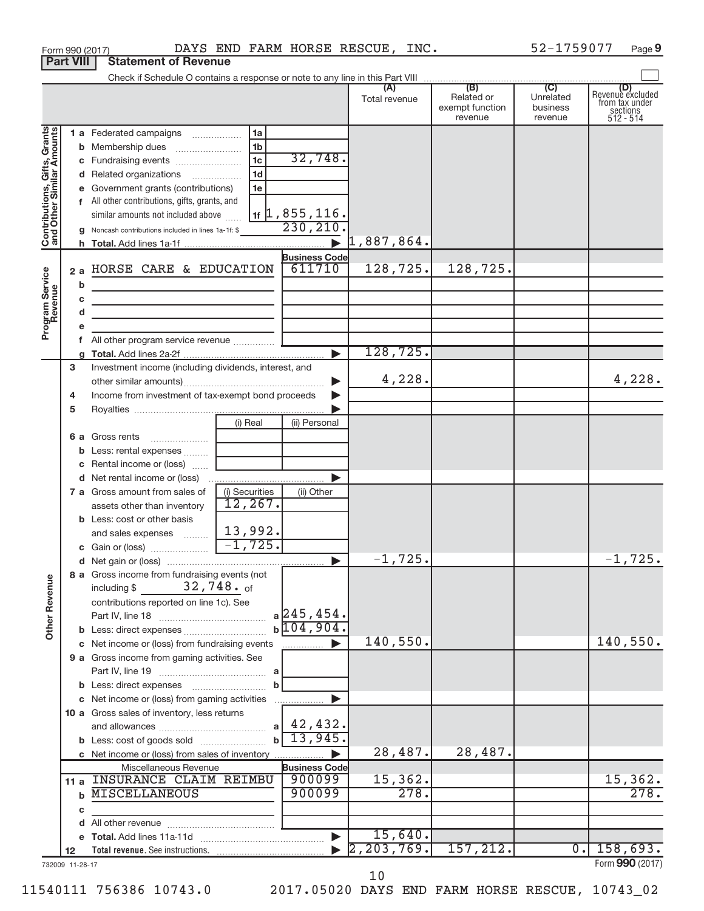|                                                           | <b>Part VIII</b> | <b>Statement of Revenue</b>                                                                                           |                                          |                      |                                                 |                                         |                                                                    |
|-----------------------------------------------------------|------------------|-----------------------------------------------------------------------------------------------------------------------|------------------------------------------|----------------------|-------------------------------------------------|-----------------------------------------|--------------------------------------------------------------------|
|                                                           |                  |                                                                                                                       |                                          |                      |                                                 |                                         |                                                                    |
|                                                           |                  |                                                                                                                       |                                          | (A)<br>Total revenue | (B)<br>Related or<br>exempt function<br>revenue | (C)<br>Unrelated<br>business<br>revenue | (D)<br>Revenue excluded<br>from tax under<br>sections<br>512 - 514 |
|                                                           |                  | 1 a Federated campaigns                                                                                               | 1a                                       |                      |                                                 |                                         |                                                                    |
| Contributions, Gifts, Grants<br>and Other Similar Amounts |                  |                                                                                                                       | 1 <sub>b</sub>                           |                      |                                                 |                                         |                                                                    |
|                                                           |                  |                                                                                                                       | 32,748.<br>1 <sub>c</sub>                |                      |                                                 |                                         |                                                                    |
|                                                           |                  | d Related organizations                                                                                               | 1 <sub>d</sub>                           |                      |                                                 |                                         |                                                                    |
|                                                           |                  | e Government grants (contributions)                                                                                   | 1e                                       |                      |                                                 |                                         |                                                                    |
|                                                           |                  | f All other contributions, gifts, grants, and                                                                         |                                          |                      |                                                 |                                         |                                                                    |
|                                                           |                  | similar amounts not included above                                                                                    | $_{1f}$   1, 855, 116.                   |                      |                                                 |                                         |                                                                    |
|                                                           |                  | g Noncash contributions included in lines 1a-1f: \$                                                                   | 230,210                                  |                      |                                                 |                                         |                                                                    |
|                                                           |                  |                                                                                                                       | $\blacktriangleright$                    | 1,887,864.           |                                                 |                                         |                                                                    |
|                                                           |                  |                                                                                                                       | <b>Business Code</b><br>611710           | 128,725.             | 128,725.                                        |                                         |                                                                    |
|                                                           | 2a               | HORSE CARE & EDUCATION                                                                                                |                                          |                      |                                                 |                                         |                                                                    |
|                                                           | b                | the control of the control of the control of the control of                                                           |                                          |                      |                                                 |                                         |                                                                    |
|                                                           | c<br>d           | <u> 1989 - Johann Barbara, martin amerikan basar dan berasal dalam basar dalam basar dalam basar dalam basar dala</u> |                                          |                      |                                                 |                                         |                                                                    |
| Program Service<br>Revenue                                |                  | <u> 1980 - Johann Barbara, martin amerikan basar dan berasal dalam basar dalam basar dalam basar dalam basar dala</u> |                                          |                      |                                                 |                                         |                                                                    |
|                                                           |                  |                                                                                                                       |                                          |                      |                                                 |                                         |                                                                    |
|                                                           |                  |                                                                                                                       | ь                                        | 128,725.             |                                                 |                                         |                                                                    |
|                                                           | 3                | Investment income (including dividends, interest, and                                                                 |                                          |                      |                                                 |                                         |                                                                    |
|                                                           |                  |                                                                                                                       | ▶                                        | 4,228.               |                                                 |                                         | 4,228.                                                             |
|                                                           | 4                | Income from investment of tax-exempt bond proceeds                                                                    |                                          |                      |                                                 |                                         |                                                                    |
|                                                           | 5                |                                                                                                                       |                                          |                      |                                                 |                                         |                                                                    |
|                                                           |                  |                                                                                                                       | (i) Real<br>(ii) Personal                |                      |                                                 |                                         |                                                                    |
|                                                           |                  | <b>6 a</b> Gross rents                                                                                                |                                          |                      |                                                 |                                         |                                                                    |
|                                                           |                  | <b>b</b> Less: rental expenses                                                                                        |                                          |                      |                                                 |                                         |                                                                    |
|                                                           |                  | c Rental income or (loss)                                                                                             |                                          |                      |                                                 |                                         |                                                                    |
|                                                           |                  |                                                                                                                       |                                          |                      |                                                 |                                         |                                                                    |
|                                                           |                  | 7 a Gross amount from sales of                                                                                        | (i) Securities<br>(ii) Other<br>12, 267. |                      |                                                 |                                         |                                                                    |
|                                                           |                  | assets other than inventory<br><b>b</b> Less: cost or other basis                                                     |                                          |                      |                                                 |                                         |                                                                    |
|                                                           |                  | and sales expenses                                                                                                    | 13,992.                                  |                      |                                                 |                                         |                                                                    |
|                                                           |                  |                                                                                                                       | $-1,725.$                                |                      |                                                 |                                         |                                                                    |
|                                                           |                  |                                                                                                                       | $\blacktriangleright$                    | $-1,725.$            |                                                 |                                         | $-1,725.$                                                          |
|                                                           |                  | 8 a Gross income from fundraising events (not                                                                         |                                          |                      |                                                 |                                         |                                                                    |
| <b>Other Revenue</b>                                      |                  | $32,748.$ of<br>including \$                                                                                          |                                          |                      |                                                 |                                         |                                                                    |
|                                                           |                  | contributions reported on line 1c). See                                                                               |                                          |                      |                                                 |                                         |                                                                    |
|                                                           |                  |                                                                                                                       | $a$ 245, 454.                            |                      |                                                 |                                         |                                                                    |
|                                                           |                  |                                                                                                                       | $b\overline{104,904}$                    |                      |                                                 |                                         |                                                                    |
|                                                           |                  | c Net income or (loss) from fundraising events                                                                        | .                                        | 140,550.             |                                                 |                                         | 140,550.                                                           |
|                                                           |                  | 9 a Gross income from gaming activities. See                                                                          |                                          |                      |                                                 |                                         |                                                                    |
|                                                           |                  |                                                                                                                       |                                          |                      |                                                 |                                         |                                                                    |
|                                                           |                  | c Net income or (loss) from gaming activities                                                                         | b<br>▶                                   |                      |                                                 |                                         |                                                                    |
|                                                           |                  | 10 a Gross sales of inventory, less returns                                                                           | .                                        |                      |                                                 |                                         |                                                                    |
|                                                           |                  |                                                                                                                       | 42,432.<br>a                             |                      |                                                 |                                         |                                                                    |
|                                                           |                  |                                                                                                                       | 13,945<br>$\mathbf b$                    |                      |                                                 |                                         |                                                                    |
|                                                           |                  | c Net income or (loss) from sales of inventory                                                                        |                                          | 28,487.              | 28,487.                                         |                                         |                                                                    |
|                                                           |                  | Miscellaneous Revenue                                                                                                 | <b>Business Code</b>                     |                      |                                                 |                                         |                                                                    |
|                                                           |                  | 11 a INSURANCE CLAIM REIMBU                                                                                           | 900099                                   | 15,362.              |                                                 |                                         | 15, 362.                                                           |
|                                                           | b                | <b>MISCELLANEOUS</b>                                                                                                  | 900099                                   | 278.                 |                                                 |                                         | 278.                                                               |
|                                                           | c                |                                                                                                                       |                                          |                      |                                                 |                                         |                                                                    |
|                                                           |                  |                                                                                                                       |                                          |                      |                                                 |                                         |                                                                    |
|                                                           |                  |                                                                                                                       | $\blacktriangleright$                    | 15,640.              |                                                 |                                         |                                                                    |
|                                                           | 12               |                                                                                                                       |                                          | 2, 203, 769.         | 157, 212.                                       | $\overline{0}$ .                        | 158,693.                                                           |
|                                                           | 732009 11-28-17  |                                                                                                                       |                                          |                      |                                                 |                                         | Form 990 (2017)                                                    |

Form 990 (2017) **DAYS END FARM HORSE RESCUE, INC.** 52-1759077 Page

**9**

10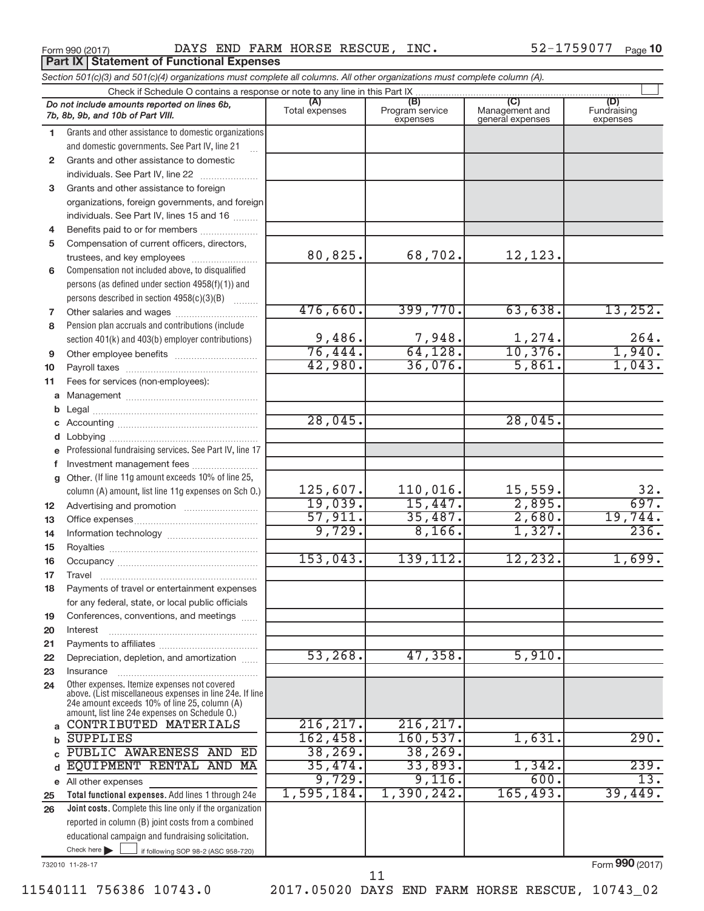**Part IX Statement of Functional Expenses** 

Form 990 (2017) Page DAYS END FARM HORSE RESCUE, INC. 52-1759077

52-1759077 Page 10

|              | Section 501(c)(3) and 501(c)(4) organizations must complete all columns. All other organizations must complete column (A).                                                                                  |                |                             |                                    |                         |  |  |  |  |  |  |
|--------------|-------------------------------------------------------------------------------------------------------------------------------------------------------------------------------------------------------------|----------------|-----------------------------|------------------------------------|-------------------------|--|--|--|--|--|--|
|              | Check if Schedule O contains a response or note to any line in this Part IX                                                                                                                                 | (A)            | (B)                         | (C)                                | (D)                     |  |  |  |  |  |  |
|              | Do not include amounts reported on lines 6b,<br>7b, 8b, 9b, and 10b of Part VIII.                                                                                                                           | Total expenses | Program service<br>expenses | Management and<br>general expenses | Fundraising<br>expenses |  |  |  |  |  |  |
| 1.           | Grants and other assistance to domestic organizations                                                                                                                                                       |                |                             |                                    |                         |  |  |  |  |  |  |
|              | and domestic governments. See Part IV, line 21                                                                                                                                                              |                |                             |                                    |                         |  |  |  |  |  |  |
| $\mathbf{2}$ | Grants and other assistance to domestic                                                                                                                                                                     |                |                             |                                    |                         |  |  |  |  |  |  |
|              | individuals. See Part IV, line 22                                                                                                                                                                           |                |                             |                                    |                         |  |  |  |  |  |  |
| 3            | Grants and other assistance to foreign                                                                                                                                                                      |                |                             |                                    |                         |  |  |  |  |  |  |
|              | organizations, foreign governments, and foreign                                                                                                                                                             |                |                             |                                    |                         |  |  |  |  |  |  |
|              | individuals. See Part IV, lines 15 and 16                                                                                                                                                                   |                |                             |                                    |                         |  |  |  |  |  |  |
| 4            | Benefits paid to or for members                                                                                                                                                                             |                |                             |                                    |                         |  |  |  |  |  |  |
| 5            | Compensation of current officers, directors,                                                                                                                                                                |                |                             |                                    |                         |  |  |  |  |  |  |
|              | trustees, and key employees                                                                                                                                                                                 | 80,825.        | 68,702.                     | 12,123.                            |                         |  |  |  |  |  |  |
| 6            | Compensation not included above, to disqualified                                                                                                                                                            |                |                             |                                    |                         |  |  |  |  |  |  |
|              | persons (as defined under section 4958(f)(1)) and                                                                                                                                                           |                |                             |                                    |                         |  |  |  |  |  |  |
|              | persons described in section 4958(c)(3)(B)                                                                                                                                                                  |                |                             |                                    |                         |  |  |  |  |  |  |
| 7            |                                                                                                                                                                                                             | 476,660.       | 399,770.                    | 63,638.                            | 13,252.                 |  |  |  |  |  |  |
| 8            | Pension plan accruals and contributions (include                                                                                                                                                            | 9,486.         | 7,948.                      |                                    |                         |  |  |  |  |  |  |
|              | section 401(k) and 403(b) employer contributions)                                                                                                                                                           | 76,444.        | 64, 128.                    | 1,274.<br>10,376.                  | $\frac{264}{1,940}$ .   |  |  |  |  |  |  |
| 9            |                                                                                                                                                                                                             | 42,980.        | 36,076.                     | 5,861.                             | 1,043.                  |  |  |  |  |  |  |
| 10           |                                                                                                                                                                                                             |                |                             |                                    |                         |  |  |  |  |  |  |
| 11           | Fees for services (non-employees):                                                                                                                                                                          |                |                             |                                    |                         |  |  |  |  |  |  |
| a            |                                                                                                                                                                                                             |                |                             |                                    |                         |  |  |  |  |  |  |
| b            |                                                                                                                                                                                                             | 28,045.        |                             | 28,045.                            |                         |  |  |  |  |  |  |
| с            |                                                                                                                                                                                                             |                |                             |                                    |                         |  |  |  |  |  |  |
|              | Professional fundraising services. See Part IV, line 17                                                                                                                                                     |                |                             |                                    |                         |  |  |  |  |  |  |
| е            | Investment management fees                                                                                                                                                                                  |                |                             |                                    |                         |  |  |  |  |  |  |
| f.<br>g      | Other. (If line 11g amount exceeds 10% of line 25,                                                                                                                                                          |                |                             |                                    |                         |  |  |  |  |  |  |
|              | column (A) amount, list line 11g expenses on Sch O.)                                                                                                                                                        | 125,607.       | 110,016.                    | 15,559.                            | 32.                     |  |  |  |  |  |  |
| 12           |                                                                                                                                                                                                             | 19,039.        | 15,447.                     | 2,895.                             | 697.                    |  |  |  |  |  |  |
| 13           |                                                                                                                                                                                                             | 57,911.        | 35,487.                     | 2,680.                             | 19,744.                 |  |  |  |  |  |  |
| 14           |                                                                                                                                                                                                             | 9,729.         | 8,166.                      | 1,327.                             | 236.                    |  |  |  |  |  |  |
| 15           |                                                                                                                                                                                                             |                |                             |                                    |                         |  |  |  |  |  |  |
| 16           |                                                                                                                                                                                                             | 153,043.       | 139, 112.                   | 12,232.                            | 1,699.                  |  |  |  |  |  |  |
| 17           |                                                                                                                                                                                                             |                |                             |                                    |                         |  |  |  |  |  |  |
| 18           | Payments of travel or entertainment expenses                                                                                                                                                                |                |                             |                                    |                         |  |  |  |  |  |  |
|              | for any federal, state, or local public officials                                                                                                                                                           |                |                             |                                    |                         |  |  |  |  |  |  |
| 19           | Conferences, conventions, and meetings                                                                                                                                                                      |                |                             |                                    |                         |  |  |  |  |  |  |
| 20           | Interest                                                                                                                                                                                                    |                |                             |                                    |                         |  |  |  |  |  |  |
| 21           |                                                                                                                                                                                                             |                |                             |                                    |                         |  |  |  |  |  |  |
| 22           | Depreciation, depletion, and amortization                                                                                                                                                                   | 53, 268.       | 47,358.                     | 5,910.                             |                         |  |  |  |  |  |  |
| 23           | Insurance                                                                                                                                                                                                   |                |                             |                                    |                         |  |  |  |  |  |  |
| 24           | Other expenses. Itemize expenses not covered<br>above. (List miscellaneous expenses in line 24e. If line<br>24e amount exceeds 10% of line 25, column (A)<br>amount, list line 24e expenses on Schedule O.) |                |                             |                                    |                         |  |  |  |  |  |  |
|              | CONTRIBUTED MATERIALS                                                                                                                                                                                       | 216, 217.      | 216, 217.                   |                                    |                         |  |  |  |  |  |  |
| b            | <b>SUPPLIES</b>                                                                                                                                                                                             | 162,458.       | 160, 537.                   | 1,631.                             | 290.                    |  |  |  |  |  |  |
|              | PUBLIC AWARENESS AND<br>ED                                                                                                                                                                                  | 38, 269.       | 38, 269.                    |                                    |                         |  |  |  |  |  |  |
| d            | EQUIPMENT RENTAL AND<br>MA                                                                                                                                                                                  | 35,474.        | 33,893.                     | 1,342.                             | 239.                    |  |  |  |  |  |  |
|              | e All other expenses                                                                                                                                                                                        | 9,729.         | 9,116.                      | 600.                               | 13.                     |  |  |  |  |  |  |
| 25           | Total functional expenses. Add lines 1 through 24e                                                                                                                                                          | 1,595,184.     | 1,390,242.                  | 165,493.                           | 39,449.                 |  |  |  |  |  |  |
| 26           | Joint costs. Complete this line only if the organization                                                                                                                                                    |                |                             |                                    |                         |  |  |  |  |  |  |
|              | reported in column (B) joint costs from a combined                                                                                                                                                          |                |                             |                                    |                         |  |  |  |  |  |  |
|              | educational campaign and fundraising solicitation.                                                                                                                                                          |                |                             |                                    |                         |  |  |  |  |  |  |
|              | Check here<br>if following SOP 98-2 (ASC 958-720)                                                                                                                                                           |                |                             |                                    |                         |  |  |  |  |  |  |

732010 11-28-17

Form (2017) **990**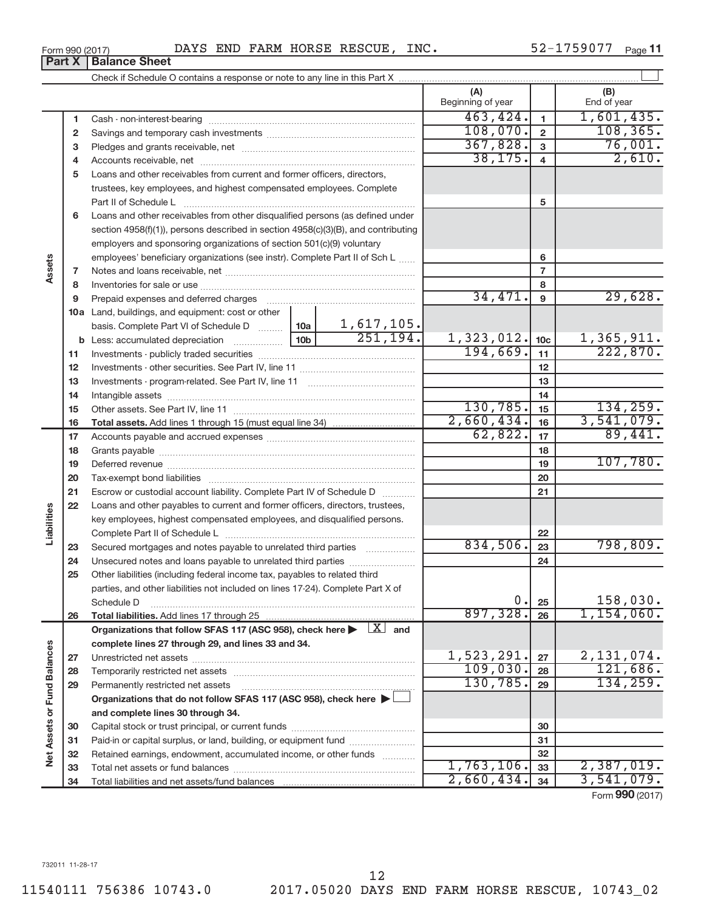| Form 990 (2017) | DAYS END FARM HORSE RESCUE, I |  |  |  | INC. | 52-1759077 | Page 11 |
|-----------------|-------------------------------|--|--|--|------|------------|---------|
|-----------------|-------------------------------|--|--|--|------|------------|---------|

|                             |    |                                                                                                                                                                                                                               |  |    | (A)<br>Beginning of year |                         | (B)<br>End of year |
|-----------------------------|----|-------------------------------------------------------------------------------------------------------------------------------------------------------------------------------------------------------------------------------|--|----|--------------------------|-------------------------|--------------------|
|                             | 1  |                                                                                                                                                                                                                               |  |    | 463, 424.                | $\blacksquare$          | 1,601,435.         |
|                             | 2  |                                                                                                                                                                                                                               |  |    | 108,070.                 | $\overline{\mathbf{2}}$ | 108, 365.          |
|                             | з  |                                                                                                                                                                                                                               |  |    | 367,828.                 | $\mathbf{3}$            | 76,001.            |
|                             | 4  |                                                                                                                                                                                                                               |  |    | 38, 175.                 | $\overline{\mathbf{4}}$ | 2,610.             |
|                             | 5  | Loans and other receivables from current and former officers, directors,                                                                                                                                                      |  |    |                          |                         |                    |
|                             |    | trustees, key employees, and highest compensated employees. Complete                                                                                                                                                          |  |    |                          |                         |                    |
|                             |    | Part II of Schedule L                                                                                                                                                                                                         |  |    |                          | 5                       |                    |
|                             | 6  | Loans and other receivables from other disqualified persons (as defined under                                                                                                                                                 |  |    |                          |                         |                    |
|                             |    | section 4958(f)(1)), persons described in section 4958(c)(3)(B), and contributing                                                                                                                                             |  |    |                          |                         |                    |
|                             |    | employers and sponsoring organizations of section 501(c)(9) voluntary                                                                                                                                                         |  |    |                          |                         |                    |
|                             |    | employees' beneficiary organizations (see instr). Complete Part II of Sch L                                                                                                                                                   |  |    | 6                        |                         |                    |
| Assets                      | 7  |                                                                                                                                                                                                                               |  |    |                          | $\overline{7}$          |                    |
|                             | 8  |                                                                                                                                                                                                                               |  |    |                          | 8                       |                    |
|                             | 9  | Prepaid expenses and deferred charges [11] [11] Prepaid expenses and deferred charges [11] [11] Martin Marian Marian Marian Marian Marian Marian Marian Marian Marian Marian Marian Marian Marian Marian Marian Marian Marian |  |    | 34,471.                  | $\boldsymbol{9}$        | 29,628.            |
|                             |    | 10a Land, buildings, and equipment: cost or other                                                                                                                                                                             |  |    |                          |                         |                    |
|                             |    |                                                                                                                                                                                                                               |  |    |                          |                         |                    |
|                             |    | <b>b</b> Less: accumulated depreciation                                                                                                                                                                                       |  |    | 1,323,012.               | 10 <sub>c</sub>         | 1,365,911.         |
|                             | 11 |                                                                                                                                                                                                                               |  |    | 194,669.                 | 11                      | 222,870.           |
|                             | 12 |                                                                                                                                                                                                                               |  |    | 12                       |                         |                    |
|                             | 13 |                                                                                                                                                                                                                               |  |    | 13                       |                         |                    |
|                             | 14 |                                                                                                                                                                                                                               |  | 14 |                          |                         |                    |
|                             | 15 |                                                                                                                                                                                                                               |  |    | 130,785.                 | 15                      | 134, 259.          |
|                             | 16 |                                                                                                                                                                                                                               |  |    | 2,660,434.               | 16                      | 3,541,079.         |
|                             | 17 |                                                                                                                                                                                                                               |  |    | 62,822.                  | 17                      | 89,441.            |
|                             | 18 |                                                                                                                                                                                                                               |  | 18 |                          |                         |                    |
|                             | 19 |                                                                                                                                                                                                                               |  |    | 19                       | 107,780.                |                    |
|                             | 20 |                                                                                                                                                                                                                               |  |    |                          | 20                      |                    |
|                             | 21 | Escrow or custodial account liability. Complete Part IV of Schedule D                                                                                                                                                         |  |    |                          | 21                      |                    |
|                             | 22 | Loans and other payables to current and former officers, directors, trustees,                                                                                                                                                 |  |    |                          |                         |                    |
|                             |    | key employees, highest compensated employees, and disqualified persons.                                                                                                                                                       |  |    |                          |                         |                    |
| Liabilities                 |    |                                                                                                                                                                                                                               |  |    |                          | 22                      |                    |
|                             | 23 | Secured mortgages and notes payable to unrelated third parties                                                                                                                                                                |  |    | 834,506.                 | 23                      | 798,809.           |
|                             | 24 | Unsecured notes and loans payable to unrelated third parties                                                                                                                                                                  |  |    |                          | 24                      |                    |
|                             | 25 | Other liabilities (including federal income tax, payables to related third                                                                                                                                                    |  |    |                          |                         |                    |
|                             |    | parties, and other liabilities not included on lines 17-24). Complete Part X of                                                                                                                                               |  |    | 0.                       |                         | 158,030.           |
|                             | 26 | Schedule D                                                                                                                                                                                                                    |  |    | 897, 328.                | 25<br>26                | 1,154,060.         |
|                             |    | Organizations that follow SFAS 117 (ASC 958), check here $\blacktriangleright \begin{array}{c} \boxed{X} \end{array}$ and                                                                                                     |  |    |                          |                         |                    |
|                             |    | complete lines 27 through 29, and lines 33 and 34.                                                                                                                                                                            |  |    |                          |                         |                    |
|                             | 27 |                                                                                                                                                                                                                               |  |    | 1,523,291.               | 27                      | 2, 131, 074.       |
|                             | 28 |                                                                                                                                                                                                                               |  |    | 109,030.                 | 28                      | 121,686.           |
|                             | 29 | Permanently restricted net assets                                                                                                                                                                                             |  |    | 130,785.                 | 29                      | 134, 259.          |
|                             |    | Organizations that do not follow SFAS 117 (ASC 958), check here $\blacktriangleright$                                                                                                                                         |  |    |                          |                         |                    |
|                             |    | and complete lines 30 through 34.                                                                                                                                                                                             |  |    |                          |                         |                    |
| Net Assets or Fund Balances | 30 |                                                                                                                                                                                                                               |  |    |                          | 30                      |                    |
|                             | 31 | Paid-in or capital surplus, or land, building, or equipment fund                                                                                                                                                              |  |    |                          | 31                      |                    |
|                             | 32 | Retained earnings, endowment, accumulated income, or other funds                                                                                                                                                              |  |    |                          | 32                      |                    |
|                             | 33 |                                                                                                                                                                                                                               |  |    | 1,763,106.               | 33                      | 2,387,019.         |
|                             | 34 |                                                                                                                                                                                                                               |  |    | 2,660,434.               | 34                      | 3,541,079.         |
|                             |    |                                                                                                                                                                                                                               |  |    |                          |                         | Form 990 (2017)    |

**Part X Balance Sheet**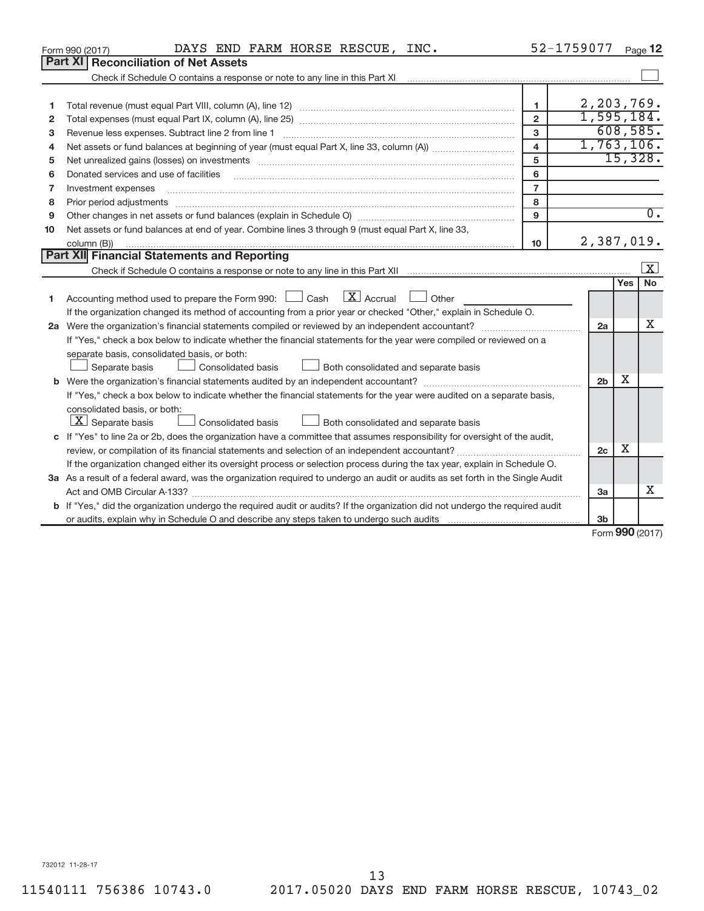|              | DAYS END FARM HORSE RESCUE, INC.<br>Form 990 (2017)                                                                                                                                                                            | 52-1759077              |                |     | Page 12                     |
|--------------|--------------------------------------------------------------------------------------------------------------------------------------------------------------------------------------------------------------------------------|-------------------------|----------------|-----|-----------------------------|
|              | Part XI<br><b>Reconciliation of Net Assets</b>                                                                                                                                                                                 |                         |                |     |                             |
|              |                                                                                                                                                                                                                                |                         |                |     |                             |
|              |                                                                                                                                                                                                                                |                         |                |     |                             |
| 1            |                                                                                                                                                                                                                                | $\mathbf{1}$            | 2, 203, 769.   |     |                             |
| $\mathbf{2}$ |                                                                                                                                                                                                                                | $\overline{2}$          | 1,595,184.     |     |                             |
| 3            |                                                                                                                                                                                                                                | 3                       |                |     | 608,585.                    |
| 4            |                                                                                                                                                                                                                                | $\overline{\mathbf{4}}$ | 1,763,106.     |     |                             |
| 5            | Net unrealized gains (losses) on investments [111] matter in the contract of the contract of the contract of the contract of the contract of the contract of the contract of the contract of the contract of the contract of t | 5                       |                |     | 15,328.                     |
| 6            |                                                                                                                                                                                                                                | 6                       |                |     |                             |
| 7            | Investment expenses                                                                                                                                                                                                            | $\overline{7}$          |                |     |                             |
| 8            |                                                                                                                                                                                                                                | 8                       |                |     |                             |
| 9            |                                                                                                                                                                                                                                | 9                       |                |     | $\overline{0}$ .            |
| 10           | Net assets or fund balances at end of year. Combine lines 3 through 9 (must equal Part X, line 33,                                                                                                                             |                         |                |     |                             |
|              | column (B))                                                                                                                                                                                                                    | 10                      | 2,387,019.     |     |                             |
|              | <b>Part XII Financial Statements and Reporting</b>                                                                                                                                                                             |                         |                |     |                             |
|              |                                                                                                                                                                                                                                |                         |                |     | X                           |
|              |                                                                                                                                                                                                                                |                         |                | Yes | <b>No</b>                   |
| 1            | $\mathbf{X}$ Accrual<br>Accounting method used to prepare the Form 990: [13] Cash<br>$\Box$ Other                                                                                                                              |                         |                |     |                             |
|              | If the organization changed its method of accounting from a prior year or checked "Other," explain in Schedule O.                                                                                                              |                         |                |     |                             |
|              |                                                                                                                                                                                                                                |                         | 2a             |     | X                           |
|              | If "Yes," check a box below to indicate whether the financial statements for the year were compiled or reviewed on a                                                                                                           |                         |                |     |                             |
|              | separate basis, consolidated basis, or both:                                                                                                                                                                                   |                         |                |     |                             |
|              | Consolidated basis<br>Both consolidated and separate basis<br>Separate basis                                                                                                                                                   |                         |                |     |                             |
|              |                                                                                                                                                                                                                                |                         | 2 <sub>b</sub> | х   |                             |
|              | If "Yes," check a box below to indicate whether the financial statements for the year were audited on a separate basis,                                                                                                        |                         |                |     |                             |
|              | consolidated basis, or both:                                                                                                                                                                                                   |                         |                |     |                             |
|              | $X$ Separate basis<br>Both consolidated and separate basis<br>Consolidated basis                                                                                                                                               |                         |                |     |                             |
|              | c If "Yes" to line 2a or 2b, does the organization have a committee that assumes responsibility for oversight of the audit,                                                                                                    |                         |                |     |                             |
|              |                                                                                                                                                                                                                                |                         | 2c             | х   |                             |
|              | If the organization changed either its oversight process or selection process during the tax year, explain in Schedule O.                                                                                                      |                         |                |     |                             |
|              | 3a As a result of a federal award, was the organization required to undergo an audit or audits as set forth in the Single Audit                                                                                                |                         |                |     |                             |
|              |                                                                                                                                                                                                                                |                         | 3a             |     | X                           |
|              | <b>b</b> If "Yes," did the organization undergo the required audit or audits? If the organization did not undergo the required audit                                                                                           |                         |                |     |                             |
|              |                                                                                                                                                                                                                                |                         | 3 <sub>b</sub> |     |                             |
|              |                                                                                                                                                                                                                                |                         |                |     | $F_{\text{OCD}}$ 990 (2017) |

Form (2017) **990**

732012 11-28-17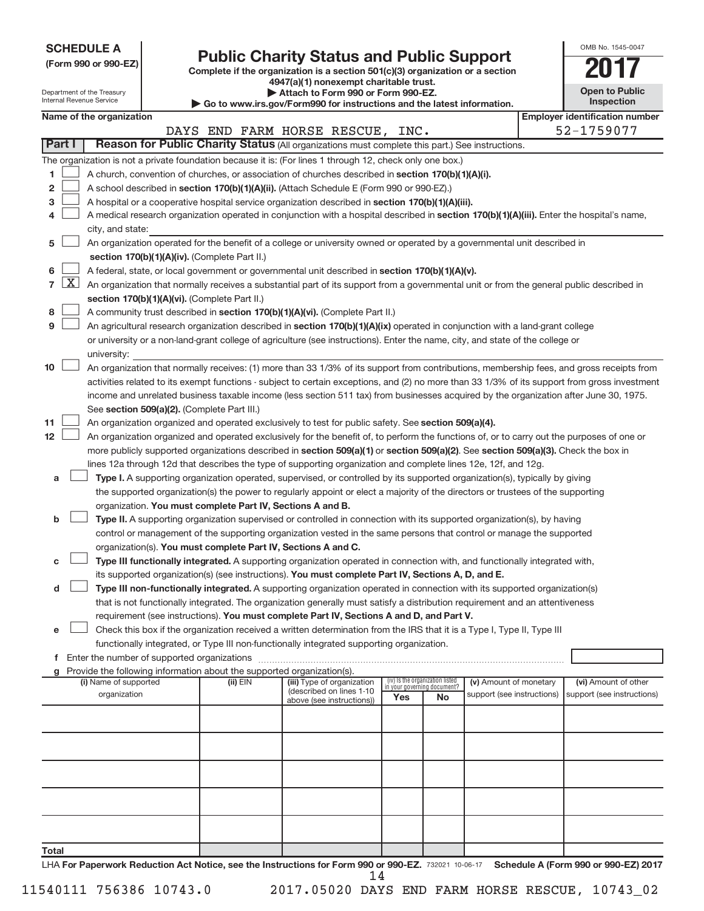| <b>SCHEDULE A</b> |  |
|-------------------|--|
|-------------------|--|

Department of the Treasury a unon<br>nal Rev

# Form 990 or 990-EZ)<br>
Complete if the organization is a section 501(c)(3) organization or a section<br> **2017**

**4947(a)(1) nonexempt charitable trust. | Attach to Form 990 or Form 990-EZ.** 

**| Go to www.irs.gov/Form990 for instructions and the latest information.**

| OMB No 1545-0047                    |  |
|-------------------------------------|--|
|                                     |  |
| <b>Open to Public</b><br>Inspection |  |
|                                     |  |

|                 |                     |                                                                                                                                                                                            |  |            | $\blacktriangleright$ Go to www.irs.gov/Form990 for instructions and the latest information.                                                  |                             |                                 |                                                      |  | <b>IIISPECUOLI</b>                                  |  |  |
|-----------------|---------------------|--------------------------------------------------------------------------------------------------------------------------------------------------------------------------------------------|--|------------|-----------------------------------------------------------------------------------------------------------------------------------------------|-----------------------------|---------------------------------|------------------------------------------------------|--|-----------------------------------------------------|--|--|
|                 |                     | Name of the organization                                                                                                                                                                   |  |            | DAYS END FARM HORSE RESCUE, INC.                                                                                                              |                             |                                 |                                                      |  | <b>Employer identification number</b><br>52-1759077 |  |  |
|                 | Part I              |                                                                                                                                                                                            |  |            | Reason for Public Charity Status (All organizations must complete this part.) See instructions.                                               |                             |                                 |                                                      |  |                                                     |  |  |
|                 |                     |                                                                                                                                                                                            |  |            | The organization is not a private foundation because it is: (For lines 1 through 12, check only one box.)                                     |                             |                                 |                                                      |  |                                                     |  |  |
| 1               |                     |                                                                                                                                                                                            |  |            | A church, convention of churches, or association of churches described in section 170(b)(1)(A)(i).                                            |                             |                                 |                                                      |  |                                                     |  |  |
| 2               |                     |                                                                                                                                                                                            |  |            | A school described in section 170(b)(1)(A)(ii). (Attach Schedule E (Form 990 or 990-EZ).)                                                     |                             |                                 |                                                      |  |                                                     |  |  |
| з               |                     |                                                                                                                                                                                            |  |            | A hospital or a cooperative hospital service organization described in section 170(b)(1)(A)(iii).                                             |                             |                                 |                                                      |  |                                                     |  |  |
| 4               |                     |                                                                                                                                                                                            |  |            | A medical research organization operated in conjunction with a hospital described in section 170(b)(1)(A)(iii). Enter the hospital's name,    |                             |                                 |                                                      |  |                                                     |  |  |
|                 |                     | city, and state:                                                                                                                                                                           |  |            |                                                                                                                                               |                             |                                 |                                                      |  |                                                     |  |  |
| 5               |                     |                                                                                                                                                                                            |  |            | An organization operated for the benefit of a college or university owned or operated by a governmental unit described in                     |                             |                                 |                                                      |  |                                                     |  |  |
|                 |                     | section 170(b)(1)(A)(iv). (Complete Part II.)                                                                                                                                              |  |            |                                                                                                                                               |                             |                                 |                                                      |  |                                                     |  |  |
|                 |                     |                                                                                                                                                                                            |  |            | A federal, state, or local government or governmental unit described in section 170(b)(1)(A)(v).                                              |                             |                                 |                                                      |  |                                                     |  |  |
| 6               | $\lfloor x \rfloor$ |                                                                                                                                                                                            |  |            |                                                                                                                                               |                             |                                 |                                                      |  |                                                     |  |  |
| $\overline{7}$  |                     | An organization that normally receives a substantial part of its support from a governmental unit or from the general public described in<br>section 170(b)(1)(A)(vi). (Complete Part II.) |  |            |                                                                                                                                               |                             |                                 |                                                      |  |                                                     |  |  |
|                 |                     |                                                                                                                                                                                            |  |            |                                                                                                                                               |                             |                                 |                                                      |  |                                                     |  |  |
| 8               |                     |                                                                                                                                                                                            |  |            | A community trust described in section 170(b)(1)(A)(vi). (Complete Part II.)                                                                  |                             |                                 |                                                      |  |                                                     |  |  |
| 9               |                     |                                                                                                                                                                                            |  |            | An agricultural research organization described in section 170(b)(1)(A)(ix) operated in conjunction with a land-grant college                 |                             |                                 |                                                      |  |                                                     |  |  |
|                 |                     |                                                                                                                                                                                            |  |            | or university or a non-land-grant college of agriculture (see instructions). Enter the name, city, and state of the college or                |                             |                                 |                                                      |  |                                                     |  |  |
|                 |                     | university:                                                                                                                                                                                |  |            |                                                                                                                                               |                             |                                 |                                                      |  |                                                     |  |  |
| 10              |                     |                                                                                                                                                                                            |  |            | An organization that normally receives: (1) more than 33 1/3% of its support from contributions, membership fees, and gross receipts from     |                             |                                 |                                                      |  |                                                     |  |  |
|                 |                     |                                                                                                                                                                                            |  |            | activities related to its exempt functions - subject to certain exceptions, and (2) no more than 33 1/3% of its support from gross investment |                             |                                 |                                                      |  |                                                     |  |  |
|                 |                     |                                                                                                                                                                                            |  |            | income and unrelated business taxable income (less section 511 tax) from businesses acquired by the organization after June 30, 1975.         |                             |                                 |                                                      |  |                                                     |  |  |
|                 |                     | See section 509(a)(2). (Complete Part III.)                                                                                                                                                |  |            |                                                                                                                                               |                             |                                 |                                                      |  |                                                     |  |  |
| 11              |                     |                                                                                                                                                                                            |  |            | An organization organized and operated exclusively to test for public safety. See section 509(a)(4).                                          |                             |                                 |                                                      |  |                                                     |  |  |
| 12 <sub>2</sub> |                     |                                                                                                                                                                                            |  |            | An organization organized and operated exclusively for the benefit of, to perform the functions of, or to carry out the purposes of one or    |                             |                                 |                                                      |  |                                                     |  |  |
|                 |                     |                                                                                                                                                                                            |  |            | more publicly supported organizations described in section 509(a)(1) or section 509(a)(2). See section 509(a)(3). Check the box in            |                             |                                 |                                                      |  |                                                     |  |  |
|                 |                     |                                                                                                                                                                                            |  |            | lines 12a through 12d that describes the type of supporting organization and complete lines 12e, 12f, and 12g.                                |                             |                                 |                                                      |  |                                                     |  |  |
| а               |                     |                                                                                                                                                                                            |  |            | Type I. A supporting organization operated, supervised, or controlled by its supported organization(s), typically by giving                   |                             |                                 |                                                      |  |                                                     |  |  |
|                 |                     |                                                                                                                                                                                            |  |            | the supported organization(s) the power to regularly appoint or elect a majority of the directors or trustees of the supporting               |                             |                                 |                                                      |  |                                                     |  |  |
|                 |                     | organization. You must complete Part IV, Sections A and B.                                                                                                                                 |  |            |                                                                                                                                               |                             |                                 |                                                      |  |                                                     |  |  |
| b               |                     |                                                                                                                                                                                            |  |            | Type II. A supporting organization supervised or controlled in connection with its supported organization(s), by having                       |                             |                                 |                                                      |  |                                                     |  |  |
|                 |                     |                                                                                                                                                                                            |  |            | control or management of the supporting organization vested in the same persons that control or manage the supported                          |                             |                                 |                                                      |  |                                                     |  |  |
|                 |                     | organization(s). You must complete Part IV, Sections A and C.                                                                                                                              |  |            |                                                                                                                                               |                             |                                 |                                                      |  |                                                     |  |  |
| с               |                     |                                                                                                                                                                                            |  |            | Type III functionally integrated. A supporting organization operated in connection with, and functionally integrated with,                    |                             |                                 |                                                      |  |                                                     |  |  |
|                 |                     |                                                                                                                                                                                            |  |            | its supported organization(s) (see instructions). You must complete Part IV, Sections A, D, and E.                                            |                             |                                 |                                                      |  |                                                     |  |  |
| d               |                     |                                                                                                                                                                                            |  |            | Type III non-functionally integrated. A supporting organization operated in connection with its supported organization(s)                     |                             |                                 |                                                      |  |                                                     |  |  |
|                 |                     |                                                                                                                                                                                            |  |            | that is not functionally integrated. The organization generally must satisfy a distribution requirement and an attentiveness                  |                             |                                 |                                                      |  |                                                     |  |  |
|                 |                     |                                                                                                                                                                                            |  |            | requirement (see instructions). You must complete Part IV, Sections A and D, and Part V.                                                      |                             |                                 |                                                      |  |                                                     |  |  |
| е               |                     |                                                                                                                                                                                            |  |            | Check this box if the organization received a written determination from the IRS that it is a Type I, Type II, Type III                       |                             |                                 |                                                      |  |                                                     |  |  |
|                 |                     |                                                                                                                                                                                            |  |            | functionally integrated, or Type III non-functionally integrated supporting organization.                                                     |                             |                                 |                                                      |  |                                                     |  |  |
| f.              |                     |                                                                                                                                                                                            |  |            |                                                                                                                                               |                             |                                 |                                                      |  |                                                     |  |  |
|                 |                     | Provide the following information about the supported organization(s).                                                                                                                     |  |            |                                                                                                                                               |                             | (iv) Is the organization listed |                                                      |  |                                                     |  |  |
|                 |                     | (i) Name of supported<br>organization                                                                                                                                                      |  | $(ii)$ EIN | (iii) Type of organization<br>(described on lines 1-10                                                                                        | in your governing document? |                                 | (v) Amount of monetary<br>support (see instructions) |  | (vi) Amount of other<br>support (see instructions)  |  |  |
|                 |                     |                                                                                                                                                                                            |  |            | above (see instructions))                                                                                                                     | Yes                         | No                              |                                                      |  |                                                     |  |  |
|                 |                     |                                                                                                                                                                                            |  |            |                                                                                                                                               |                             |                                 |                                                      |  |                                                     |  |  |
|                 |                     |                                                                                                                                                                                            |  |            |                                                                                                                                               |                             |                                 |                                                      |  |                                                     |  |  |
|                 |                     |                                                                                                                                                                                            |  |            |                                                                                                                                               |                             |                                 |                                                      |  |                                                     |  |  |
|                 |                     |                                                                                                                                                                                            |  |            |                                                                                                                                               |                             |                                 |                                                      |  |                                                     |  |  |
|                 |                     |                                                                                                                                                                                            |  |            |                                                                                                                                               |                             |                                 |                                                      |  |                                                     |  |  |
|                 |                     |                                                                                                                                                                                            |  |            |                                                                                                                                               |                             |                                 |                                                      |  |                                                     |  |  |
|                 |                     |                                                                                                                                                                                            |  |            |                                                                                                                                               |                             |                                 |                                                      |  |                                                     |  |  |
|                 |                     |                                                                                                                                                                                            |  |            |                                                                                                                                               |                             |                                 |                                                      |  |                                                     |  |  |
| <b>Total</b>    |                     |                                                                                                                                                                                            |  |            |                                                                                                                                               |                             |                                 |                                                      |  |                                                     |  |  |
|                 |                     |                                                                                                                                                                                            |  |            |                                                                                                                                               |                             |                                 |                                                      |  |                                                     |  |  |

LHA For Paperwork Reduction Act Notice, see the Instructions for Form 990 or 990-EZ. 732021 10-06-17 Schedule A (Form 990 or 990-EZ) 2017 14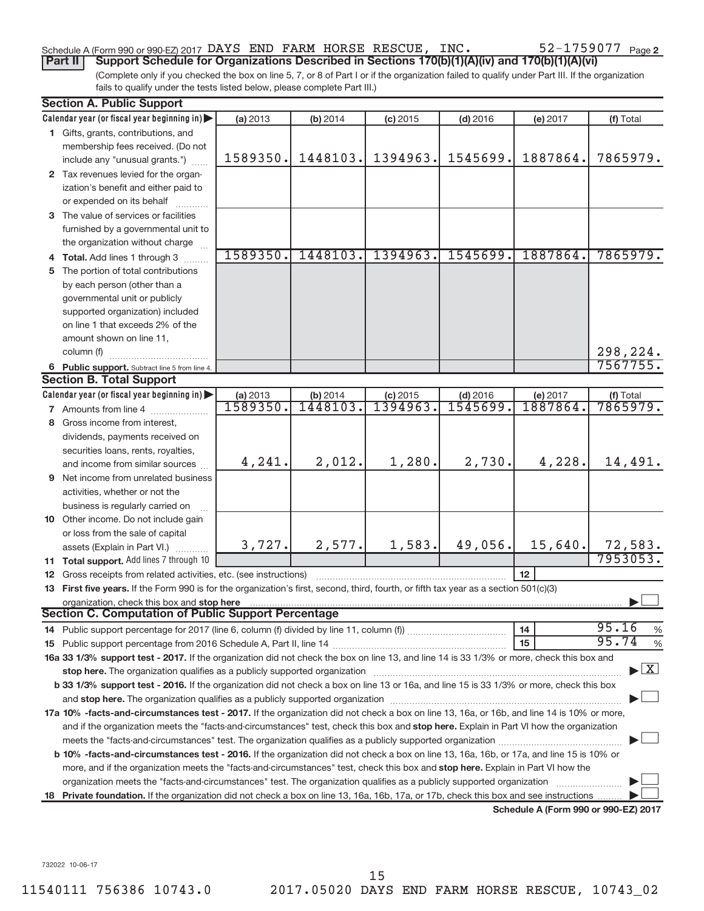# Schedule A (Form 990 or 990-EZ) 2017 DAYS END FARM HORSE RESCUE, INC.  $52-1759077$  Page

(Complete only if you checked the box on line 5, 7, or 8 of Part I or if the organization failed to qualify under Part III. If the organization **Part II** | Support Schedule for Organizations Described in Sections 170(b)(1)(A)(iv) and 170(b)(1)(A)(vi)

fails to qualify under the tests listed below, please complete Part III.)

|     | <b>Section A. Public Support</b>                                                                                                                                                                                               |                      |                     |                       |                        |                                      |                                    |
|-----|--------------------------------------------------------------------------------------------------------------------------------------------------------------------------------------------------------------------------------|----------------------|---------------------|-----------------------|------------------------|--------------------------------------|------------------------------------|
|     | Calendar year (or fiscal year beginning in)                                                                                                                                                                                    | (a) 2013             | (b) 2014            | $(c)$ 2015            | $(d)$ 2016             | (e) 2017                             | (f) Total                          |
|     | 1 Gifts, grants, contributions, and                                                                                                                                                                                            |                      |                     |                       |                        |                                      |                                    |
|     | membership fees received. (Do not                                                                                                                                                                                              |                      |                     |                       |                        |                                      |                                    |
|     | include any "unusual grants.")                                                                                                                                                                                                 | 1589350.             | 1448103.            | 1394963.              | 1545699.               | 1887864.                             | 7865979.                           |
|     | 2 Tax revenues levied for the organ-                                                                                                                                                                                           |                      |                     |                       |                        |                                      |                                    |
|     | ization's benefit and either paid to                                                                                                                                                                                           |                      |                     |                       |                        |                                      |                                    |
|     | or expended on its behalf                                                                                                                                                                                                      |                      |                     |                       |                        |                                      |                                    |
|     | 3 The value of services or facilities                                                                                                                                                                                          |                      |                     |                       |                        |                                      |                                    |
|     | furnished by a governmental unit to                                                                                                                                                                                            |                      |                     |                       |                        |                                      |                                    |
|     | the organization without charge                                                                                                                                                                                                |                      |                     |                       |                        |                                      |                                    |
|     | 4 Total. Add lines 1 through 3                                                                                                                                                                                                 | 1589350.             | 1448103.            | 1394963.              | 1545699.               | 1887864.                             | 7865979.                           |
|     | 5 The portion of total contributions                                                                                                                                                                                           |                      |                     |                       |                        |                                      |                                    |
|     | by each person (other than a                                                                                                                                                                                                   |                      |                     |                       |                        |                                      |                                    |
|     | governmental unit or publicly                                                                                                                                                                                                  |                      |                     |                       |                        |                                      |                                    |
|     | supported organization) included                                                                                                                                                                                               |                      |                     |                       |                        |                                      |                                    |
|     | on line 1 that exceeds 2% of the                                                                                                                                                                                               |                      |                     |                       |                        |                                      |                                    |
|     | amount shown on line 11.                                                                                                                                                                                                       |                      |                     |                       |                        |                                      |                                    |
|     | column (f)                                                                                                                                                                                                                     |                      |                     |                       |                        |                                      | 298,224.                           |
|     | 6 Public support. Subtract line 5 from line 4.                                                                                                                                                                                 |                      |                     |                       |                        |                                      | 7567755.                           |
|     | <b>Section B. Total Support</b>                                                                                                                                                                                                |                      |                     |                       |                        |                                      |                                    |
|     | Calendar year (or fiscal year beginning in)                                                                                                                                                                                    | (a) 2013<br>1589350. | (b) 2014<br>1448103 | $(c)$ 2015<br>1394963 | $(d)$ 2016<br>1545699. | (e) 2017<br>1887864.                 | (f) Total<br>7865979.              |
|     | 7 Amounts from line 4                                                                                                                                                                                                          |                      |                     |                       |                        |                                      |                                    |
| 8   | Gross income from interest,                                                                                                                                                                                                    |                      |                     |                       |                        |                                      |                                    |
|     | dividends, payments received on                                                                                                                                                                                                |                      |                     |                       |                        |                                      |                                    |
|     | securities loans, rents, royalties,                                                                                                                                                                                            | 4,241.               | 2,012.              | 1,280.                | 2,730.                 | 4,228.                               | 14,491.                            |
|     | and income from similar sources                                                                                                                                                                                                |                      |                     |                       |                        |                                      |                                    |
|     | <b>9</b> Net income from unrelated business                                                                                                                                                                                    |                      |                     |                       |                        |                                      |                                    |
|     | activities, whether or not the                                                                                                                                                                                                 |                      |                     |                       |                        |                                      |                                    |
|     | business is regularly carried on                                                                                                                                                                                               |                      |                     |                       |                        |                                      |                                    |
|     | 10 Other income. Do not include gain                                                                                                                                                                                           |                      |                     |                       |                        |                                      |                                    |
|     | or loss from the sale of capital<br>assets (Explain in Part VI.)                                                                                                                                                               | 3,727.               | 2,577.              | 1,583.                | 49,056.                | 15,640.                              | 72,583.                            |
|     | 11 Total support. Add lines 7 through 10                                                                                                                                                                                       |                      |                     |                       |                        |                                      | 7953053.                           |
| 12  | Gross receipts from related activities, etc. (see instructions)                                                                                                                                                                |                      |                     |                       |                        | 12 <sup>2</sup>                      |                                    |
|     | 13 First five years. If the Form 990 is for the organization's first, second, third, fourth, or fifth tax year as a section 501(c)(3)                                                                                          |                      |                     |                       |                        |                                      |                                    |
|     | organization, check this box and stop here                                                                                                                                                                                     |                      |                     |                       |                        |                                      |                                    |
|     | Section C. Computation of Public Support Percentage                                                                                                                                                                            |                      |                     |                       |                        |                                      |                                    |
|     | 14 Public support percentage for 2017 (line 6, column (f) divided by line 11, column (f)                                                                                                                                       |                      |                     |                       |                        | 14                                   | 95.16<br>%                         |
|     |                                                                                                                                                                                                                                |                      |                     |                       |                        | 15                                   | 95.74<br>$\%$                      |
|     | 16a 33 1/3% support test - 2017. If the organization did not check the box on line 13, and line 14 is 33 1/3% or more, check this box and                                                                                      |                      |                     |                       |                        |                                      |                                    |
|     | stop here. The organization qualifies as a publicly supported organization manufactured content and the organization of the state of the state of the state of the state of the state of the state of the state of the state o |                      |                     |                       |                        |                                      | $\blacktriangleright$ $\mathbf{X}$ |
|     | b 33 1/3% support test - 2016. If the organization did not check a box on line 13 or 16a, and line 15 is 33 1/3% or more, check this box                                                                                       |                      |                     |                       |                        |                                      |                                    |
|     | and stop here. The organization qualifies as a publicly supported organization [11] manuscription manuscription manuscription manuscription manuscription manuscription and stop here. The organization qualifies as a publicl |                      |                     |                       |                        |                                      |                                    |
|     | 17a 10% -facts-and-circumstances test - 2017. If the organization did not check a box on line 13, 16a, or 16b, and line 14 is 10% or more,                                                                                     |                      |                     |                       |                        |                                      |                                    |
|     | and if the organization meets the "facts-and-circumstances" test, check this box and stop here. Explain in Part VI how the organization                                                                                        |                      |                     |                       |                        |                                      |                                    |
|     |                                                                                                                                                                                                                                |                      |                     |                       |                        |                                      |                                    |
|     | b 10% -facts-and-circumstances test - 2016. If the organization did not check a box on line 13, 16a, 16b, or 17a, and line 15 is 10% or                                                                                        |                      |                     |                       |                        |                                      |                                    |
|     | more, and if the organization meets the "facts-and-circumstances" test, check this box and stop here. Explain in Part VI how the                                                                                               |                      |                     |                       |                        |                                      |                                    |
|     | organization meets the "facts-and-circumstances" test. The organization qualifies as a publicly supported organization                                                                                                         |                      |                     |                       |                        |                                      |                                    |
| 18. | Private foundation. If the organization did not check a box on line 13, 16a, 16b, 17a, or 17b, check this box and see instructions                                                                                             |                      |                     |                       |                        |                                      |                                    |
|     |                                                                                                                                                                                                                                |                      |                     |                       |                        | Schedule A (Form 990 or 990-EZ) 2017 |                                    |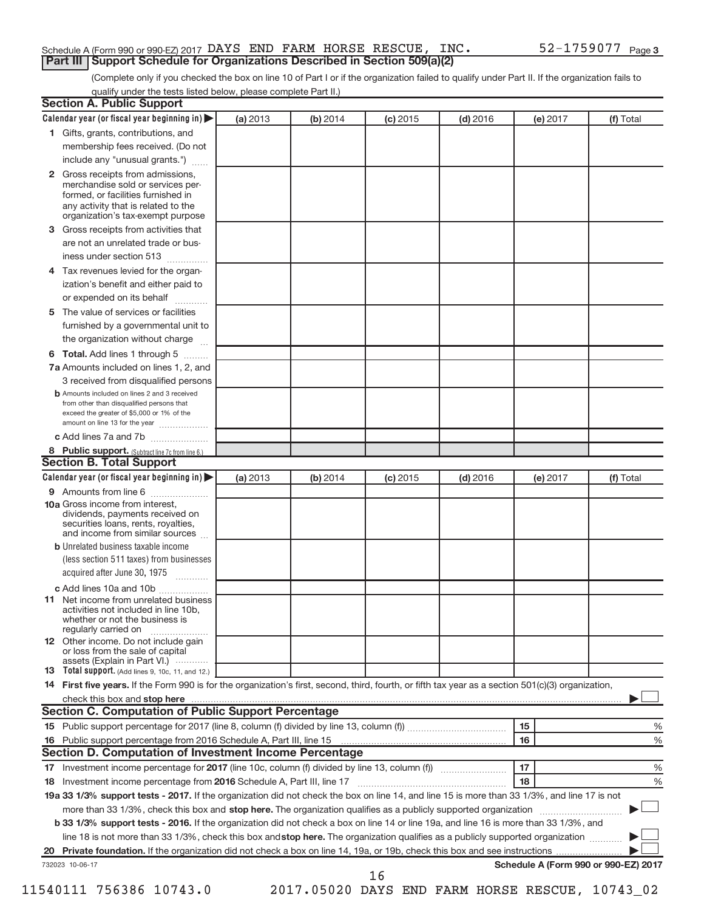## Schedule A (Form 990 or 990-EZ) 2017 DAYS END FARM HORSE RESCUE, INC.  $52-1759077$  Page **Part III | Support Schedule for Organizations Described in Section 509(a)(2)**

(Complete only if you checked the box on line 10 of Part I or if the organization failed to qualify under Part II. If the organization fails to qualify under the tests listed below, please complete Part II.)

| <b>Section A. Public Support</b>                                                                                                                                                         |          |          |            |            |          |                                      |
|------------------------------------------------------------------------------------------------------------------------------------------------------------------------------------------|----------|----------|------------|------------|----------|--------------------------------------|
| Calendar year (or fiscal year beginning in)                                                                                                                                              | (a) 2013 | (b) 2014 | $(c)$ 2015 | $(d)$ 2016 | (e) 2017 | (f) Total                            |
| 1 Gifts, grants, contributions, and                                                                                                                                                      |          |          |            |            |          |                                      |
| membership fees received. (Do not                                                                                                                                                        |          |          |            |            |          |                                      |
| include any "unusual grants.")                                                                                                                                                           |          |          |            |            |          |                                      |
| 2 Gross receipts from admissions,<br>merchandise sold or services per-<br>formed, or facilities furnished in<br>any activity that is related to the<br>organization's tax-exempt purpose |          |          |            |            |          |                                      |
| 3 Gross receipts from activities that                                                                                                                                                    |          |          |            |            |          |                                      |
| are not an unrelated trade or bus-                                                                                                                                                       |          |          |            |            |          |                                      |
| iness under section 513                                                                                                                                                                  |          |          |            |            |          |                                      |
| 4 Tax revenues levied for the organ-                                                                                                                                                     |          |          |            |            |          |                                      |
| ization's benefit and either paid to                                                                                                                                                     |          |          |            |            |          |                                      |
| or expended on its behalf<br>$\overline{\phantom{a}}$                                                                                                                                    |          |          |            |            |          |                                      |
| 5 The value of services or facilities                                                                                                                                                    |          |          |            |            |          |                                      |
| furnished by a governmental unit to                                                                                                                                                      |          |          |            |            |          |                                      |
| the organization without charge                                                                                                                                                          |          |          |            |            |          |                                      |
| 6 Total. Add lines 1 through 5                                                                                                                                                           |          |          |            |            |          |                                      |
| 7a Amounts included on lines 1, 2, and                                                                                                                                                   |          |          |            |            |          |                                      |
| 3 received from disqualified persons                                                                                                                                                     |          |          |            |            |          |                                      |
| <b>b</b> Amounts included on lines 2 and 3 received<br>from other than disqualified persons that<br>exceed the greater of \$5,000 or 1% of the<br>amount on line 13 for the year         |          |          |            |            |          |                                      |
| c Add lines 7a and 7b                                                                                                                                                                    |          |          |            |            |          |                                      |
| 8 Public support. (Subtract line 7c from line 6.)                                                                                                                                        |          |          |            |            |          |                                      |
| <b>Section B. Total Support</b>                                                                                                                                                          |          |          |            |            |          |                                      |
| Calendar year (or fiscal year beginning in)                                                                                                                                              | (a) 2013 | (b) 2014 | $(c)$ 2015 | $(d)$ 2016 | (e) 2017 | (f) Total                            |
| 9 Amounts from line 6                                                                                                                                                                    |          |          |            |            |          |                                      |
| <b>10a</b> Gross income from interest,<br>dividends, payments received on<br>securities loans, rents, royalties,<br>and income from similar sources                                      |          |          |            |            |          |                                      |
| <b>b</b> Unrelated business taxable income                                                                                                                                               |          |          |            |            |          |                                      |
| (less section 511 taxes) from businesses                                                                                                                                                 |          |          |            |            |          |                                      |
| acquired after June 30, 1975                                                                                                                                                             |          |          |            |            |          |                                      |
| c Add lines 10a and 10b                                                                                                                                                                  |          |          |            |            |          |                                      |
| <b>11</b> Net income from unrelated business<br>activities not included in line 10b.<br>whether or not the business is<br>regularly carried on                                           |          |          |            |            |          |                                      |
| 12 Other income. Do not include gain<br>or loss from the sale of capital<br>assets (Explain in Part VI.)                                                                                 |          |          |            |            |          |                                      |
| <b>13</b> Total support. (Add lines 9, 10c, 11, and 12.)                                                                                                                                 |          |          |            |            |          |                                      |
| 14 First five years. If the Form 990 is for the organization's first, second, third, fourth, or fifth tax year as a section 501(c)(3) organization,                                      |          |          |            |            |          |                                      |
|                                                                                                                                                                                          |          |          |            |            |          |                                      |
| <b>Section C. Computation of Public Support Percentage</b>                                                                                                                               |          |          |            |            |          |                                      |
|                                                                                                                                                                                          |          |          |            |            | 15       | %                                    |
| 16 Public support percentage from 2016 Schedule A, Part III, line 15                                                                                                                     |          |          |            |            | 16       | %                                    |
| Section D. Computation of Investment Income Percentage                                                                                                                                   |          |          |            |            |          |                                      |
|                                                                                                                                                                                          |          |          |            |            | 17       | %                                    |
|                                                                                                                                                                                          |          |          |            |            | 18       | %                                    |
| 19a 33 1/3% support tests - 2017. If the organization did not check the box on line 14, and line 15 is more than 33 1/3%, and line 17 is not                                             |          |          |            |            |          |                                      |
| more than 33 1/3%, check this box and stop here. The organization qualifies as a publicly supported organization <i>manameroman</i> many                                                 |          |          |            |            |          |                                      |
| b 33 1/3% support tests - 2016. If the organization did not check a box on line 14 or line 19a, and line 16 is more than 33 1/3%, and                                                    |          |          |            |            |          |                                      |
| line 18 is not more than 33 1/3%, check this box and stop here. The organization qualifies as a publicly supported organization                                                          |          |          |            |            |          |                                      |
|                                                                                                                                                                                          |          |          |            |            |          |                                      |
| 732023 10-06-17                                                                                                                                                                          |          |          | 16         |            |          | Schedule A (Form 990 or 990-EZ) 2017 |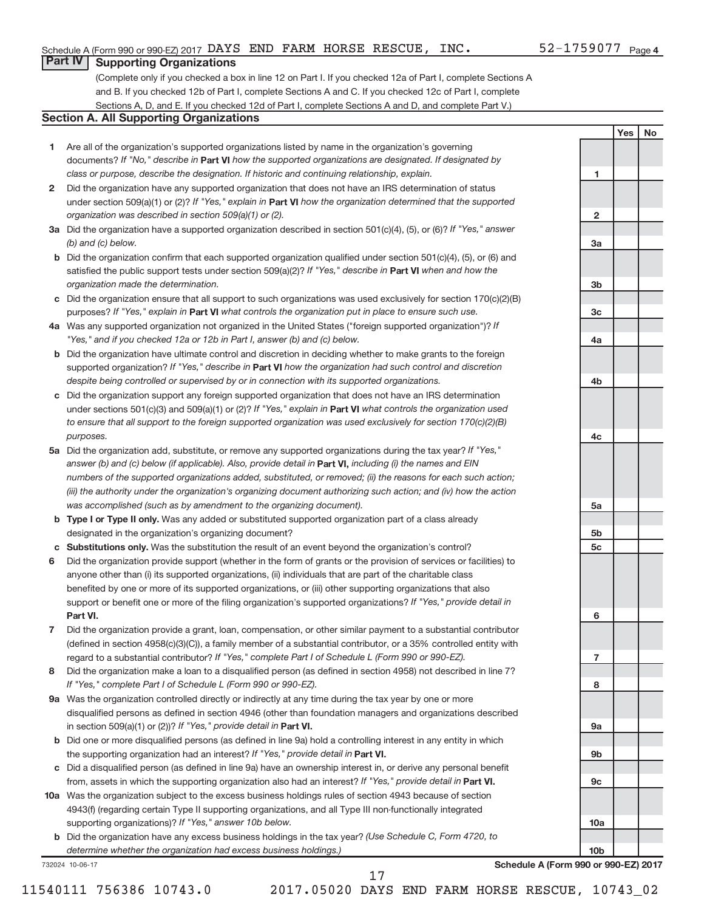**1**

**2**

**3a**

**3b**

**3c**

**4a**

**4b**

**4c**

**5a**

**5b 5c**

**6**

**7**

**8**

**9a**

**9b**

**9c**

**10a**

**10b**

**Yes No**

## **Part IV Supporting Organizations**

(Complete only if you checked a box in line 12 on Part I. If you checked 12a of Part I, complete Sections A and B. If you checked 12b of Part I, complete Sections A and C. If you checked 12c of Part I, complete Sections A, D, and E. If you checked 12d of Part I, complete Sections A and D, and complete Part V.)

### **Section A. All Supporting Organizations**

- **1** Are all of the organization's supported organizations listed by name in the organization's governing documents? If "No," describe in Part VI how the supported organizations are designated. If designated by *class or purpose, describe the designation. If historic and continuing relationship, explain.*
- **2** Did the organization have any supported organization that does not have an IRS determination of status under section 509(a)(1) or (2)? If "Yes," explain in Part **VI** how the organization determined that the supported *organization was described in section 509(a)(1) or (2).*
- **3a** Did the organization have a supported organization described in section 501(c)(4), (5), or (6)? If "Yes," answer *(b) and (c) below.*
- **b** Did the organization confirm that each supported organization qualified under section 501(c)(4), (5), or (6) and satisfied the public support tests under section 509(a)(2)? If "Yes," describe in Part VI when and how the *organization made the determination.*
- **c** Did the organization ensure that all support to such organizations was used exclusively for section 170(c)(2)(B) purposes? If "Yes," explain in Part VI what controls the organization put in place to ensure such use.
- **4 a** *If* Was any supported organization not organized in the United States ("foreign supported organization")? *"Yes," and if you checked 12a or 12b in Part I, answer (b) and (c) below.*
- **b** Did the organization have ultimate control and discretion in deciding whether to make grants to the foreign supported organization? If "Yes," describe in Part VI how the organization had such control and discretion *despite being controlled or supervised by or in connection with its supported organizations.*
- **c** Did the organization support any foreign supported organization that does not have an IRS determination under sections 501(c)(3) and 509(a)(1) or (2)? If "Yes," explain in Part VI what controls the organization used *to ensure that all support to the foreign supported organization was used exclusively for section 170(c)(2)(B) purposes.*
- **5a** Did the organization add, substitute, or remove any supported organizations during the tax year? If "Yes," answer (b) and (c) below (if applicable). Also, provide detail in **Part VI,** including (i) the names and EIN *numbers of the supported organizations added, substituted, or removed; (ii) the reasons for each such action; (iii) the authority under the organization's organizing document authorizing such action; and (iv) how the action was accomplished (such as by amendment to the organizing document).*
- **b** Type I or Type II only. Was any added or substituted supported organization part of a class already designated in the organization's organizing document?
- **c Substitutions only.**  Was the substitution the result of an event beyond the organization's control?
- **6** Did the organization provide support (whether in the form of grants or the provision of services or facilities) to **Part VI.** support or benefit one or more of the filing organization's supported organizations? If "Yes," provide detail in anyone other than (i) its supported organizations, (ii) individuals that are part of the charitable class benefited by one or more of its supported organizations, or (iii) other supporting organizations that also
- **7** Did the organization provide a grant, loan, compensation, or other similar payment to a substantial contributor regard to a substantial contributor? If "Yes," complete Part I of Schedule L (Form 990 or 990-EZ). (defined in section 4958(c)(3)(C)), a family member of a substantial contributor, or a 35% controlled entity with
- **8** Did the organization make a loan to a disqualified person (as defined in section 4958) not described in line 7? *If "Yes," complete Part I of Schedule L (Form 990 or 990-EZ).*
- **9 a** Was the organization controlled directly or indirectly at any time during the tax year by one or more in section 509(a)(1) or (2))? If "Yes," provide detail in **Part VI.** disqualified persons as defined in section 4946 (other than foundation managers and organizations described
- **b** Did one or more disqualified persons (as defined in line 9a) hold a controlling interest in any entity in which the supporting organization had an interest? If "Yes," provide detail in Part VI.
- **c** Did a disqualified person (as defined in line 9a) have an ownership interest in, or derive any personal benefit from, assets in which the supporting organization also had an interest? If "Yes," provide detail in Part VI.
- **10 a** Was the organization subject to the excess business holdings rules of section 4943 because of section supporting organizations)? If "Yes," answer 10b below. 4943(f) (regarding certain Type II supporting organizations, and all Type III non-functionally integrated
	- **b** Did the organization have any excess business holdings in the tax year? (Use Schedule C, Form 4720, to *determine whether the organization had excess business holdings.)*

732024 10-06-17

**Schedule A (Form 990 or 990-EZ) 2017**

17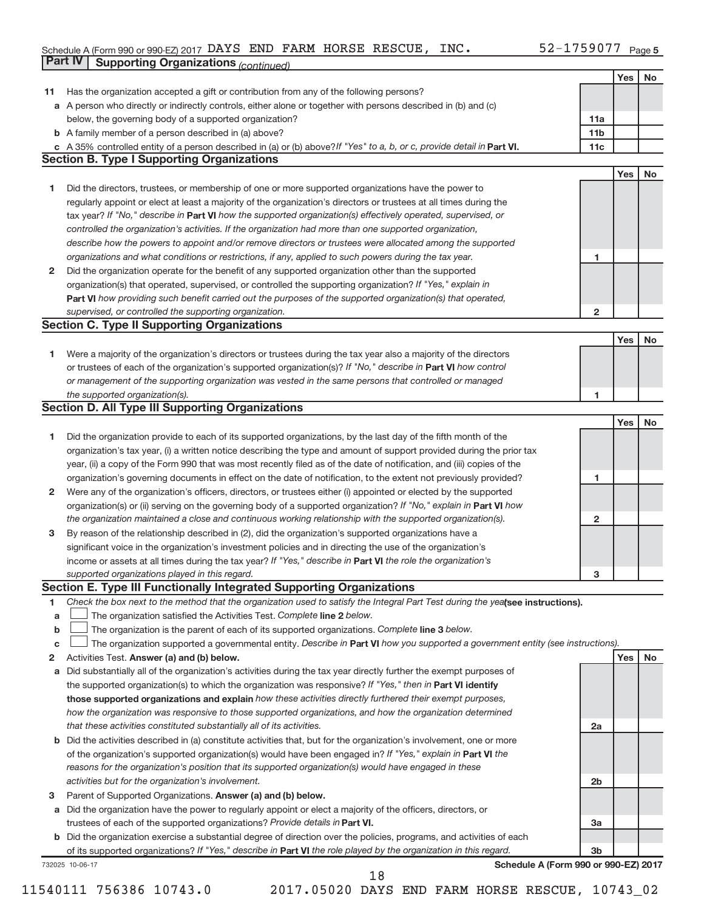#### Schedule A (Form 990 or 990-EZ) 2017 DAYS END FARM HORSE RESCUE, INC.  $52 - 1759077$  Page DAYS END FARM HORSE RESCUE, INC. 52-1759077

|              | Part IV<br><b>Supporting Organizations (continued)</b>                                                                          |                 |     |           |
|--------------|---------------------------------------------------------------------------------------------------------------------------------|-----------------|-----|-----------|
|              |                                                                                                                                 |                 | Yes | No        |
| 11           | Has the organization accepted a gift or contribution from any of the following persons?                                         |                 |     |           |
|              | a A person who directly or indirectly controls, either alone or together with persons described in (b) and (c)                  |                 |     |           |
|              | below, the governing body of a supported organization?                                                                          | 11a             |     |           |
|              | <b>b</b> A family member of a person described in (a) above?                                                                    | 11 <sub>b</sub> |     |           |
|              | c A 35% controlled entity of a person described in (a) or (b) above? If "Yes" to a, b, or c, provide detail in Part VI.         | 11c             |     |           |
|              | <b>Section B. Type I Supporting Organizations</b>                                                                               |                 |     |           |
|              |                                                                                                                                 |                 | Yes | <b>No</b> |
| 1            | Did the directors, trustees, or membership of one or more supported organizations have the power to                             |                 |     |           |
|              | regularly appoint or elect at least a majority of the organization's directors or trustees at all times during the              |                 |     |           |
|              | tax year? If "No," describe in Part VI how the supported organization(s) effectively operated, supervised, or                   |                 |     |           |
|              | controlled the organization's activities. If the organization had more than one supported organization,                         |                 |     |           |
|              | describe how the powers to appoint and/or remove directors or trustees were allocated among the supported                       |                 |     |           |
|              | organizations and what conditions or restrictions, if any, applied to such powers during the tax year.                          | 1               |     |           |
|              |                                                                                                                                 |                 |     |           |
| 2            | Did the organization operate for the benefit of any supported organization other than the supported                             |                 |     |           |
|              | organization(s) that operated, supervised, or controlled the supporting organization? If "Yes," explain in                      |                 |     |           |
|              | Part VI how providing such benefit carried out the purposes of the supported organization(s) that operated,                     |                 |     |           |
|              | supervised, or controlled the supporting organization.                                                                          | $\overline{2}$  |     |           |
|              | <b>Section C. Type II Supporting Organizations</b>                                                                              |                 |     |           |
|              |                                                                                                                                 |                 | Yes | No        |
| 1.           | Were a majority of the organization's directors or trustees during the tax year also a majority of the directors                |                 |     |           |
|              | or trustees of each of the organization's supported organization(s)? If "No," describe in Part VI how control                   |                 |     |           |
|              | or management of the supporting organization was vested in the same persons that controlled or managed                          |                 |     |           |
|              | the supported organization(s).                                                                                                  | 1               |     |           |
|              | <b>Section D. All Type III Supporting Organizations</b>                                                                         |                 |     |           |
|              |                                                                                                                                 |                 | Yes | No        |
| 1            | Did the organization provide to each of its supported organizations, by the last day of the fifth month of the                  |                 |     |           |
|              | organization's tax year, (i) a written notice describing the type and amount of support provided during the prior tax           |                 |     |           |
|              | year, (ii) a copy of the Form 990 that was most recently filed as of the date of notification, and (iii) copies of the          |                 |     |           |
|              | organization's governing documents in effect on the date of notification, to the extent not previously provided?                | 1               |     |           |
| $\mathbf{2}$ | Were any of the organization's officers, directors, or trustees either (i) appointed or elected by the supported                |                 |     |           |
|              | organization(s) or (ii) serving on the governing body of a supported organization? If "No," explain in Part VI how              |                 |     |           |
|              | the organization maintained a close and continuous working relationship with the supported organization(s).                     | 2               |     |           |
| 3            | By reason of the relationship described in (2), did the organization's supported organizations have a                           |                 |     |           |
|              | significant voice in the organization's investment policies and in directing the use of the organization's                      |                 |     |           |
|              | income or assets at all times during the tax year? If "Yes," describe in Part VI the role the organization's                    |                 |     |           |
|              | supported organizations played in this regard.                                                                                  | з               |     |           |
|              | Section E. Type III Functionally Integrated Supporting Organizations                                                            |                 |     |           |
| 1            | Check the box next to the method that the organization used to satisfy the Integral Part Test during the yealsee instructions). |                 |     |           |
| a            | The organization satisfied the Activities Test. Complete line 2 below.                                                          |                 |     |           |
| b            | The organization is the parent of each of its supported organizations. Complete line 3 below.                                   |                 |     |           |
| с            | The organization supported a governmental entity. Describe in Part VI how you supported a government entity (see instructions). |                 |     |           |
| 2            | Activities Test. Answer (a) and (b) below.                                                                                      |                 | Yes | No        |
| а            | Did substantially all of the organization's activities during the tax year directly further the exempt purposes of              |                 |     |           |
|              | the supported organization(s) to which the organization was responsive? If "Yes," then in Part VI identify                      |                 |     |           |
|              | those supported organizations and explain how these activities directly furthered their exempt purposes,                        |                 |     |           |
|              | how the organization was responsive to those supported organizations, and how the organization determined                       |                 |     |           |
|              | that these activities constituted substantially all of its activities.                                                          | 2a              |     |           |
| b            | Did the activities described in (a) constitute activities that, but for the organization's involvement, one or more             |                 |     |           |
|              | of the organization's supported organization(s) would have been engaged in? If "Yes," explain in Part VI the                    |                 |     |           |
|              | reasons for the organization's position that its supported organization(s) would have engaged in these                          |                 |     |           |
|              | activities but for the organization's involvement.                                                                              | 2b              |     |           |
| 3            | Parent of Supported Organizations. Answer (a) and (b) below.                                                                    |                 |     |           |
| а            | Did the organization have the power to regularly appoint or elect a majority of the officers, directors, or                     |                 |     |           |
|              | trustees of each of the supported organizations? Provide details in Part VI.                                                    | За              |     |           |
|              | b Did the organization exercise a substantial degree of direction over the policies, programs, and activities of each           |                 |     |           |
|              | of its supported organizations? If "Yes," describe in Part VI the role played by the organization in this regard.               | 3b              |     |           |
|              | Schedule A (Form 990 or 990-EZ) 2017<br>732025 10-06-17                                                                         |                 |     |           |
|              | 18                                                                                                                              |                 |     |           |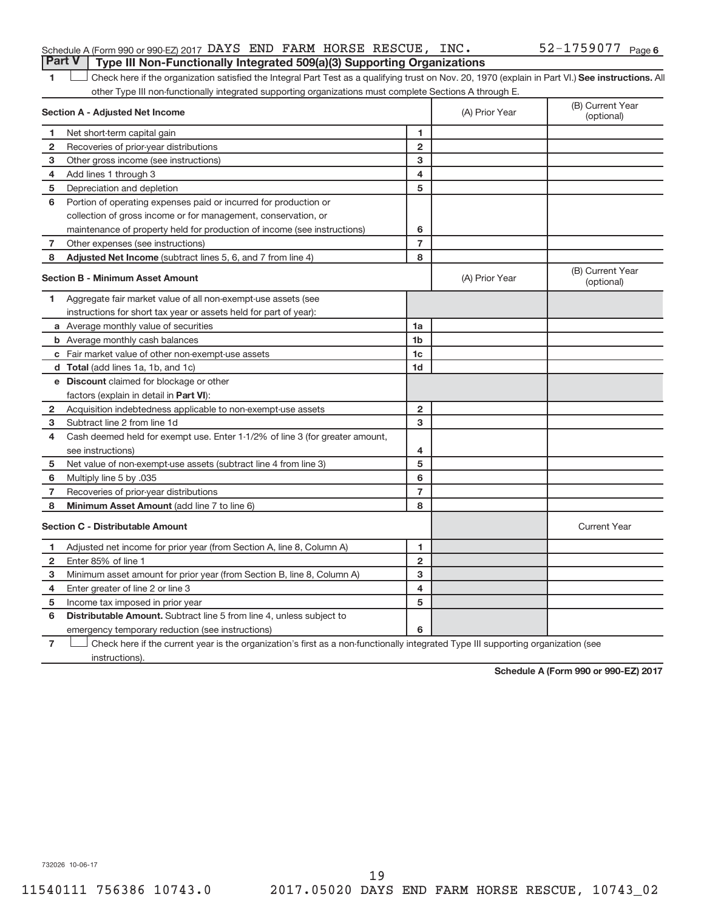|  | <b>Part V</b> Type III Non-Functionally Integrated 509(a)(3) Supporting Organizations |  | Schedule A (Form 990 or 990-EZ) 2017 DAYS END FARM HORSE RESCUE, INC. | 52-1759077 <sub>Page 6</sub> |  |
|--|---------------------------------------------------------------------------------------|--|-----------------------------------------------------------------------|------------------------------|--|
|  |                                                                                       |  |                                                                       |                              |  |

1 **Letter See instructions.** All Check here if the organization satisfied the Integral Part Test as a qualifying trust on Nov. 20, 1970 (explain in Part VI.) See instructions. All other Type III non-functionally integrated supporting organizations must complete Sections A through E.

|                | <b>Section A - Adjusted Net Income</b>                                                                                            | (A) Prior Year          | (B) Current Year<br>(optional) |                                |
|----------------|-----------------------------------------------------------------------------------------------------------------------------------|-------------------------|--------------------------------|--------------------------------|
| 1              | Net short-term capital gain                                                                                                       | 1                       |                                |                                |
| $\mathbf{2}$   | Recoveries of prior-year distributions                                                                                            | $\overline{2}$          |                                |                                |
| з              | Other gross income (see instructions)                                                                                             | з                       |                                |                                |
| 4              | Add lines 1 through 3                                                                                                             | 4                       |                                |                                |
| 5              | Depreciation and depletion                                                                                                        | 5                       |                                |                                |
| 6              | Portion of operating expenses paid or incurred for production or                                                                  |                         |                                |                                |
|                | collection of gross income or for management, conservation, or                                                                    |                         |                                |                                |
|                | maintenance of property held for production of income (see instructions)                                                          | 6                       |                                |                                |
| 7              | Other expenses (see instructions)                                                                                                 | $\overline{7}$          |                                |                                |
| 8              | Adjusted Net Income (subtract lines 5, 6, and 7 from line 4)                                                                      | 8                       |                                |                                |
|                | <b>Section B - Minimum Asset Amount</b>                                                                                           |                         | (A) Prior Year                 | (B) Current Year<br>(optional) |
| 1              | Aggregate fair market value of all non-exempt-use assets (see                                                                     |                         |                                |                                |
|                | instructions for short tax year or assets held for part of year):                                                                 |                         |                                |                                |
|                | a Average monthly value of securities                                                                                             | 1a                      |                                |                                |
|                | <b>b</b> Average monthly cash balances                                                                                            | 1 <sub>b</sub>          |                                |                                |
|                | c Fair market value of other non-exempt-use assets                                                                                | 1 <sub>c</sub>          |                                |                                |
|                | d Total (add lines 1a, 1b, and 1c)                                                                                                | 1 <sub>d</sub>          |                                |                                |
|                | e Discount claimed for blockage or other                                                                                          |                         |                                |                                |
|                | factors (explain in detail in Part VI):                                                                                           |                         |                                |                                |
| 2              | Acquisition indebtedness applicable to non-exempt-use assets                                                                      | $\mathbf{2}$            |                                |                                |
| 3              | Subtract line 2 from line 1d                                                                                                      | 3                       |                                |                                |
| 4              | Cash deemed held for exempt use. Enter 1-1/2% of line 3 (for greater amount,                                                      |                         |                                |                                |
|                | see instructions)                                                                                                                 | 4                       |                                |                                |
| 5              | Net value of non-exempt-use assets (subtract line 4 from line 3)                                                                  | 5                       |                                |                                |
| 6              | Multiply line 5 by .035                                                                                                           | 6                       |                                |                                |
| 7              | Recoveries of prior-year distributions                                                                                            | $\overline{7}$          |                                |                                |
| 8              | Minimum Asset Amount (add line 7 to line 6)                                                                                       | 8                       |                                |                                |
|                | <b>Section C - Distributable Amount</b>                                                                                           |                         |                                | <b>Current Year</b>            |
| 1              | Adjusted net income for prior year (from Section A, line 8, Column A)                                                             | 1                       |                                |                                |
| 2              | Enter 85% of line 1                                                                                                               | $\overline{2}$          |                                |                                |
| з              | Minimum asset amount for prior year (from Section B, line 8, Column A)                                                            | 3                       |                                |                                |
| 4              | Enter greater of line 2 or line 3                                                                                                 | $\overline{\mathbf{4}}$ |                                |                                |
| 5              | Income tax imposed in prior year                                                                                                  | 5                       |                                |                                |
| 6              | <b>Distributable Amount.</b> Subtract line 5 from line 4, unless subject to                                                       |                         |                                |                                |
|                | emergency temporary reduction (see instructions)                                                                                  | 6                       |                                |                                |
| $\overline{7}$ | Check here if the current year is the organization's first as a non-functionally integrated Type III supporting organization (see |                         |                                |                                |

instructions).

**Schedule A (Form 990 or 990-EZ) 2017**

732026 10-06-17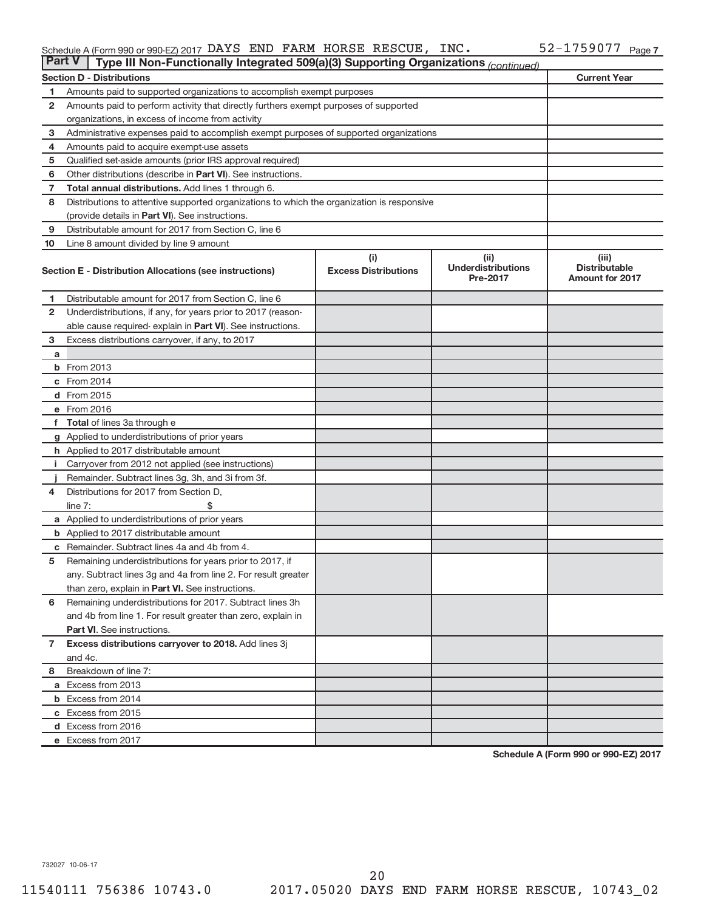#### Schedule A (Form 990 or 990-EZ) 2017 DAYS END FARM HORSE RESCUE, INC.  $52 - 1759077$  Page DAYS END FARM HORSE RESCUE, INC. 52-1759077

| <b>Part V</b><br>Type III Non-Functionally Integrated 509(a)(3) Supporting Organizations (continued) |                                                                                            |                                    |                                               |                                                         |  |  |  |
|------------------------------------------------------------------------------------------------------|--------------------------------------------------------------------------------------------|------------------------------------|-----------------------------------------------|---------------------------------------------------------|--|--|--|
|                                                                                                      | <b>Section D - Distributions</b>                                                           |                                    |                                               | <b>Current Year</b>                                     |  |  |  |
| 1                                                                                                    | Amounts paid to supported organizations to accomplish exempt purposes                      |                                    |                                               |                                                         |  |  |  |
| $\mathbf{2}$                                                                                         | Amounts paid to perform activity that directly furthers exempt purposes of supported       |                                    |                                               |                                                         |  |  |  |
|                                                                                                      | organizations, in excess of income from activity                                           |                                    |                                               |                                                         |  |  |  |
| 3                                                                                                    | Administrative expenses paid to accomplish exempt purposes of supported organizations      |                                    |                                               |                                                         |  |  |  |
| 4                                                                                                    | Amounts paid to acquire exempt-use assets                                                  |                                    |                                               |                                                         |  |  |  |
| 5                                                                                                    | Qualified set-aside amounts (prior IRS approval required)                                  |                                    |                                               |                                                         |  |  |  |
| 6                                                                                                    | Other distributions (describe in <b>Part VI</b> ). See instructions.                       |                                    |                                               |                                                         |  |  |  |
| 7                                                                                                    | <b>Total annual distributions.</b> Add lines 1 through 6.                                  |                                    |                                               |                                                         |  |  |  |
| 8                                                                                                    | Distributions to attentive supported organizations to which the organization is responsive |                                    |                                               |                                                         |  |  |  |
|                                                                                                      | (provide details in Part VI). See instructions.                                            |                                    |                                               |                                                         |  |  |  |
| 9                                                                                                    | Distributable amount for 2017 from Section C, line 6                                       |                                    |                                               |                                                         |  |  |  |
| 10                                                                                                   | Line 8 amount divided by line 9 amount                                                     |                                    |                                               |                                                         |  |  |  |
|                                                                                                      | Section E - Distribution Allocations (see instructions)                                    | (i)<br><b>Excess Distributions</b> | (ii)<br><b>Underdistributions</b><br>Pre-2017 | (iii)<br><b>Distributable</b><br><b>Amount for 2017</b> |  |  |  |
| 1                                                                                                    | Distributable amount for 2017 from Section C, line 6                                       |                                    |                                               |                                                         |  |  |  |
| $\mathbf{2}$                                                                                         | Underdistributions, if any, for years prior to 2017 (reason-                               |                                    |                                               |                                                         |  |  |  |
|                                                                                                      | able cause required- explain in Part VI). See instructions.                                |                                    |                                               |                                                         |  |  |  |
| 3                                                                                                    | Excess distributions carryover, if any, to 2017                                            |                                    |                                               |                                                         |  |  |  |
| a                                                                                                    |                                                                                            |                                    |                                               |                                                         |  |  |  |
|                                                                                                      | <b>b</b> From 2013                                                                         |                                    |                                               |                                                         |  |  |  |
|                                                                                                      | c From 2014                                                                                |                                    |                                               |                                                         |  |  |  |
|                                                                                                      | d From 2015                                                                                |                                    |                                               |                                                         |  |  |  |
|                                                                                                      | e From 2016                                                                                |                                    |                                               |                                                         |  |  |  |
|                                                                                                      | f Total of lines 3a through e                                                              |                                    |                                               |                                                         |  |  |  |
|                                                                                                      | g Applied to underdistributions of prior years                                             |                                    |                                               |                                                         |  |  |  |
|                                                                                                      | h Applied to 2017 distributable amount                                                     |                                    |                                               |                                                         |  |  |  |
| Ť.                                                                                                   | Carryover from 2012 not applied (see instructions)                                         |                                    |                                               |                                                         |  |  |  |
|                                                                                                      | Remainder. Subtract lines 3g, 3h, and 3i from 3f.                                          |                                    |                                               |                                                         |  |  |  |
| 4                                                                                                    | Distributions for 2017 from Section D,                                                     |                                    |                                               |                                                         |  |  |  |
|                                                                                                      | line $7:$                                                                                  |                                    |                                               |                                                         |  |  |  |
|                                                                                                      | a Applied to underdistributions of prior years                                             |                                    |                                               |                                                         |  |  |  |
|                                                                                                      | <b>b</b> Applied to 2017 distributable amount                                              |                                    |                                               |                                                         |  |  |  |
| c                                                                                                    | Remainder. Subtract lines 4a and 4b from 4.                                                |                                    |                                               |                                                         |  |  |  |
| 5                                                                                                    | Remaining underdistributions for years prior to 2017, if                                   |                                    |                                               |                                                         |  |  |  |
|                                                                                                      | any. Subtract lines 3g and 4a from line 2. For result greater                              |                                    |                                               |                                                         |  |  |  |
|                                                                                                      | than zero, explain in Part VI. See instructions.                                           |                                    |                                               |                                                         |  |  |  |
| 6                                                                                                    | Remaining underdistributions for 2017. Subtract lines 3h                                   |                                    |                                               |                                                         |  |  |  |
|                                                                                                      | and 4b from line 1. For result greater than zero, explain in                               |                                    |                                               |                                                         |  |  |  |
|                                                                                                      | <b>Part VI.</b> See instructions.                                                          |                                    |                                               |                                                         |  |  |  |
| $\overline{7}$                                                                                       | Excess distributions carryover to 2018. Add lines 3j                                       |                                    |                                               |                                                         |  |  |  |
|                                                                                                      | and 4c.                                                                                    |                                    |                                               |                                                         |  |  |  |
| 8                                                                                                    | Breakdown of line 7:                                                                       |                                    |                                               |                                                         |  |  |  |
|                                                                                                      | a Excess from 2013                                                                         |                                    |                                               |                                                         |  |  |  |
|                                                                                                      | <b>b</b> Excess from 2014                                                                  |                                    |                                               |                                                         |  |  |  |
|                                                                                                      | c Excess from 2015                                                                         |                                    |                                               |                                                         |  |  |  |
|                                                                                                      | d Excess from 2016                                                                         |                                    |                                               |                                                         |  |  |  |
|                                                                                                      | e Excess from 2017                                                                         |                                    |                                               |                                                         |  |  |  |

**Schedule A (Form 990 or 990-EZ) 2017**

732027 10-06-17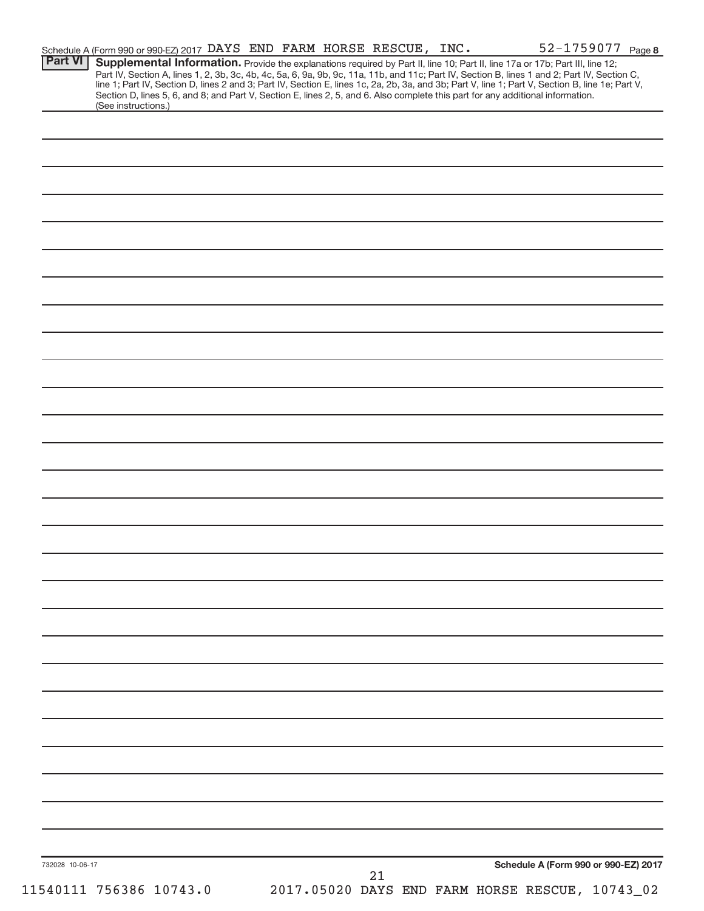| <b>Part VI</b>  | Schedule A (Form 990 or 990-EZ) 2017 DAYS END FARM HORSE RESCUE, INC.<br>Supplemental Information. Provide the explanations required by Part II, line 10; Part II, line 17a or 17b; Part III, line 12;                                                                                                                                                                                                                              |  |  |    |                                                 | 52-1759077 Page 8                    |  |
|-----------------|-------------------------------------------------------------------------------------------------------------------------------------------------------------------------------------------------------------------------------------------------------------------------------------------------------------------------------------------------------------------------------------------------------------------------------------|--|--|----|-------------------------------------------------|--------------------------------------|--|
|                 | Part IV, Section A, lines 1, 2, 3b, 3c, 4b, 4c, 5a, 6, 9a, 9b, 9c, 11a, 11b, and 11c; Part IV, Section B, lines 1 and 2; Part IV, Section C,<br>line 1; Part IV, Section D, lines 2 and 3; Part IV, Section E, lines 1c, 2a, 2b, 3a, and 3b; Part V, line 1; Part V, Section B, line 1e; Part V,<br>Section D, lines 5, 6, and 8; and Part V, Section E, lines 2, 5, and 6. Also complete this part for any additional information. |  |  |    |                                                 |                                      |  |
|                 | (See instructions.)                                                                                                                                                                                                                                                                                                                                                                                                                 |  |  |    |                                                 |                                      |  |
|                 |                                                                                                                                                                                                                                                                                                                                                                                                                                     |  |  |    |                                                 |                                      |  |
|                 |                                                                                                                                                                                                                                                                                                                                                                                                                                     |  |  |    |                                                 |                                      |  |
|                 |                                                                                                                                                                                                                                                                                                                                                                                                                                     |  |  |    |                                                 |                                      |  |
|                 |                                                                                                                                                                                                                                                                                                                                                                                                                                     |  |  |    |                                                 |                                      |  |
|                 |                                                                                                                                                                                                                                                                                                                                                                                                                                     |  |  |    |                                                 |                                      |  |
|                 |                                                                                                                                                                                                                                                                                                                                                                                                                                     |  |  |    |                                                 |                                      |  |
|                 |                                                                                                                                                                                                                                                                                                                                                                                                                                     |  |  |    |                                                 |                                      |  |
|                 |                                                                                                                                                                                                                                                                                                                                                                                                                                     |  |  |    |                                                 |                                      |  |
|                 |                                                                                                                                                                                                                                                                                                                                                                                                                                     |  |  |    |                                                 |                                      |  |
|                 |                                                                                                                                                                                                                                                                                                                                                                                                                                     |  |  |    |                                                 |                                      |  |
|                 |                                                                                                                                                                                                                                                                                                                                                                                                                                     |  |  |    |                                                 |                                      |  |
|                 |                                                                                                                                                                                                                                                                                                                                                                                                                                     |  |  |    |                                                 |                                      |  |
|                 |                                                                                                                                                                                                                                                                                                                                                                                                                                     |  |  |    |                                                 |                                      |  |
|                 |                                                                                                                                                                                                                                                                                                                                                                                                                                     |  |  |    |                                                 |                                      |  |
|                 |                                                                                                                                                                                                                                                                                                                                                                                                                                     |  |  |    |                                                 |                                      |  |
|                 |                                                                                                                                                                                                                                                                                                                                                                                                                                     |  |  |    |                                                 |                                      |  |
|                 |                                                                                                                                                                                                                                                                                                                                                                                                                                     |  |  |    |                                                 |                                      |  |
|                 |                                                                                                                                                                                                                                                                                                                                                                                                                                     |  |  |    |                                                 |                                      |  |
|                 |                                                                                                                                                                                                                                                                                                                                                                                                                                     |  |  |    |                                                 |                                      |  |
|                 |                                                                                                                                                                                                                                                                                                                                                                                                                                     |  |  |    |                                                 |                                      |  |
|                 |                                                                                                                                                                                                                                                                                                                                                                                                                                     |  |  |    |                                                 |                                      |  |
|                 |                                                                                                                                                                                                                                                                                                                                                                                                                                     |  |  |    |                                                 |                                      |  |
|                 |                                                                                                                                                                                                                                                                                                                                                                                                                                     |  |  |    |                                                 |                                      |  |
|                 |                                                                                                                                                                                                                                                                                                                                                                                                                                     |  |  |    |                                                 |                                      |  |
|                 |                                                                                                                                                                                                                                                                                                                                                                                                                                     |  |  |    |                                                 |                                      |  |
|                 |                                                                                                                                                                                                                                                                                                                                                                                                                                     |  |  |    |                                                 |                                      |  |
|                 |                                                                                                                                                                                                                                                                                                                                                                                                                                     |  |  |    |                                                 |                                      |  |
|                 |                                                                                                                                                                                                                                                                                                                                                                                                                                     |  |  |    |                                                 |                                      |  |
|                 |                                                                                                                                                                                                                                                                                                                                                                                                                                     |  |  |    |                                                 |                                      |  |
|                 |                                                                                                                                                                                                                                                                                                                                                                                                                                     |  |  |    |                                                 |                                      |  |
|                 |                                                                                                                                                                                                                                                                                                                                                                                                                                     |  |  |    |                                                 |                                      |  |
|                 |                                                                                                                                                                                                                                                                                                                                                                                                                                     |  |  |    |                                                 |                                      |  |
|                 |                                                                                                                                                                                                                                                                                                                                                                                                                                     |  |  |    |                                                 |                                      |  |
|                 |                                                                                                                                                                                                                                                                                                                                                                                                                                     |  |  |    |                                                 |                                      |  |
|                 |                                                                                                                                                                                                                                                                                                                                                                                                                                     |  |  |    |                                                 |                                      |  |
|                 |                                                                                                                                                                                                                                                                                                                                                                                                                                     |  |  |    |                                                 |                                      |  |
|                 |                                                                                                                                                                                                                                                                                                                                                                                                                                     |  |  |    |                                                 |                                      |  |
|                 |                                                                                                                                                                                                                                                                                                                                                                                                                                     |  |  |    |                                                 |                                      |  |
|                 |                                                                                                                                                                                                                                                                                                                                                                                                                                     |  |  |    |                                                 |                                      |  |
|                 |                                                                                                                                                                                                                                                                                                                                                                                                                                     |  |  |    |                                                 |                                      |  |
|                 |                                                                                                                                                                                                                                                                                                                                                                                                                                     |  |  |    |                                                 |                                      |  |
|                 |                                                                                                                                                                                                                                                                                                                                                                                                                                     |  |  |    |                                                 |                                      |  |
|                 |                                                                                                                                                                                                                                                                                                                                                                                                                                     |  |  |    |                                                 |                                      |  |
|                 |                                                                                                                                                                                                                                                                                                                                                                                                                                     |  |  |    |                                                 |                                      |  |
| 732028 10-06-17 |                                                                                                                                                                                                                                                                                                                                                                                                                                     |  |  |    |                                                 | Schedule A (Form 990 or 990-EZ) 2017 |  |
|                 |                                                                                                                                                                                                                                                                                                                                                                                                                                     |  |  | 21 | 2017.05020 DAYS END FARM HORSE RESCUE, 10743_02 |                                      |  |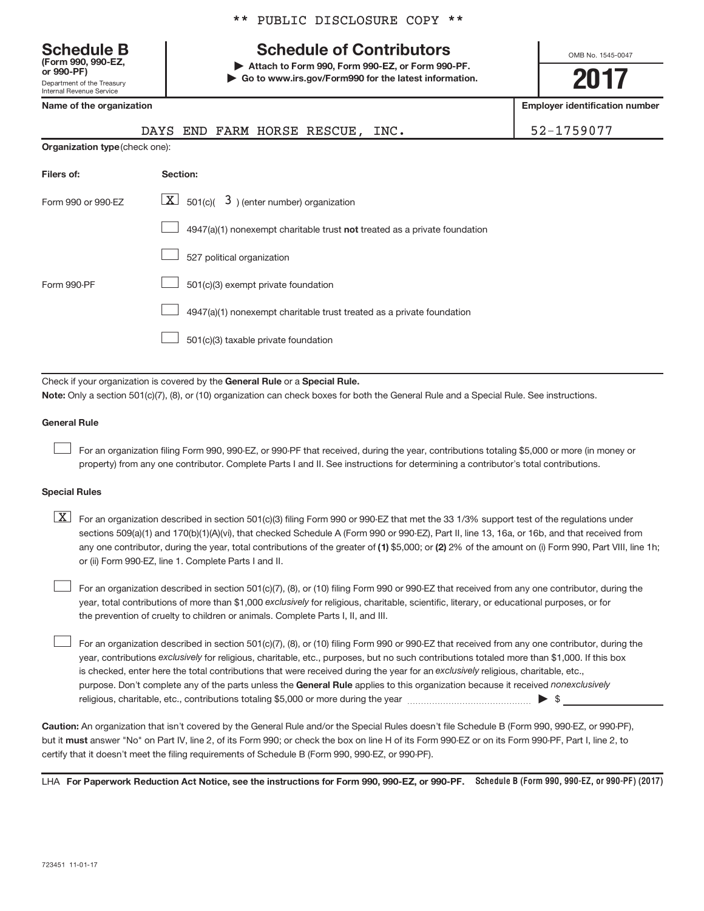Department of the Treasury Internal Revenue Service **(Form 990, 990-EZ,**

|  |  | ** PUBLIC DISCLOSURE COPY ** |  |  |
|--|--|------------------------------|--|--|
|--|--|------------------------------|--|--|

# Schedule B Table 8 and Schedule of Contributors

**or 990-PF) | Attach to Form 990, Form 990-EZ, or Form 990-PF. | Go to www.irs.gov/Form990 for the latest information.** OMB No. 1545-0047

**2017**

| Name of the organization       | <b>Employer identification number</b>                                                                                                                                                                                                                                                                                                                                                                                                                                                                     |            |
|--------------------------------|-----------------------------------------------------------------------------------------------------------------------------------------------------------------------------------------------------------------------------------------------------------------------------------------------------------------------------------------------------------------------------------------------------------------------------------------------------------------------------------------------------------|------------|
|                                | END FARM HORSE RESCUE, INC.<br>DAYS                                                                                                                                                                                                                                                                                                                                                                                                                                                                       | 52-1759077 |
| Organization type (check one): |                                                                                                                                                                                                                                                                                                                                                                                                                                                                                                           |            |
| Filers of:                     | Section:                                                                                                                                                                                                                                                                                                                                                                                                                                                                                                  |            |
| Form 990 or 990-EZ             | $\boxed{\textbf{X}}$ 501(c)( 3) (enter number) organization                                                                                                                                                                                                                                                                                                                                                                                                                                               |            |
|                                | 4947(a)(1) nonexempt charitable trust not treated as a private foundation                                                                                                                                                                                                                                                                                                                                                                                                                                 |            |
|                                | 527 political organization                                                                                                                                                                                                                                                                                                                                                                                                                                                                                |            |
| Form 990-PF                    | 501(c)(3) exempt private foundation                                                                                                                                                                                                                                                                                                                                                                                                                                                                       |            |
|                                | 4947(a)(1) nonexempt charitable trust treated as a private foundation                                                                                                                                                                                                                                                                                                                                                                                                                                     |            |
|                                | 501(c)(3) taxable private foundation                                                                                                                                                                                                                                                                                                                                                                                                                                                                      |            |
|                                |                                                                                                                                                                                                                                                                                                                                                                                                                                                                                                           |            |
|                                | Check if your organization is covered by the General Rule or a Special Rule.<br>Note: Only a section 501(c)(7), (8), or (10) organization can check boxes for both the General Rule and a Special Rule. See instructions.                                                                                                                                                                                                                                                                                 |            |
| <b>General Rule</b>            |                                                                                                                                                                                                                                                                                                                                                                                                                                                                                                           |            |
|                                | For an organization filing Form 990, 990-EZ, or 990-PF that received, during the year, contributions totaling \$5,000 or more (in money or<br>property) from any one contributor. Complete Parts I and II. See instructions for determining a contributor's total contributions.                                                                                                                                                                                                                          |            |
| <b>Special Rules</b>           |                                                                                                                                                                                                                                                                                                                                                                                                                                                                                                           |            |
| $\lfloor x \rfloor$            | For an organization described in section 501(c)(3) filing Form 990 or 990-EZ that met the 33 1/3% support test of the regulations under<br>sections 509(a)(1) and 170(b)(1)(A)(vi), that checked Schedule A (Form 990 or 990-EZ), Part II, line 13, 16a, or 16b, and that received from<br>any one contributor, during the year, total contributions of the greater of (1) \$5,000; or (2) 2% of the amount on (i) Form 990, Part VIII, line 1h;<br>or (ii) Form 990-EZ, line 1. Complete Parts I and II. |            |
|                                | For an organization described in section 501(c)(7), (8), or (10) filing Form 990 or 990-EZ that received from any one contributor, during the<br>year, total contributions of more than \$1,000 exclusively for religious, charitable, scientific, literary, or educational purposes, or for<br>the prevention of cruelty to children or animals. Complete Parts L. IL and IIL                                                                                                                            |            |

purpose. Don't complete any of the parts unless the General Rule applies to this organization because it received nonexclusively year, contributions exclusively for religious, charitable, etc., purposes, but no such contributions totaled more than \$1,000. If this box is checked, enter here the total contributions that were received during the year for an exclusively religious, charitable, etc., For an organization described in section 501(c)(7), (8), or (10) filing Form 990 or 990-EZ that received from any one contributor, during the religious, charitable, etc., contributions totaling \$5,000 or more during the year  $\ldots$  $\ldots$  $\ldots$  $\ldots$  $\ldots$  $\ldots$  $\begin{array}{c} \hline \end{array}$ 

**Caution:**  An organization that isn't covered by the General Rule and/or the Special Rules doesn't file Schedule B (Form 990, 990-EZ, or 990-PF),  **must** but it answer "No" on Part IV, line 2, of its Form 990; or check the box on line H of its Form 990-EZ or on its Form 990-PF, Part I, line 2, to certify that it doesn't meet the filing requirements of Schedule B (Form 990, 990-EZ, or 990-PF).

LHA For Paperwork Reduction Act Notice, see the instructions for Form 990, 990-EZ, or 990-PF. Schedule B (Form 990, 990-EZ, or 990-PF) (2017)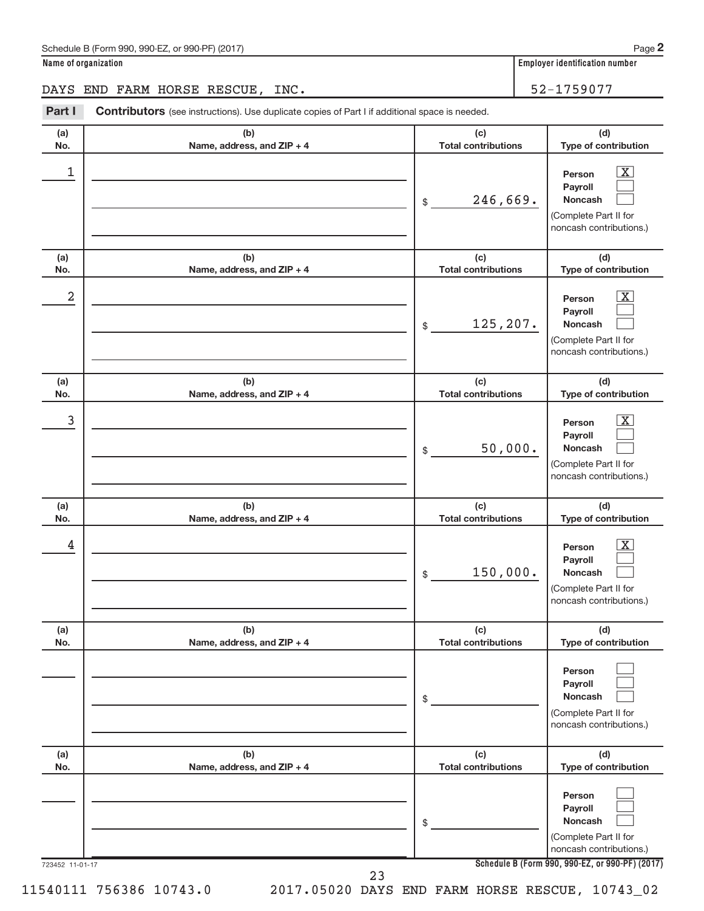| Schedule B (Form 990, 990-EZ, or 990-PF) (2017) | Page |
|-------------------------------------------------|------|
|-------------------------------------------------|------|

DAYS END FARM HORSE RESCUE, INC. 52-1759077

| Part I          | Contributors (see instructions). Use duplicate copies of Part I if additional space is needed. |                                   |                                                                                                                                            |
|-----------------|------------------------------------------------------------------------------------------------|-----------------------------------|--------------------------------------------------------------------------------------------------------------------------------------------|
| (a)<br>No.      | (b)<br>Name, address, and ZIP + 4                                                              | (c)<br><b>Total contributions</b> | (d)<br>Type of contribution                                                                                                                |
| 1               |                                                                                                | 246,669.<br>\$                    | $\boxed{\text{X}}$<br>Person<br>Payroll<br><b>Noncash</b><br>(Complete Part II for<br>noncash contributions.)                              |
| (a)<br>No.      | (b)<br>Name, address, and ZIP + 4                                                              | (c)<br><b>Total contributions</b> | (d)<br>Type of contribution                                                                                                                |
| 2               |                                                                                                | 125,207.<br>\$                    | $\overline{\mathbf{X}}$<br>Person<br>Payroll<br><b>Noncash</b><br>(Complete Part II for<br>noncash contributions.)                         |
| (a)<br>No.      | (b)<br>Name, address, and ZIP + 4                                                              | (c)<br><b>Total contributions</b> | (d)<br>Type of contribution                                                                                                                |
| 3               |                                                                                                | 50,000.<br>\$                     | $\overline{\mathbf{X}}$<br>Person<br>Payroll<br>Noncash<br>(Complete Part II for<br>noncash contributions.)                                |
| (a)<br>No.      | (b)<br>Name, address, and ZIP + 4                                                              | (c)<br><b>Total contributions</b> | (d)<br>Type of contribution                                                                                                                |
| 4               |                                                                                                | 150,000.<br>\$                    | $\overline{\mathbf{X}}$<br>Person<br>Payroll<br><b>Noncash</b><br>(Complete Part II for<br>noncash contributions.)                         |
| (a)<br>No.      | (b)<br>Name, address, and ZIP + 4                                                              | (c)<br><b>Total contributions</b> | (d)<br>Type of contribution                                                                                                                |
|                 |                                                                                                | \$                                | Person<br>Payroll<br><b>Noncash</b><br>(Complete Part II for<br>noncash contributions.)                                                    |
| (a)<br>No.      | (b)<br>Name, address, and ZIP + 4                                                              | (c)<br><b>Total contributions</b> | (d)<br>Type of contribution                                                                                                                |
| 723452 11-01-17 |                                                                                                | \$                                | Person<br>Payroll<br><b>Noncash</b><br>(Complete Part II for<br>noncash contributions.)<br>Schedule B (Form 990, 990-EZ, or 990-PF) (2017) |
|                 | 23                                                                                             |                                   |                                                                                                                                            |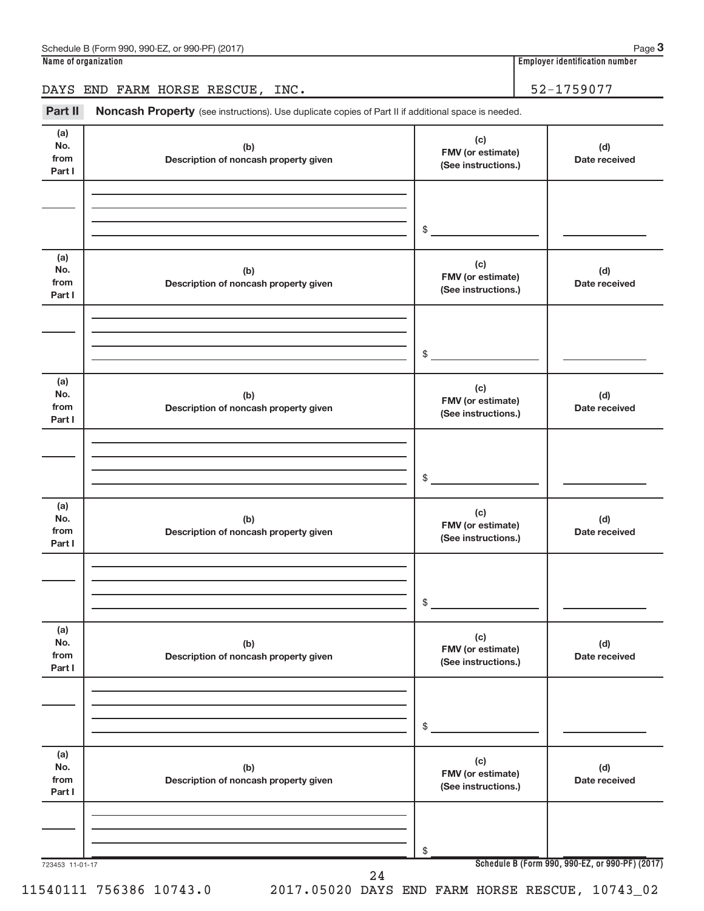## DAYS END FARM HORSE RESCUE, INC. 52-1759077

Part II Noncash Property (see instructions). Use duplicate copies of Part II if additional space is needed.

| (a)<br>No.<br>from<br>Part I | (b)<br>Description of noncash property given | (c)<br>FMV (or estimate)<br>(See instructions.) | (d)<br>Date received                            |
|------------------------------|----------------------------------------------|-------------------------------------------------|-------------------------------------------------|
|                              |                                              | \$                                              |                                                 |
|                              |                                              |                                                 |                                                 |
| (a)<br>No.<br>from<br>Part I | (b)<br>Description of noncash property given | (c)<br>FMV (or estimate)<br>(See instructions.) | (d)<br>Date received                            |
|                              |                                              |                                                 |                                                 |
|                              |                                              |                                                 |                                                 |
|                              |                                              | \$                                              |                                                 |
| (a)<br>No.<br>from<br>Part I | (b)<br>Description of noncash property given | (c)<br>FMV (or estimate)<br>(See instructions.) | (d)<br>Date received                            |
|                              |                                              |                                                 |                                                 |
|                              |                                              |                                                 |                                                 |
|                              |                                              | \$                                              |                                                 |
|                              |                                              |                                                 |                                                 |
| (a)<br>No.<br>from<br>Part I | (b)<br>Description of noncash property given | (c)<br>FMV (or estimate)<br>(See instructions.) | (d)<br>Date received                            |
|                              |                                              |                                                 |                                                 |
|                              |                                              |                                                 |                                                 |
|                              |                                              |                                                 |                                                 |
|                              |                                              | $\$$                                            |                                                 |
| (a)<br>No.<br>from           | (b)<br>Description of noncash property given | (c)<br>FMV (or estimate)                        | (d)<br>Date received                            |
| Part I                       |                                              | (See instructions.)                             |                                                 |
|                              |                                              |                                                 |                                                 |
|                              |                                              |                                                 |                                                 |
|                              |                                              | \$                                              |                                                 |
|                              |                                              |                                                 |                                                 |
| (a)<br>No.                   | (b)                                          | (c)                                             | (d)                                             |
| from                         | Description of noncash property given        | FMV (or estimate)                               | Date received                                   |
| Part I                       |                                              | (See instructions.)                             |                                                 |
|                              |                                              |                                                 |                                                 |
|                              |                                              |                                                 |                                                 |
|                              |                                              | \$                                              |                                                 |
| 723453 11-01-17              |                                              |                                                 | Schedule B (Form 990, 990-EZ, or 990-PF) (2017) |
|                              | 24                                           |                                                 |                                                 |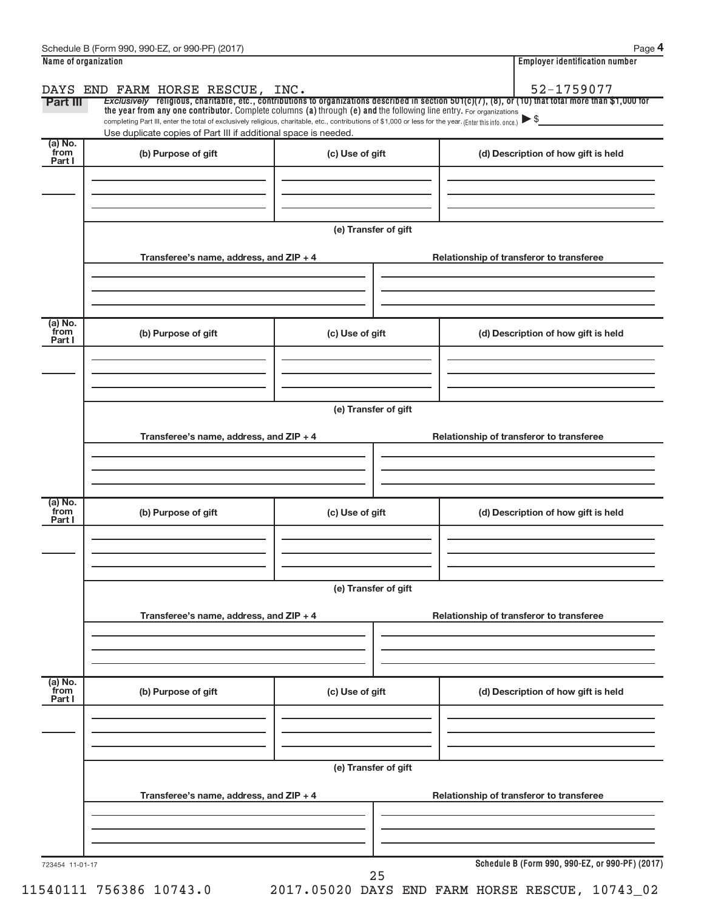|                           |                                                                                                                                                                                                                                                                                 |                      |                                          |                                                 | <b>Employer identification number</b> |  |  |  |
|---------------------------|---------------------------------------------------------------------------------------------------------------------------------------------------------------------------------------------------------------------------------------------------------------------------------|----------------------|------------------------------------------|-------------------------------------------------|---------------------------------------|--|--|--|
|                           | DAYS END FARM HORSE RESCUE, INC.                                                                                                                                                                                                                                                |                      |                                          |                                                 | 52-1759077                            |  |  |  |
| Part III                  | Exclusively religious, charitable, etc., contributions to organizations described in section $501(c)(7)$ , (8), or (10) that total more than \$1,000 for<br>the year from any one contributor. Complete columns (a) through (e) and the following line entry. For organizations |                      |                                          |                                                 |                                       |  |  |  |
|                           | completing Part III, enter the total of exclusively religious, charitable, etc., contributions of \$1,000 or less for the year. (Enter this info. once.)                                                                                                                        |                      |                                          |                                                 |                                       |  |  |  |
| (a) No.                   | Use duplicate copies of Part III if additional space is needed.                                                                                                                                                                                                                 |                      |                                          |                                                 |                                       |  |  |  |
| from<br>Part I            | (b) Purpose of gift                                                                                                                                                                                                                                                             | (c) Use of gift      |                                          | (d) Description of how gift is held             |                                       |  |  |  |
|                           |                                                                                                                                                                                                                                                                                 |                      |                                          |                                                 |                                       |  |  |  |
|                           |                                                                                                                                                                                                                                                                                 |                      |                                          |                                                 |                                       |  |  |  |
|                           |                                                                                                                                                                                                                                                                                 |                      |                                          |                                                 |                                       |  |  |  |
|                           |                                                                                                                                                                                                                                                                                 | (e) Transfer of gift |                                          |                                                 |                                       |  |  |  |
|                           |                                                                                                                                                                                                                                                                                 |                      |                                          |                                                 |                                       |  |  |  |
|                           | Transferee's name, address, and ZIP + 4                                                                                                                                                                                                                                         |                      |                                          | Relationship of transferor to transferee        |                                       |  |  |  |
|                           |                                                                                                                                                                                                                                                                                 |                      |                                          |                                                 |                                       |  |  |  |
|                           |                                                                                                                                                                                                                                                                                 |                      |                                          |                                                 |                                       |  |  |  |
|                           |                                                                                                                                                                                                                                                                                 |                      |                                          |                                                 |                                       |  |  |  |
| (a) No.<br>from           | (b) Purpose of gift                                                                                                                                                                                                                                                             | (c) Use of gift      |                                          | (d) Description of how gift is held             |                                       |  |  |  |
| Part I                    |                                                                                                                                                                                                                                                                                 |                      |                                          |                                                 |                                       |  |  |  |
|                           |                                                                                                                                                                                                                                                                                 |                      |                                          |                                                 |                                       |  |  |  |
|                           |                                                                                                                                                                                                                                                                                 |                      |                                          |                                                 |                                       |  |  |  |
|                           |                                                                                                                                                                                                                                                                                 |                      |                                          |                                                 |                                       |  |  |  |
|                           | (e) Transfer of gift                                                                                                                                                                                                                                                            |                      |                                          |                                                 |                                       |  |  |  |
|                           | Transferee's name, address, and ZIP + 4                                                                                                                                                                                                                                         |                      | Relationship of transferor to transferee |                                                 |                                       |  |  |  |
|                           |                                                                                                                                                                                                                                                                                 |                      |                                          |                                                 |                                       |  |  |  |
|                           |                                                                                                                                                                                                                                                                                 |                      |                                          |                                                 |                                       |  |  |  |
|                           |                                                                                                                                                                                                                                                                                 |                      |                                          |                                                 |                                       |  |  |  |
| (a) No.<br>from           |                                                                                                                                                                                                                                                                                 |                      |                                          |                                                 |                                       |  |  |  |
| Part I                    | (b) Purpose of gift                                                                                                                                                                                                                                                             | (c) Use of gift      |                                          | (d) Description of how gift is held             |                                       |  |  |  |
|                           |                                                                                                                                                                                                                                                                                 |                      |                                          |                                                 |                                       |  |  |  |
|                           |                                                                                                                                                                                                                                                                                 |                      |                                          |                                                 |                                       |  |  |  |
|                           |                                                                                                                                                                                                                                                                                 |                      |                                          |                                                 |                                       |  |  |  |
|                           | (e) Transfer of gift                                                                                                                                                                                                                                                            |                      |                                          |                                                 |                                       |  |  |  |
|                           |                                                                                                                                                                                                                                                                                 |                      |                                          |                                                 |                                       |  |  |  |
|                           | Transferee's name, address, and ZIP + 4                                                                                                                                                                                                                                         |                      | Relationship of transferor to transferee |                                                 |                                       |  |  |  |
|                           |                                                                                                                                                                                                                                                                                 |                      |                                          |                                                 |                                       |  |  |  |
|                           |                                                                                                                                                                                                                                                                                 |                      |                                          |                                                 |                                       |  |  |  |
|                           |                                                                                                                                                                                                                                                                                 |                      |                                          |                                                 |                                       |  |  |  |
| (a) No.<br>from<br>Part I | (b) Purpose of gift                                                                                                                                                                                                                                                             | (c) Use of gift      |                                          | (d) Description of how gift is held             |                                       |  |  |  |
|                           |                                                                                                                                                                                                                                                                                 |                      |                                          |                                                 |                                       |  |  |  |
|                           |                                                                                                                                                                                                                                                                                 |                      |                                          |                                                 |                                       |  |  |  |
|                           |                                                                                                                                                                                                                                                                                 |                      |                                          |                                                 |                                       |  |  |  |
|                           | (e) Transfer of gift                                                                                                                                                                                                                                                            |                      |                                          |                                                 |                                       |  |  |  |
|                           |                                                                                                                                                                                                                                                                                 |                      |                                          |                                                 |                                       |  |  |  |
|                           | Transferee's name, address, and ZIP + 4                                                                                                                                                                                                                                         |                      |                                          | Relationship of transferor to transferee        |                                       |  |  |  |
|                           |                                                                                                                                                                                                                                                                                 |                      |                                          |                                                 |                                       |  |  |  |
|                           |                                                                                                                                                                                                                                                                                 |                      |                                          |                                                 |                                       |  |  |  |
|                           |                                                                                                                                                                                                                                                                                 |                      |                                          |                                                 |                                       |  |  |  |
| 723454 11-01-17           |                                                                                                                                                                                                                                                                                 |                      |                                          | Schedule B (Form 990, 990-EZ, or 990-PF) (2017) |                                       |  |  |  |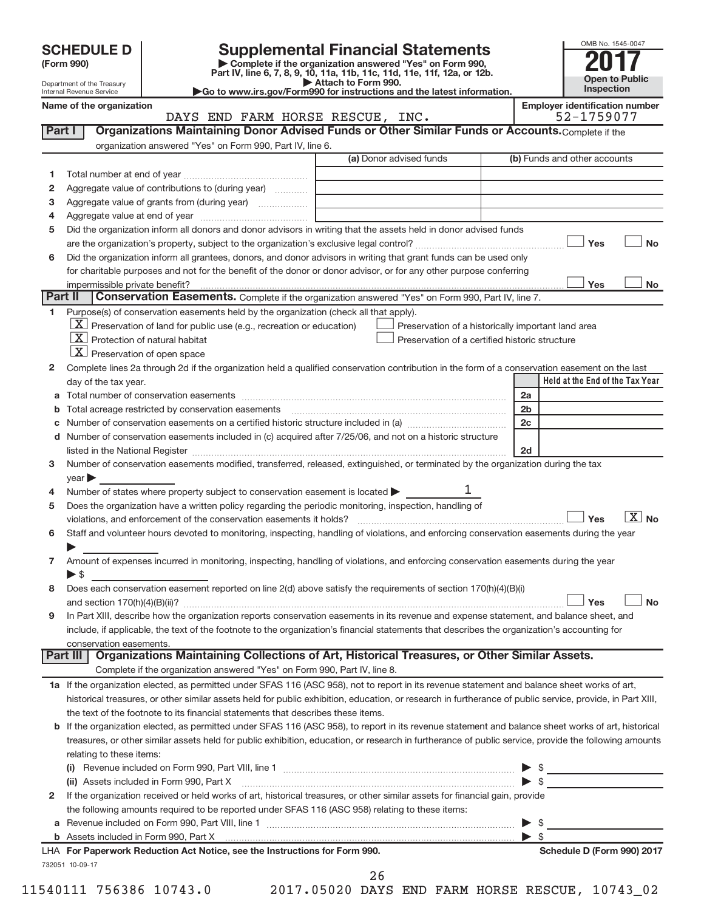Department of the Treasury Internal Revenue Service

| (Form 990) |  |
|------------|--|
|------------|--|

# **SCHEDULE D Supplemental Financial Statements**<br> **Form 990 2017**<br> **Part IV** line 6.7.8.9.10, 11a, 11b, 11c, 11d, 11e, 11f, 12a, or 12b

**(Form 990) | Complete if the organization answered "Yes" on Form 990, Part IV, line 6, 7, 8, 9, 10, 11a, 11b, 11c, 11d, 11e, 11f, 12a, or 12b.**

**| Attach to Form 990. |Go to www.irs.gov/Form990 for instructions and the latest information.**



**Name of the organization Employer identification number**

DAYS END FARM HORSE RESCUE, INC.  $52-1759077$ 

| 1            |                                                                                                                                                                                                                                | (a) Donor advised funds | (b) Funds and other accounts                       |
|--------------|--------------------------------------------------------------------------------------------------------------------------------------------------------------------------------------------------------------------------------|-------------------------|----------------------------------------------------|
|              |                                                                                                                                                                                                                                |                         |                                                    |
| 2            | Aggregate value of contributions to (during year)                                                                                                                                                                              |                         |                                                    |
| 3            |                                                                                                                                                                                                                                |                         |                                                    |
| 4            |                                                                                                                                                                                                                                |                         |                                                    |
| 5            | Did the organization inform all donors and donor advisors in writing that the assets held in donor advised funds                                                                                                               |                         |                                                    |
|              |                                                                                                                                                                                                                                |                         | Yes                                                |
| 6            | Did the organization inform all grantees, donors, and donor advisors in writing that grant funds can be used only                                                                                                              |                         |                                                    |
|              | for charitable purposes and not for the benefit of the donor or donor advisor, or for any other purpose conferring                                                                                                             |                         |                                                    |
|              |                                                                                                                                                                                                                                |                         | Yes                                                |
|              | Part II<br>Conservation Easements. Complete if the organization answered "Yes" on Form 990, Part IV, line 7.                                                                                                                   |                         |                                                    |
| 1            | Purpose(s) of conservation easements held by the organization (check all that apply).                                                                                                                                          |                         |                                                    |
|              | $\underline{X}$ Preservation of land for public use (e.g., recreation or education)                                                                                                                                            |                         | Preservation of a historically important land area |
|              | $X$ Protection of natural habitat                                                                                                                                                                                              |                         | Preservation of a certified historic structure     |
|              | $ \mathbf{X} $ Preservation of open space                                                                                                                                                                                      |                         |                                                    |
| $\mathbf{2}$ |                                                                                                                                                                                                                                |                         |                                                    |
|              | Complete lines 2a through 2d if the organization held a qualified conservation contribution in the form of a conservation easement on the last                                                                                 |                         | Held at the End of the Tax Year                    |
|              | day of the tax year.                                                                                                                                                                                                           |                         |                                                    |
| а            |                                                                                                                                                                                                                                |                         | 2a                                                 |
|              | Total acreage restricted by conservation easements [111] [12] matter conservation according to the set of the stricted by conservation easements [11] matter conservation and according to the set of the set of the set of th |                         | 2 <sub>b</sub>                                     |
|              | Number of conservation easements on a certified historic structure included in (a) manufacture included in (a)                                                                                                                 |                         | 2c                                                 |
| d            | Number of conservation easements included in (c) acquired after 7/25/06, and not on a historic structure                                                                                                                       |                         |                                                    |
|              |                                                                                                                                                                                                                                |                         | 2d                                                 |
| 3            | Number of conservation easements modified, transferred, released, extinguished, or terminated by the organization during the tax                                                                                               |                         |                                                    |
|              | year                                                                                                                                                                                                                           |                         |                                                    |
| 4            | Number of states where property subject to conservation easement is located >                                                                                                                                                  | 1                       |                                                    |
| 5            | Does the organization have a written policy regarding the periodic monitoring, inspection, handling of                                                                                                                         |                         |                                                    |
|              |                                                                                                                                                                                                                                |                         |                                                    |
|              | violations, and enforcement of the conservation easements it holds?                                                                                                                                                            |                         | Yes                                                |
| 6            | Staff and volunteer hours devoted to monitoring, inspecting, handling of violations, and enforcing conservation easements during the year                                                                                      |                         |                                                    |
|              |                                                                                                                                                                                                                                |                         |                                                    |
|              | Amount of expenses incurred in monitoring, inspecting, handling of violations, and enforcing conservation easements during the year                                                                                            |                         |                                                    |
|              | $\blacktriangleright$ s                                                                                                                                                                                                        |                         |                                                    |
| 7<br>8       | Does each conservation easement reported on line 2(d) above satisfy the requirements of section 170(h)(4)(B)(i)                                                                                                                |                         |                                                    |
|              |                                                                                                                                                                                                                                |                         | Yes                                                |
|              | In Part XIII, describe how the organization reports conservation easements in its revenue and expense statement, and balance sheet, and                                                                                        |                         |                                                    |
| 9            | include, if applicable, the text of the footnote to the organization's financial statements that describes the organization's accounting for                                                                                   |                         |                                                    |
|              | conservation easements.                                                                                                                                                                                                        |                         |                                                    |
|              | Organizations Maintaining Collections of Art, Historical Treasures, or Other Similar Assets.<br>Part III                                                                                                                       |                         |                                                    |
|              | Complete if the organization answered "Yes" on Form 990, Part IV, line 8.                                                                                                                                                      |                         |                                                    |
|              | 1a If the organization elected, as permitted under SFAS 116 (ASC 958), not to report in its revenue statement and balance sheet works of art,                                                                                  |                         |                                                    |
|              | historical treasures, or other similar assets held for public exhibition, education, or research in furtherance of public service, provide, in Part XIII,                                                                      |                         |                                                    |
|              | the text of the footnote to its financial statements that describes these items.                                                                                                                                               |                         |                                                    |
|              |                                                                                                                                                                                                                                |                         |                                                    |
|              | b If the organization elected, as permitted under SFAS 116 (ASC 958), to report in its revenue statement and balance sheet works of art, historical                                                                            |                         |                                                    |
|              | treasures, or other similar assets held for public exhibition, education, or research in furtherance of public service, provide the following amounts<br>relating to these items:                                              |                         |                                                    |
|              |                                                                                                                                                                                                                                |                         | $\overline{X}$ No                                  |
|              |                                                                                                                                                                                                                                |                         |                                                    |
|              | (ii) Assets included in Form 990, Part X [110] Marting and Martin Martin Martin Martin Martin Martin Martin Ma                                                                                                                 |                         | $\triangleright$ \$                                |
| $\mathbf{2}$ | If the organization received or held works of art, historical treasures, or other similar assets for financial gain, provide                                                                                                   |                         |                                                    |
|              | the following amounts required to be reported under SFAS 116 (ASC 958) relating to these items:                                                                                                                                |                         |                                                    |
| а            |                                                                                                                                                                                                                                |                         |                                                    |
|              |                                                                                                                                                                                                                                |                         |                                                    |
|              | LHA For Paperwork Reduction Act Notice, see the Instructions for Form 990.<br>732051 10-09-17                                                                                                                                  |                         | Schedule D (Form 990) 2017                         |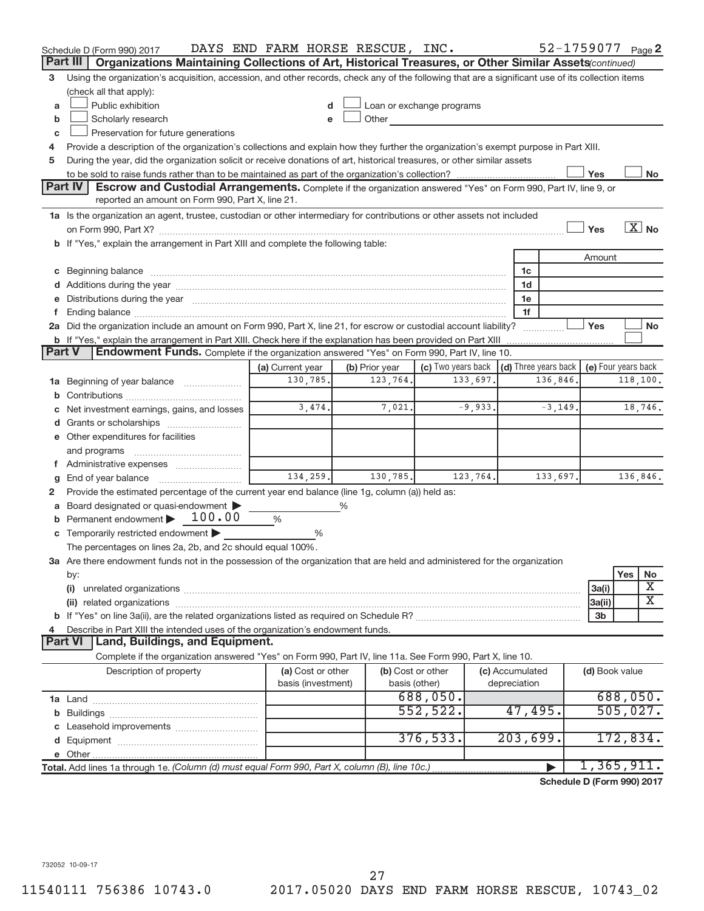|               | Schedule D (Form 990) 2017                                                                                                                                                                                                     | DAYS END FARM HORSE RESCUE, INC. |                |                                        |           |                 | 52-1759077 Page 2                                       |                     |                      |                         |
|---------------|--------------------------------------------------------------------------------------------------------------------------------------------------------------------------------------------------------------------------------|----------------------------------|----------------|----------------------------------------|-----------|-----------------|---------------------------------------------------------|---------------------|----------------------|-------------------------|
|               | Organizations Maintaining Collections of Art, Historical Treasures, or Other Similar Assets (continued)<br>Part III                                                                                                            |                                  |                |                                        |           |                 |                                                         |                     |                      |                         |
| 3             | Using the organization's acquisition, accession, and other records, check any of the following that are a significant use of its collection items                                                                              |                                  |                |                                        |           |                 |                                                         |                     |                      |                         |
|               | (check all that apply):                                                                                                                                                                                                        |                                  |                |                                        |           |                 |                                                         |                     |                      |                         |
| a             | Public exhibition                                                                                                                                                                                                              |                                  |                | Loan or exchange programs              |           |                 |                                                         |                     |                      |                         |
| b             | Scholarly research                                                                                                                                                                                                             |                                  | Other          | <u> 1980 - Jan Barat III, martin a</u> |           |                 |                                                         |                     |                      |                         |
| c             | Preservation for future generations                                                                                                                                                                                            |                                  |                |                                        |           |                 |                                                         |                     |                      |                         |
| 4             | Provide a description of the organization's collections and explain how they further the organization's exempt purpose in Part XIII.                                                                                           |                                  |                |                                        |           |                 |                                                         |                     |                      |                         |
| 5             | During the year, did the organization solicit or receive donations of art, historical treasures, or other similar assets                                                                                                       |                                  |                |                                        |           |                 |                                                         |                     |                      |                         |
|               |                                                                                                                                                                                                                                |                                  |                |                                        |           |                 |                                                         | Yes                 |                      | No                      |
|               | Part IV<br><b>Escrow and Custodial Arrangements.</b> Complete if the organization answered "Yes" on Form 990, Part IV, line 9, or                                                                                              |                                  |                |                                        |           |                 |                                                         |                     |                      |                         |
|               | reported an amount on Form 990, Part X, line 21.                                                                                                                                                                               |                                  |                |                                        |           |                 |                                                         |                     |                      |                         |
|               | 1a Is the organization an agent, trustee, custodian or other intermediary for contributions or other assets not included                                                                                                       |                                  |                |                                        |           |                 |                                                         |                     |                      | $\boxed{\text{X}}$ No   |
|               |                                                                                                                                                                                                                                |                                  |                |                                        |           |                 |                                                         | Yes                 |                      |                         |
|               | b If "Yes," explain the arrangement in Part XIII and complete the following table:                                                                                                                                             |                                  |                |                                        |           |                 |                                                         |                     |                      |                         |
|               |                                                                                                                                                                                                                                |                                  |                |                                        |           |                 |                                                         | Amount              |                      |                         |
|               | c Beginning balance measurements and the contract of the contract of the contract of the contract of the contract of the contract of the contract of the contract of the contract of the contract of the contract of the contr |                                  |                |                                        |           | 1c              |                                                         |                     |                      |                         |
|               |                                                                                                                                                                                                                                |                                  |                |                                        |           | 1d              |                                                         |                     |                      |                         |
|               | e Distributions during the year manufactured and continuum and contact the control of the control of the control of the control of the control of the control of the control of the control of the control of the control of t |                                  |                |                                        |           | 1e<br>1f        |                                                         |                     |                      |                         |
| f.            | 2a Did the organization include an amount on Form 990, Part X, line 21, for escrow or custodial account liability?                                                                                                             |                                  |                |                                        |           |                 |                                                         | Yes                 |                      | <b>No</b>               |
|               | <b>b</b> If "Yes," explain the arrangement in Part XIII. Check here if the explanation has been provided on Part XIII                                                                                                          |                                  |                |                                        |           |                 |                                                         |                     |                      |                         |
| <b>Part V</b> | Endowment Funds. Complete if the organization answered "Yes" on Form 990, Part IV, line 10.                                                                                                                                    |                                  |                |                                        |           |                 |                                                         |                     |                      |                         |
|               |                                                                                                                                                                                                                                | (a) Current year                 | (b) Prior year |                                        |           |                 | (c) Two years back $\vert$ (d) Three years back $\vert$ | (e) Four years back |                      |                         |
|               | 1a Beginning of year balance                                                                                                                                                                                                   | 130,785.                         | 123,764.       |                                        | 133,697.  |                 | 136,846.                                                |                     |                      | 118,100.                |
| b             |                                                                                                                                                                                                                                |                                  |                |                                        |           |                 |                                                         |                     |                      |                         |
| С             | Net investment earnings, gains, and losses                                                                                                                                                                                     | 3,474.                           | 7,021.         |                                        | $-9,933.$ |                 | $-3, 149.$                                              |                     |                      | 18,746.                 |
|               |                                                                                                                                                                                                                                |                                  |                |                                        |           |                 |                                                         |                     |                      |                         |
|               | e Other expenditures for facilities                                                                                                                                                                                            |                                  |                |                                        |           |                 |                                                         |                     |                      |                         |
|               | and programs                                                                                                                                                                                                                   |                                  |                |                                        |           |                 |                                                         |                     |                      |                         |
|               | f Administrative expenses                                                                                                                                                                                                      |                                  |                |                                        |           |                 |                                                         |                     |                      |                         |
| g             |                                                                                                                                                                                                                                | 134,259.                         | 130, 785.      |                                        | 123, 764. |                 | 133,697.                                                |                     |                      | 136,846.                |
|               | Provide the estimated percentage of the current year end balance (line 1g, column (a)) held as:                                                                                                                                |                                  |                |                                        |           |                 |                                                         |                     |                      |                         |
|               | a Board designated or quasi-endowment                                                                                                                                                                                          |                                  | %              |                                        |           |                 |                                                         |                     |                      |                         |
| $\mathbf b$   | Permanent endowment > 100.00                                                                                                                                                                                                   | %                                |                |                                        |           |                 |                                                         |                     |                      |                         |
|               | c Temporarily restricted endowment $\blacktriangleright$                                                                                                                                                                       | %                                |                |                                        |           |                 |                                                         |                     |                      |                         |
|               | The percentages on lines 2a, 2b, and 2c should equal 100%.                                                                                                                                                                     |                                  |                |                                        |           |                 |                                                         |                     |                      |                         |
|               | 3a Are there endowment funds not in the possession of the organization that are held and administered for the organization                                                                                                     |                                  |                |                                        |           |                 |                                                         |                     |                      |                         |
|               | by:                                                                                                                                                                                                                            |                                  |                |                                        |           |                 |                                                         |                     | Yes                  | No                      |
|               | (i)                                                                                                                                                                                                                            |                                  |                |                                        |           |                 |                                                         | 3a(i)               |                      | X                       |
|               |                                                                                                                                                                                                                                |                                  |                |                                        |           |                 |                                                         | 3a(ii)              |                      | $\overline{\textbf{X}}$ |
|               |                                                                                                                                                                                                                                |                                  |                |                                        |           |                 |                                                         | 3 <sub>b</sub>      |                      |                         |
| 4             | Describe in Part XIII the intended uses of the organization's endowment funds.                                                                                                                                                 |                                  |                |                                        |           |                 |                                                         |                     |                      |                         |
|               | Land, Buildings, and Equipment.<br><b>Part VI</b>                                                                                                                                                                              |                                  |                |                                        |           |                 |                                                         |                     |                      |                         |
|               | Complete if the organization answered "Yes" on Form 990, Part IV, line 11a. See Form 990, Part X, line 10.                                                                                                                     |                                  |                |                                        |           |                 |                                                         |                     |                      |                         |
|               | Description of property                                                                                                                                                                                                        | (a) Cost or other                |                | (b) Cost or other                      |           | (c) Accumulated |                                                         | (d) Book value      |                      |                         |
|               |                                                                                                                                                                                                                                | basis (investment)               |                | basis (other)                          |           | depreciation    |                                                         |                     |                      |                         |
|               |                                                                                                                                                                                                                                |                                  |                | 688,050.<br>552,522.                   |           |                 |                                                         |                     | 688,050.<br>505,027. |                         |
|               |                                                                                                                                                                                                                                |                                  |                |                                        |           | 47,495.         |                                                         |                     |                      |                         |
|               |                                                                                                                                                                                                                                |                                  |                | 376, 533.                              |           | 203,699.        |                                                         |                     | 172,834.             |                         |
|               |                                                                                                                                                                                                                                |                                  |                |                                        |           |                 |                                                         |                     |                      |                         |
|               |                                                                                                                                                                                                                                |                                  |                |                                        |           |                 |                                                         | 1,365,911.          |                      |                         |
|               | Total. Add lines 1a through 1e. (Column (d) must equal Form 990, Part X, column (B), line 10c.)                                                                                                                                |                                  |                |                                        |           |                 | Schedule D (Form 990) 2017                              |                     |                      |                         |
|               |                                                                                                                                                                                                                                |                                  |                |                                        |           |                 |                                                         |                     |                      |                         |

732052 10-09-17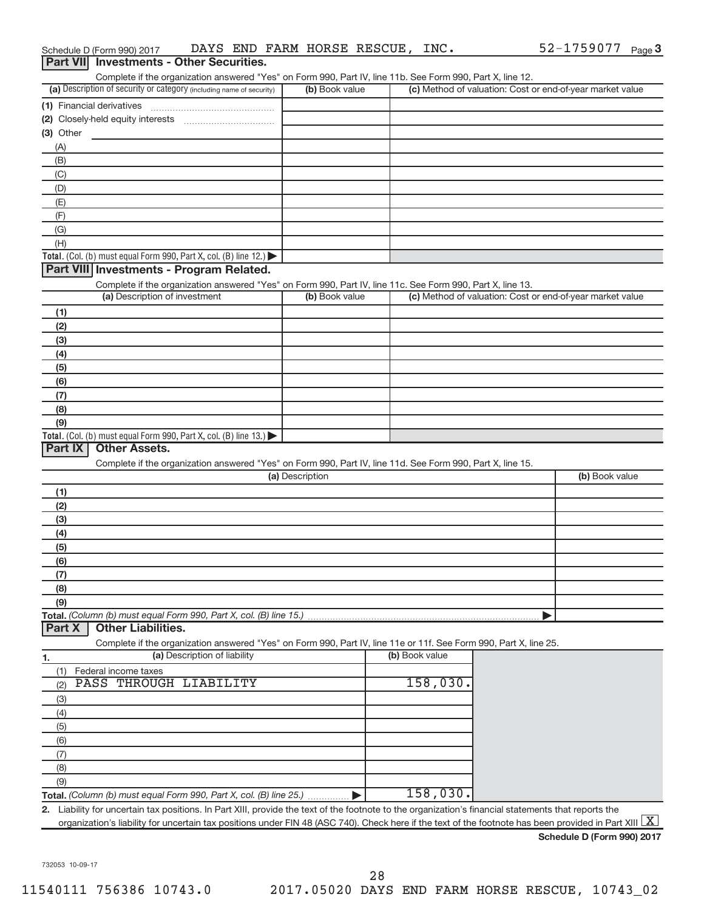| Schedule D (Form 990) 2017                                                                                                                                              | DAYS END FARM HORSE RESCUE, INC. |                | 52-1759077 Page 3                                         |
|-------------------------------------------------------------------------------------------------------------------------------------------------------------------------|----------------------------------|----------------|-----------------------------------------------------------|
| <b>Investments - Other Securities.</b><br><b>Part VIII</b>                                                                                                              |                                  |                |                                                           |
| Complete if the organization answered "Yes" on Form 990, Part IV, line 11b. See Form 990, Part X, line 12.                                                              |                                  |                |                                                           |
| (a) Description of security or category (including name of security)                                                                                                    | (b) Book value                   |                | (c) Method of valuation: Cost or end-of-year market value |
| (1) Financial derivatives                                                                                                                                               |                                  |                |                                                           |
|                                                                                                                                                                         |                                  |                |                                                           |
| (3) Other                                                                                                                                                               |                                  |                |                                                           |
| (A)                                                                                                                                                                     |                                  |                |                                                           |
| (B)                                                                                                                                                                     |                                  |                |                                                           |
| (C)                                                                                                                                                                     |                                  |                |                                                           |
| (D)                                                                                                                                                                     |                                  |                |                                                           |
| (E)                                                                                                                                                                     |                                  |                |                                                           |
| (F)                                                                                                                                                                     |                                  |                |                                                           |
| (G)                                                                                                                                                                     |                                  |                |                                                           |
| (H)                                                                                                                                                                     |                                  |                |                                                           |
| Total. (Col. (b) must equal Form 990, Part X, col. (B) line $12$ .)                                                                                                     |                                  |                |                                                           |
| Part VIII Investments - Program Related.                                                                                                                                |                                  |                |                                                           |
| Complete if the organization answered "Yes" on Form 990, Part IV, line 11c. See Form 990, Part X, line 13.                                                              |                                  |                |                                                           |
| (a) Description of investment                                                                                                                                           | (b) Book value                   |                | (c) Method of valuation: Cost or end-of-year market value |
| (1)                                                                                                                                                                     |                                  |                |                                                           |
| (2)                                                                                                                                                                     |                                  |                |                                                           |
| (3)                                                                                                                                                                     |                                  |                |                                                           |
| (4)                                                                                                                                                                     |                                  |                |                                                           |
| (5)                                                                                                                                                                     |                                  |                |                                                           |
| (6)                                                                                                                                                                     |                                  |                |                                                           |
| (7)                                                                                                                                                                     |                                  |                |                                                           |
| (8)                                                                                                                                                                     |                                  |                |                                                           |
| (9)                                                                                                                                                                     |                                  |                |                                                           |
| Total. (Col. (b) must equal Form 990, Part X, col. (B) line $13.$ )<br><b>Other Assets.</b><br>Part IX                                                                  |                                  |                |                                                           |
| Complete if the organization answered "Yes" on Form 990, Part IV, line 11d. See Form 990, Part X, line 15.                                                              |                                  |                |                                                           |
|                                                                                                                                                                         | (a) Description                  |                | (b) Book value                                            |
| (1)                                                                                                                                                                     |                                  |                |                                                           |
| (2)                                                                                                                                                                     |                                  |                |                                                           |
| (3)                                                                                                                                                                     |                                  |                |                                                           |
| (4)                                                                                                                                                                     |                                  |                |                                                           |
| (5)                                                                                                                                                                     |                                  |                |                                                           |
| (6)                                                                                                                                                                     |                                  |                |                                                           |
| (7)                                                                                                                                                                     |                                  |                |                                                           |
| (8)                                                                                                                                                                     |                                  |                |                                                           |
| (9)                                                                                                                                                                     |                                  |                |                                                           |
| Total. (Column (b) must equal Form 990, Part X, col. (B) line 15.)                                                                                                      |                                  |                |                                                           |
| <b>Other Liabilities.</b><br>Part X                                                                                                                                     |                                  |                |                                                           |
| Complete if the organization answered "Yes" on Form 990, Part IV, line 11e or 11f. See Form 990, Part X, line 25.                                                       |                                  |                |                                                           |
| (a) Description of liability<br>1.                                                                                                                                      |                                  | (b) Book value |                                                           |
| (1)<br>Federal income taxes                                                                                                                                             |                                  |                |                                                           |
| PASS THROUGH LIABILITY<br>(2)                                                                                                                                           |                                  | $158,030$ .    |                                                           |
| (3)                                                                                                                                                                     |                                  |                |                                                           |
| (4)                                                                                                                                                                     |                                  |                |                                                           |
| (5)                                                                                                                                                                     |                                  |                |                                                           |
| (6)                                                                                                                                                                     |                                  |                |                                                           |
| (7)                                                                                                                                                                     |                                  |                |                                                           |
| (8)                                                                                                                                                                     |                                  |                |                                                           |
| (9)                                                                                                                                                                     |                                  |                |                                                           |
| Total. (Column (b) must equal Form 990, Part X, col. (B) line 25.)                                                                                                      |                                  | 158,030.       |                                                           |
| 2. Liability for uncertain tax positions. In Part XIII, provide the text of the footnote to the organization's financial statements that reports the                    |                                  |                |                                                           |
| organization's liability for uncertain tax positions under FIN 48 (ASC 740). Check here if the text of the footnote has been provided in Part XIII $\boxed{\mathrm{X}}$ |                                  |                |                                                           |

732053 10-09-17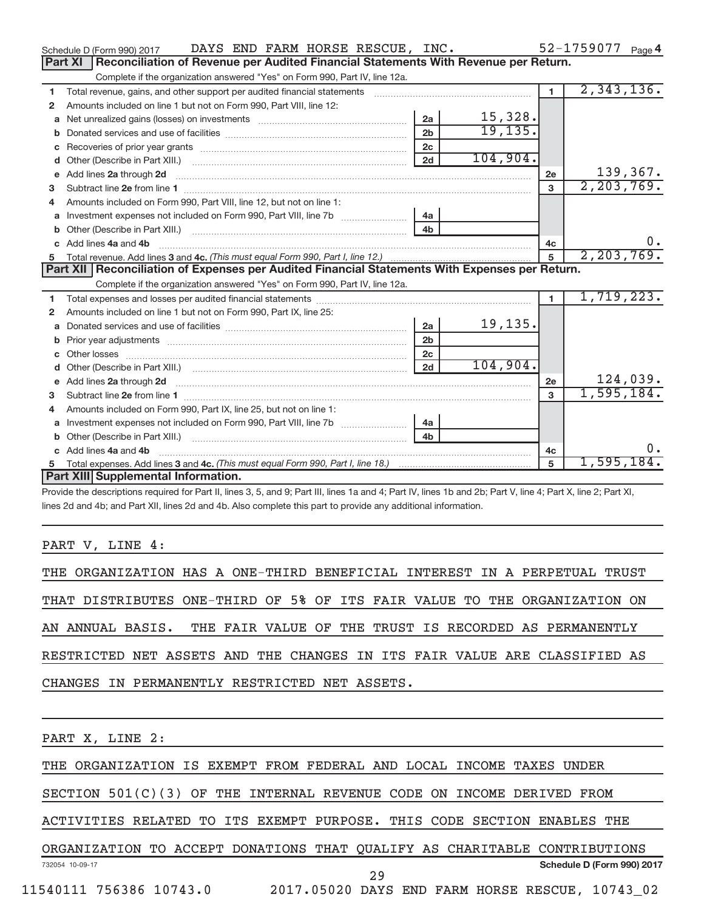|              | DAYS END FARM HORSE RESCUE, INC.<br>Schedule D (Form 990) 2017                                                                                                                                                                 |                |          |                | $52 - 1759077$ Page 4 |
|--------------|--------------------------------------------------------------------------------------------------------------------------------------------------------------------------------------------------------------------------------|----------------|----------|----------------|-----------------------|
|              | Reconciliation of Revenue per Audited Financial Statements With Revenue per Return.<br>Part XI                                                                                                                                 |                |          |                |                       |
|              | Complete if the organization answered "Yes" on Form 990, Part IV, line 12a.                                                                                                                                                    |                |          |                |                       |
| 1            | Total revenue, gains, and other support per audited financial statements                                                                                                                                                       |                |          | $\blacksquare$ | 2,343,136.            |
| 2            | Amounts included on line 1 but not on Form 990, Part VIII, line 12:                                                                                                                                                            |                |          |                |                       |
| a            | Net unrealized gains (losses) on investments [111] [12] matter and all products and all products and all products and all products and all products and all products and all products and all products and all products and al | 2a             | 15,328.  |                |                       |
|              |                                                                                                                                                                                                                                | 2 <sub>b</sub> | 19, 135. |                |                       |
|              |                                                                                                                                                                                                                                | 2c             |          |                |                       |
| d            |                                                                                                                                                                                                                                | 2d             | 104,904. |                |                       |
| $\mathbf{e}$ | Add lines 2a through 2d                                                                                                                                                                                                        |                |          | <b>2e</b>      | 139,367.              |
| 3            |                                                                                                                                                                                                                                |                |          | $\overline{3}$ | 2, 203, 769.          |
| 4            | Amounts included on Form 990, Part VIII, line 12, but not on line 1:                                                                                                                                                           |                |          |                |                       |
|              |                                                                                                                                                                                                                                | l 4a           |          |                |                       |
|              |                                                                                                                                                                                                                                | 4 <sub>b</sub> |          |                |                       |
|              | c Add lines 4a and 4b                                                                                                                                                                                                          |                |          | 4c             | $0 \cdot$             |
|              |                                                                                                                                                                                                                                |                |          | 5              | 2, 203, 769.          |
|              |                                                                                                                                                                                                                                |                |          |                |                       |
|              | Part XII   Reconciliation of Expenses per Audited Financial Statements With Expenses per Return.                                                                                                                               |                |          |                |                       |
|              | Complete if the organization answered "Yes" on Form 990, Part IV, line 12a.                                                                                                                                                    |                |          |                |                       |
| 1.           |                                                                                                                                                                                                                                |                |          | $\blacksquare$ | 1,719,223.            |
| 2            | Amounts included on line 1 but not on Form 990, Part IX, line 25:                                                                                                                                                              |                |          |                |                       |
| a            |                                                                                                                                                                                                                                | 2a             | 19,135.  |                |                       |
|              |                                                                                                                                                                                                                                | 2 <sub>b</sub> |          |                |                       |
|              |                                                                                                                                                                                                                                | 2 <sub>c</sub> |          |                |                       |
| d            |                                                                                                                                                                                                                                | 2d             | 104,904. |                |                       |
|              | e Add lines 2a through 2d [11] manufactured and all the Add lines 2a through 2d [11] manufactured and all through 2d [11] manufactured and all through 2d [11] manufactured and all through 2d [11] manufactured and all throu |                |          | 2e             | 124,039.              |
| з            |                                                                                                                                                                                                                                |                |          | $\mathbf{3}$   | 1,595,184.            |
| 4            | Amounts included on Form 990, Part IX, line 25, but not on line 1:                                                                                                                                                             |                |          |                |                       |
| a            |                                                                                                                                                                                                                                | 4a             |          |                |                       |
| b            |                                                                                                                                                                                                                                | 4 <sub>h</sub> |          |                |                       |
|              | c Add lines 4a and 4b                                                                                                                                                                                                          |                |          | 4c             | $0$ .                 |
| 5            | Part XIII Supplemental Information.                                                                                                                                                                                            |                |          | 5              | 1,595,184.            |

Provide the descriptions required for Part II, lines 3, 5, and 9; Part III, lines 1a and 4; Part IV, lines 1b and 2b; Part V, line 4; Part X, line 2; Part XI, lines 2d and 4b; and Part XII, lines 2d and 4b. Also complete this part to provide any additional information.

### PART V, LINE 4:

|                                               |  |  |  |  |  | THE ORGANIZATION HAS A ONE-THIRD BENEFICIAL INTEREST IN A PERPETUAL TRUST |  |  |  |  |  |
|-----------------------------------------------|--|--|--|--|--|---------------------------------------------------------------------------|--|--|--|--|--|
|                                               |  |  |  |  |  | THAT DISTRIBUTES ONE-THIRD OF 5% OF ITS FAIR VALUE TO THE ORGANIZATION ON |  |  |  |  |  |
|                                               |  |  |  |  |  | AN ANNUAL BASIS. THE FAIR VALUE OF THE TRUST IS RECORDED AS PERMANENTLY   |  |  |  |  |  |
|                                               |  |  |  |  |  | RESTRICTED NET ASSETS AND THE CHANGES IN ITS FAIR VALUE ARE CLASSIFIED AS |  |  |  |  |  |
| CHANGES IN PERMANENTLY RESTRICTED NET ASSETS. |  |  |  |  |  |                                                                           |  |  |  |  |  |
|                                               |  |  |  |  |  |                                                                           |  |  |  |  |  |

PART X, LINE 2:

| THE ORGANIZATION IS EXEMPT FROM FEDERAL AND LOCAL INCOME TAXES UNDER |  |  |  |  |  |  |  |  |  |  |  |
|----------------------------------------------------------------------|--|--|--|--|--|--|--|--|--|--|--|
|----------------------------------------------------------------------|--|--|--|--|--|--|--|--|--|--|--|

SECTION 501(C)(3) OF THE INTERNAL REVENUE CODE ON INCOME DERIVED FROM

ACTIVITIES RELATED TO ITS EXEMPT PURPOSE. THIS CODE SECTION ENABLES THE

732054 10-09-17 **Schedule D (Form 990) 2017** ORGANIZATION TO ACCEPT DONATIONS THAT QUALIFY AS CHARITABLE CONTRIBUTIONS 29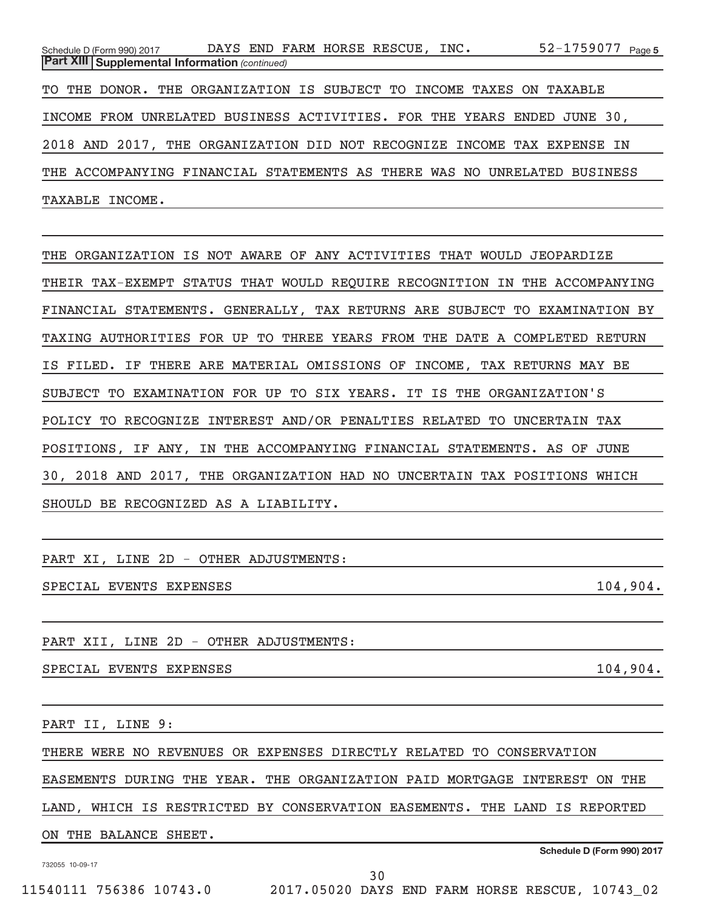| Schedule D (Form 990) 2017 DAYS END FARM HORSE RESCUE, INC.              |  | 52-1759077 Page 5 |
|--------------------------------------------------------------------------|--|-------------------|
| <b>Part XIII Supplemental Information (continued)</b>                    |  |                   |
| TO THE DONOR. THE ORGANIZATION IS SUBJECT TO INCOME TAXES ON TAXABLE     |  |                   |
| INCOME FROM UNRELATED BUSINESS ACTIVITIES. FOR THE YEARS ENDED JUNE 30,  |  |                   |
| 2018 AND 2017, THE ORGANIZATION DID NOT RECOGNIZE INCOME TAX EXPENSE IN  |  |                   |
| THE ACCOMPANYING FINANCIAL STATEMENTS AS THERE WAS NO UNRELATED BUSINESS |  |                   |
| TAXABLE INCOME.                                                          |  |                   |

THE ORGANIZATION IS NOT AWARE OF ANY ACTIVITIES THAT WOULD JEOPARDIZE THEIR TAX-EXEMPT STATUS THAT WOULD REQUIRE RECOGNITION IN THE ACCOMPANYING FINANCIAL STATEMENTS. GENERALLY, TAX RETURNS ARE SUBJECT TO EXAMINATION BY TAXING AUTHORITIES FOR UP TO THREE YEARS FROM THE DATE A COMPLETED RETURN IS FILED. IF THERE ARE MATERIAL OMISSIONS OF INCOME, TAX RETURNS MAY BE SUBJECT TO EXAMINATION FOR UP TO SIX YEARS. IT IS THE ORGANIZATION'S POLICY TO RECOGNIZE INTEREST AND/OR PENALTIES RELATED TO UNCERTAIN TAX POSITIONS, IF ANY, IN THE ACCOMPANYING FINANCIAL STATEMENTS. AS OF JUNE 30, 2018 AND 2017, THE ORGANIZATION HAD NO UNCERTAIN TAX POSITIONS WHICH SHOULD BE RECOGNIZED AS A LIABILITY.

PART XI, LINE 2D - OTHER ADJUSTMENTS:

SPECIAL EVENTS EXPENSES 2004.

PART XII, LINE 2D - OTHER ADJUSTMENTS:

SPECIAL EVENTS EXPENSES 2004.

PART II, LINE 9:

THERE WERE NO REVENUES OR EXPENSES DIRECTLY RELATED TO CONSERVATION

EASEMENTS DURING THE YEAR. THE ORGANIZATION PAID MORTGAGE INTEREST ON THE

LAND, WHICH IS RESTRICTED BY CONSERVATION EASEMENTS. THE LAND IS REPORTED

ON THE BALANCE SHEET.

732055 10-09-17

**Schedule D (Form 990) 2017**

11540111 756386 10743.0 2017.05020 DAYS END FARM HORSE RESCUE, 10743\_02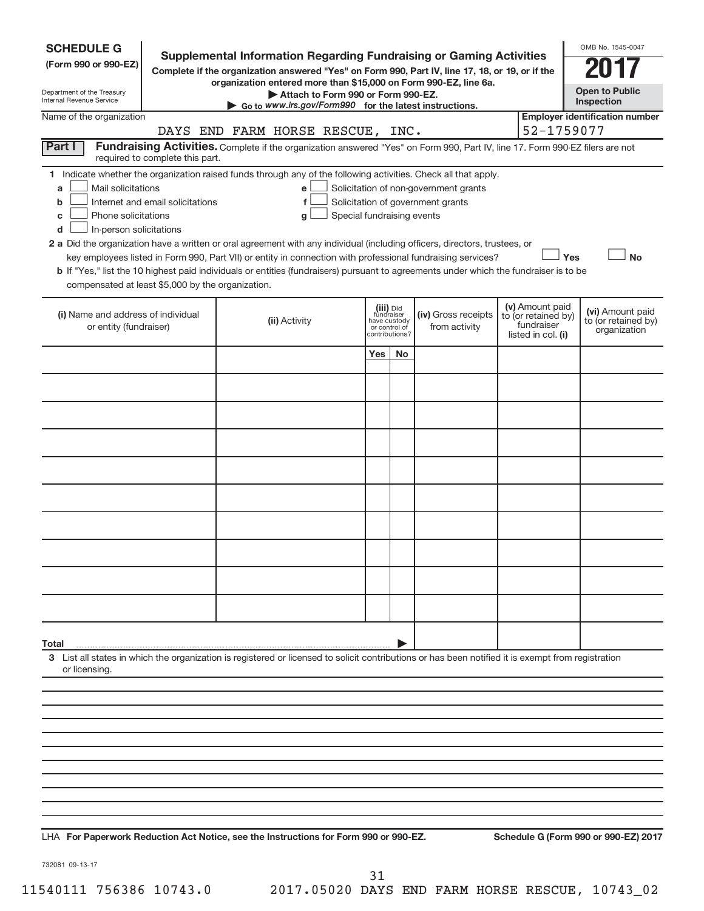| <b>SCHEDULE G</b>                                                                        |                                  |                                                                                                                                                                                                                                                                                                                                                                                                           |                                                          |                |                                                                            |                                                                            |     | OMB No. 1545-0047                                       |
|------------------------------------------------------------------------------------------|----------------------------------|-----------------------------------------------------------------------------------------------------------------------------------------------------------------------------------------------------------------------------------------------------------------------------------------------------------------------------------------------------------------------------------------------------------|----------------------------------------------------------|----------------|----------------------------------------------------------------------------|----------------------------------------------------------------------------|-----|---------------------------------------------------------|
| (Form 990 or 990-EZ)                                                                     |                                  | <b>Supplemental Information Regarding Fundraising or Gaming Activities</b><br>Complete if the organization answered "Yes" on Form 990, Part IV, line 17, 18, or 19, or if the                                                                                                                                                                                                                             |                                                          |                |                                                                            |                                                                            |     |                                                         |
| Department of the Treasury                                                               |                                  | organization entered more than \$15,000 on Form 990-EZ, line 6a.<br>Attach to Form 990 or Form 990-EZ.                                                                                                                                                                                                                                                                                                    |                                                          |                |                                                                            |                                                                            |     | <b>Open to Public</b>                                   |
| Internal Revenue Service<br>Name of the organization                                     |                                  | $\triangleright$ Go to www.irs.gov/Form990 for the latest instructions.                                                                                                                                                                                                                                                                                                                                   |                                                          |                |                                                                            |                                                                            |     | Inspection<br><b>Employer identification number</b>     |
|                                                                                          |                                  | DAYS END FARM HORSE RESCUE, INC.                                                                                                                                                                                                                                                                                                                                                                          |                                                          |                |                                                                            | 52-1759077                                                                 |     |                                                         |
| Part I                                                                                   | required to complete this part.  | Fundraising Activities. Complete if the organization answered "Yes" on Form 990, Part IV, line 17. Form 990-EZ filers are not                                                                                                                                                                                                                                                                             |                                                          |                |                                                                            |                                                                            |     |                                                         |
| Mail solicitations<br>a<br>b<br>Phone solicitations<br>c<br>In-person solicitations<br>d | Internet and email solicitations | 1 Indicate whether the organization raised funds through any of the following activities. Check all that apply.<br>е<br>f<br>Special fundraising events<br>g<br>2 a Did the organization have a written or oral agreement with any individual (including officers, directors, trustees, or<br>key employees listed in Form 990, Part VII) or entity in connection with professional fundraising services? |                                                          |                | Solicitation of non-government grants<br>Solicitation of government grants |                                                                            | Yes | <b>No</b>                                               |
| compensated at least \$5,000 by the organization.                                        |                                  | b If "Yes," list the 10 highest paid individuals or entities (fundraisers) pursuant to agreements under which the fundraiser is to be                                                                                                                                                                                                                                                                     |                                                          |                |                                                                            |                                                                            |     |                                                         |
| (i) Name and address of individual<br>or entity (fundraiser)                             |                                  | (ii) Activity                                                                                                                                                                                                                                                                                                                                                                                             | (iii) Did<br>fundraiser<br>have custody<br>or control of | contributions? | (iv) Gross receipts<br>from activity                                       | (v) Amount paid<br>to (or retained by)<br>fundraiser<br>listed in col. (i) |     | (vi) Amount paid<br>to (or retained by)<br>organization |
|                                                                                          |                                  |                                                                                                                                                                                                                                                                                                                                                                                                           | Yes                                                      | <b>No</b>      |                                                                            |                                                                            |     |                                                         |
|                                                                                          |                                  |                                                                                                                                                                                                                                                                                                                                                                                                           |                                                          |                |                                                                            |                                                                            |     |                                                         |
|                                                                                          |                                  |                                                                                                                                                                                                                                                                                                                                                                                                           |                                                          |                |                                                                            |                                                                            |     |                                                         |
|                                                                                          |                                  |                                                                                                                                                                                                                                                                                                                                                                                                           |                                                          |                |                                                                            |                                                                            |     |                                                         |
|                                                                                          |                                  |                                                                                                                                                                                                                                                                                                                                                                                                           |                                                          |                |                                                                            |                                                                            |     |                                                         |
|                                                                                          |                                  |                                                                                                                                                                                                                                                                                                                                                                                                           |                                                          |                |                                                                            |                                                                            |     |                                                         |
|                                                                                          |                                  |                                                                                                                                                                                                                                                                                                                                                                                                           |                                                          |                |                                                                            |                                                                            |     |                                                         |
|                                                                                          |                                  |                                                                                                                                                                                                                                                                                                                                                                                                           |                                                          |                |                                                                            |                                                                            |     |                                                         |
|                                                                                          |                                  |                                                                                                                                                                                                                                                                                                                                                                                                           |                                                          |                |                                                                            |                                                                            |     |                                                         |
|                                                                                          |                                  |                                                                                                                                                                                                                                                                                                                                                                                                           |                                                          |                |                                                                            |                                                                            |     |                                                         |
| Total                                                                                    |                                  |                                                                                                                                                                                                                                                                                                                                                                                                           |                                                          |                |                                                                            |                                                                            |     |                                                         |
| or licensing.                                                                            |                                  | 3 List all states in which the organization is registered or licensed to solicit contributions or has been notified it is exempt from registration                                                                                                                                                                                                                                                        |                                                          |                |                                                                            |                                                                            |     |                                                         |
|                                                                                          |                                  |                                                                                                                                                                                                                                                                                                                                                                                                           |                                                          |                |                                                                            |                                                                            |     |                                                         |
|                                                                                          |                                  |                                                                                                                                                                                                                                                                                                                                                                                                           |                                                          |                |                                                                            |                                                                            |     |                                                         |
|                                                                                          |                                  |                                                                                                                                                                                                                                                                                                                                                                                                           |                                                          |                |                                                                            |                                                                            |     |                                                         |
|                                                                                          |                                  |                                                                                                                                                                                                                                                                                                                                                                                                           |                                                          |                |                                                                            |                                                                            |     |                                                         |
|                                                                                          |                                  |                                                                                                                                                                                                                                                                                                                                                                                                           |                                                          |                |                                                                            |                                                                            |     |                                                         |
|                                                                                          |                                  |                                                                                                                                                                                                                                                                                                                                                                                                           |                                                          |                |                                                                            |                                                                            |     |                                                         |
|                                                                                          |                                  |                                                                                                                                                                                                                                                                                                                                                                                                           |                                                          |                |                                                                            |                                                                            |     |                                                         |

**For Paperwork Reduction Act Notice, see the Instructions for Form 990 or 990-EZ. Schedule G (Form 990 or 990-EZ) 2017** LHA

732081 09-13-17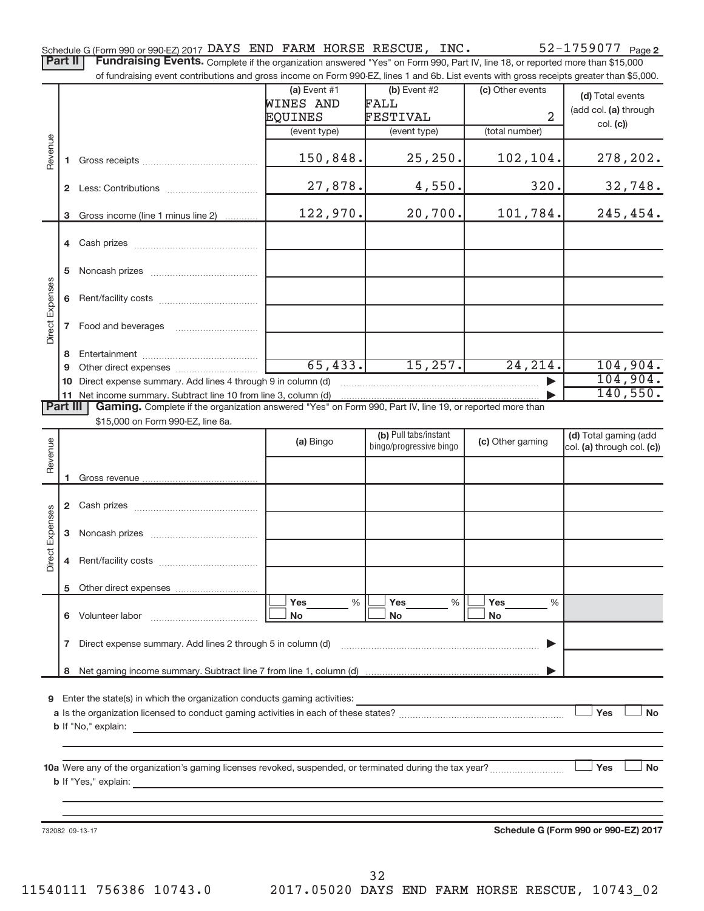Schedule G (Form 990 or 990-EZ) 2017 DAYS END FARM HORSE RESCUE, INC.  $52-1759077$  Page

Part II | Fundraising Events. Complete if the organization answered "Yes" on Form 990, Part IV, line 18, or reported more than \$15,000 of fundraising event contributions and gross income on Form 990-EZ, lines 1 and 6b. List events with gross receipts greater than \$5,000.

|                 |   | ovent contributions and gross income on Form oco EE, illies T and ob. Else events with gross receipts grouter than \$0,000.                          |                |                         |                  |                                      |
|-----------------|---|------------------------------------------------------------------------------------------------------------------------------------------------------|----------------|-------------------------|------------------|--------------------------------------|
|                 |   |                                                                                                                                                      | (a) Event $#1$ | (b) Event #2            | (c) Other events | (d) Total events                     |
|                 |   |                                                                                                                                                      | WINES AND      | FALL                    |                  | (add col. (a) through                |
|                 |   |                                                                                                                                                      | EQUINES        | FESTIVAL                | $\overline{a}$   | col. (c)                             |
|                 |   |                                                                                                                                                      | (event type)   | (event type)            | (total number)   |                                      |
| Revenue         |   |                                                                                                                                                      |                |                         |                  |                                      |
|                 |   |                                                                                                                                                      | 150,848.       | 25, 250.                | 102,104.         | 278,202.                             |
|                 |   |                                                                                                                                                      |                |                         |                  |                                      |
|                 |   |                                                                                                                                                      | 27,878.        | 4,550.                  | 320.             | 32,748.                              |
|                 |   |                                                                                                                                                      |                |                         |                  |                                      |
|                 |   | 3 Gross income (line 1 minus line 2)                                                                                                                 | 122,970.       | 20,700.                 | 101,784.         | 245, 454.                            |
|                 |   |                                                                                                                                                      |                |                         |                  |                                      |
|                 |   |                                                                                                                                                      |                |                         |                  |                                      |
|                 |   |                                                                                                                                                      |                |                         |                  |                                      |
|                 |   |                                                                                                                                                      |                |                         |                  |                                      |
|                 |   |                                                                                                                                                      |                |                         |                  |                                      |
| Direct Expenses |   |                                                                                                                                                      |                |                         |                  |                                      |
|                 |   | 7 Food and beverages                                                                                                                                 |                |                         |                  |                                      |
|                 |   |                                                                                                                                                      |                |                         |                  |                                      |
|                 |   |                                                                                                                                                      | 65,433.        | 15, 257.                | 24, 214.         | 104,904.                             |
|                 | 9 | 10 Direct expense summary. Add lines 4 through 9 in column (d)                                                                                       |                |                         |                  | 104,904.                             |
|                 |   | 11 Net income summary. Subtract line 10 from line 3, column (d)                                                                                      |                |                         |                  | 140, 550.                            |
| <b>Part III</b> |   | Gaming. Complete if the organization answered "Yes" on Form 990, Part IV, line 19, or reported more than                                             |                |                         |                  |                                      |
|                 |   | \$15,000 on Form 990-EZ, line 6a.                                                                                                                    |                |                         |                  |                                      |
|                 |   |                                                                                                                                                      |                | (b) Pull tabs/instant   |                  | (d) Total gaming (add                |
| Revenue         |   |                                                                                                                                                      | (a) Bingo      | bingo/progressive bingo | (c) Other gaming | col. (a) through col. (c))           |
|                 |   |                                                                                                                                                      |                |                         |                  |                                      |
|                 |   |                                                                                                                                                      |                |                         |                  |                                      |
|                 |   |                                                                                                                                                      |                |                         |                  |                                      |
|                 |   |                                                                                                                                                      |                |                         |                  |                                      |
|                 |   |                                                                                                                                                      |                |                         |                  |                                      |
| Direct Expenses |   |                                                                                                                                                      |                |                         |                  |                                      |
|                 |   |                                                                                                                                                      |                |                         |                  |                                      |
|                 |   |                                                                                                                                                      |                |                         |                  |                                      |
|                 |   |                                                                                                                                                      |                |                         |                  |                                      |
|                 |   |                                                                                                                                                      |                |                         |                  |                                      |
|                 |   |                                                                                                                                                      | Yes<br>%       | Yes<br>%                | Yes<br>%         |                                      |
|                 |   | 6 Volunteer labor                                                                                                                                    | No             | <b>No</b>               | No               |                                      |
|                 |   | Direct expense summary. Add lines 2 through 5 in column (d)                                                                                          |                |                         |                  |                                      |
|                 | 7 |                                                                                                                                                      |                |                         |                  |                                      |
|                 | 8 |                                                                                                                                                      |                |                         |                  |                                      |
|                 |   |                                                                                                                                                      |                |                         |                  |                                      |
|                 |   | 9 Enter the state(s) in which the organization conducts gaming activities:                                                                           |                |                         |                  |                                      |
|                 |   |                                                                                                                                                      |                |                         |                  | Yes<br><b>No</b>                     |
|                 |   | <b>b</b> If "No," explain:                                                                                                                           |                |                         |                  |                                      |
|                 |   |                                                                                                                                                      |                |                         |                  |                                      |
|                 |   |                                                                                                                                                      |                |                         |                  |                                      |
|                 |   | 10a Were any of the organization's gaming licenses revoked, suspended, or terminated during the tax year?                                            |                |                         |                  | Yes<br><b>No</b>                     |
|                 |   | <b>b</b> If "Yes," explain:<br><u> 1980 - John Stein, mars and de la provincia de la provincia de la provincia de la provincia de la provincia d</u> |                |                         |                  |                                      |
|                 |   |                                                                                                                                                      |                |                         |                  |                                      |
|                 |   |                                                                                                                                                      |                |                         |                  |                                      |
|                 |   | 732082 09-13-17                                                                                                                                      |                |                         |                  | Schedule G (Form 990 or 990-EZ) 2017 |
|                 |   |                                                                                                                                                      |                |                         |                  |                                      |
|                 |   |                                                                                                                                                      |                |                         |                  |                                      |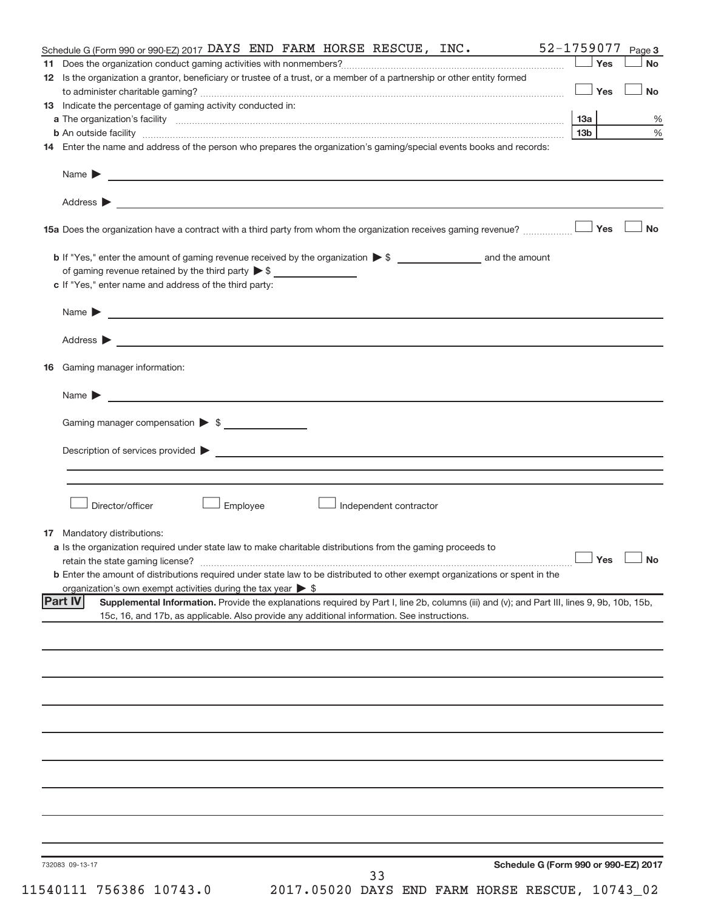| 52-1759077<br>Schedule G (Form 990 or 990-EZ) 2017 $\overline{DAYS}$ END FARM HORSE RESCUE, INC.                                                              |                 |            | Page 3               |
|---------------------------------------------------------------------------------------------------------------------------------------------------------------|-----------------|------------|----------------------|
|                                                                                                                                                               |                 | Yes        | <b>No</b>            |
| 12 Is the organization a grantor, beneficiary or trustee of a trust, or a member of a partnership or other entity formed                                      |                 |            |                      |
|                                                                                                                                                               |                 | $\Box$ Yes | <b>No</b>            |
| 13 Indicate the percentage of gaming activity conducted in:                                                                                                   |                 |            |                      |
|                                                                                                                                                               |                 |            | $\%$                 |
|                                                                                                                                                               | 13 <sub>b</sub> |            | %                    |
| 14 Enter the name and address of the person who prepares the organization's gaming/special events books and records:                                          |                 |            |                      |
|                                                                                                                                                               |                 |            |                      |
|                                                                                                                                                               |                 |            |                      |
|                                                                                                                                                               |                 |            |                      |
|                                                                                                                                                               |                 |            | <b>No</b>            |
|                                                                                                                                                               |                 |            |                      |
| of gaming revenue retained by the third party $\triangleright$ \$                                                                                             |                 |            |                      |
| c If "Yes," enter name and address of the third party:                                                                                                        |                 |            |                      |
|                                                                                                                                                               |                 |            |                      |
|                                                                                                                                                               |                 |            |                      |
|                                                                                                                                                               |                 |            |                      |
| 16 Gaming manager information:                                                                                                                                |                 |            |                      |
|                                                                                                                                                               |                 |            |                      |
| Gaming manager compensation > \$                                                                                                                              |                 |            |                      |
|                                                                                                                                                               |                 |            |                      |
|                                                                                                                                                               |                 |            |                      |
|                                                                                                                                                               |                 |            |                      |
|                                                                                                                                                               |                 |            |                      |
| Director/officer<br>Employee<br>Independent contractor                                                                                                        |                 |            |                      |
| <b>17</b> Mandatory distributions:                                                                                                                            |                 |            |                      |
| a Is the organization required under state law to make charitable distributions from the gaming proceeds to                                                   |                 |            |                      |
|                                                                                                                                                               |                 |            | $\Box$ Yes $\Box$ No |
| <b>b</b> Enter the amount of distributions required under state law to be distributed to other exempt organizations or spent in the                           |                 |            |                      |
| organization's own exempt activities during the tax year $\triangleright$ \$                                                                                  |                 |            |                      |
| <b>Part IV</b><br>Supplemental Information. Provide the explanations required by Part I, line 2b, columns (iii) and (v); and Part III, lines 9, 9b, 10b, 15b, |                 |            |                      |
| 15c, 16, and 17b, as applicable. Also provide any additional information. See instructions.                                                                   |                 |            |                      |
|                                                                                                                                                               |                 |            |                      |
|                                                                                                                                                               |                 |            |                      |
|                                                                                                                                                               |                 |            |                      |
|                                                                                                                                                               |                 |            |                      |
|                                                                                                                                                               |                 |            |                      |
|                                                                                                                                                               |                 |            |                      |
|                                                                                                                                                               |                 |            |                      |
|                                                                                                                                                               |                 |            |                      |
|                                                                                                                                                               |                 |            |                      |
|                                                                                                                                                               |                 |            |                      |
|                                                                                                                                                               |                 |            |                      |
|                                                                                                                                                               |                 |            |                      |
|                                                                                                                                                               |                 |            |                      |
| Schedule G (Form 990 or 990-EZ) 2017<br>732083 09-13-17<br>33                                                                                                 |                 |            |                      |
|                                                                                                                                                               |                 |            |                      |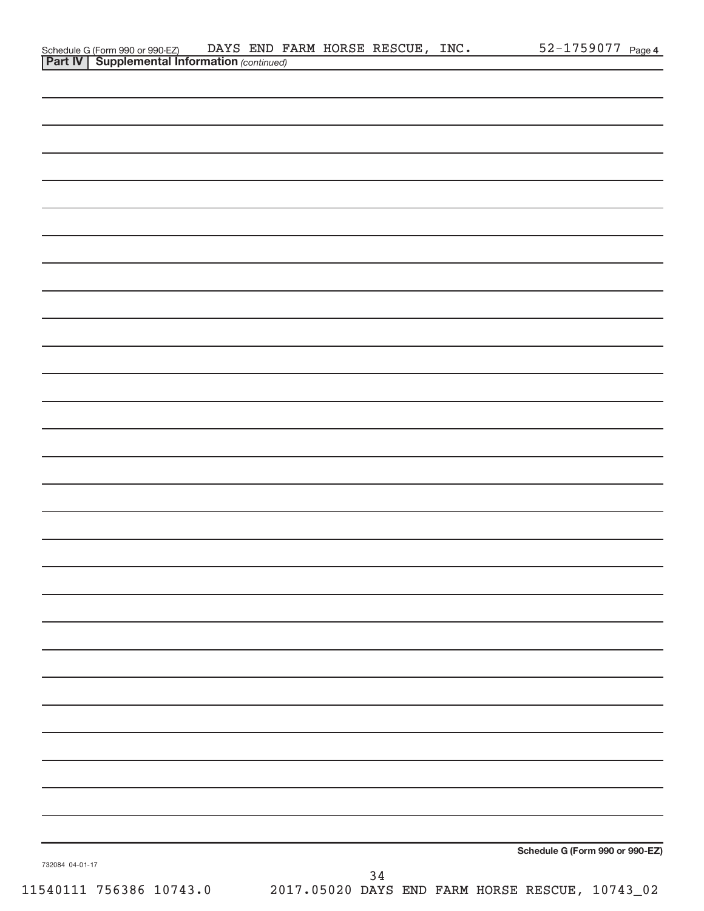| 732084 04-01-17<br>11540111 756386 10743.0 | Schedule G (Form 990 or 990-EZ)<br>34<br>2017.05020 DAYS END FARM HORSE RESCUE, 10743_02 |  |
|--------------------------------------------|------------------------------------------------------------------------------------------|--|
|                                            |                                                                                          |  |
|                                            |                                                                                          |  |
|                                            |                                                                                          |  |
|                                            |                                                                                          |  |
|                                            |                                                                                          |  |
|                                            |                                                                                          |  |
|                                            |                                                                                          |  |
|                                            |                                                                                          |  |
|                                            |                                                                                          |  |
|                                            |                                                                                          |  |
|                                            |                                                                                          |  |
|                                            |                                                                                          |  |
|                                            |                                                                                          |  |
|                                            |                                                                                          |  |
|                                            |                                                                                          |  |
|                                            |                                                                                          |  |

## **Part IV** | Supplemental Information (continued) Schedule G (Form 990 or 990-EZ) DAYS END FARM HORSE RESCUE, INC.  $52-1759077$  Page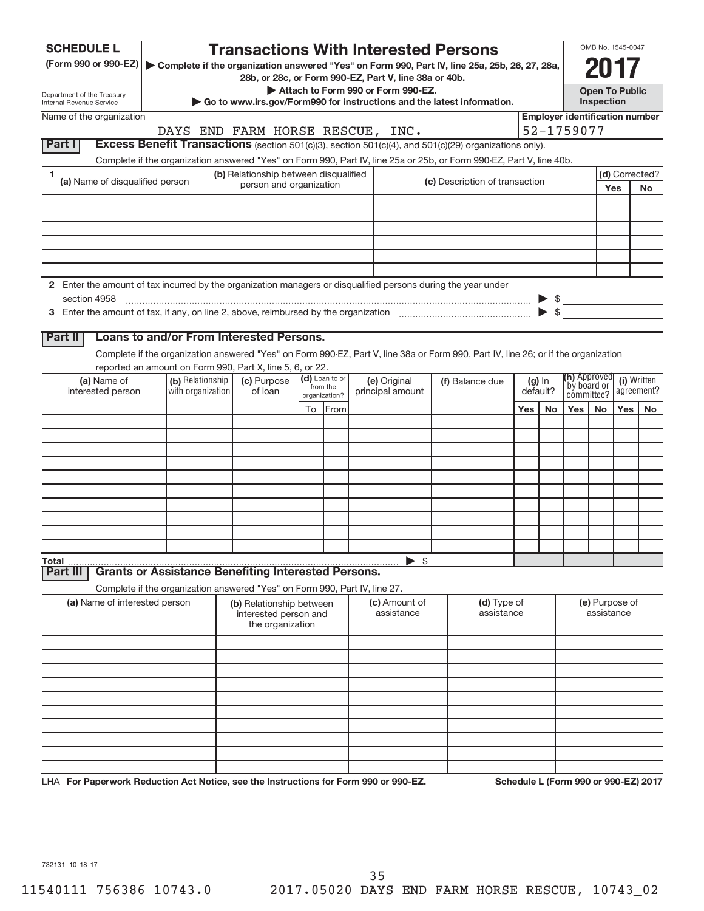| <b>SCHEDULE L</b>                                                                                                    |                                       | <b>Transactions With Interested Persons</b>                                                                                                |                |                |                                    |  |                                |     |                             |            | OMB No. 1545-0047         |       |                                       |
|----------------------------------------------------------------------------------------------------------------------|---------------------------------------|--------------------------------------------------------------------------------------------------------------------------------------------|----------------|----------------|------------------------------------|--|--------------------------------|-----|-----------------------------|------------|---------------------------|-------|---------------------------------------|
| (Form 990 or 990-EZ)   Complete if the organization answered "Yes" on Form 990, Part IV, line 25a, 25b, 26, 27, 28a, |                                       |                                                                                                                                            |                |                |                                    |  |                                |     |                             |            |                           |       |                                       |
| Department of the Treasury                                                                                           |                                       | 28b, or 28c, or Form 990-EZ, Part V, line 38a or 40b.                                                                                      |                |                | Attach to Form 990 or Form 990-EZ. |  |                                |     |                             |            | <b>Open To Public</b>     |       |                                       |
| Internal Revenue Service                                                                                             |                                       | ► Go to www.irs.gov/Form990 for instructions and the latest information.                                                                   |                |                |                                    |  |                                |     |                             |            | Inspection                |       |                                       |
| Name of the organization                                                                                             |                                       |                                                                                                                                            |                |                |                                    |  |                                |     |                             |            |                           |       | <b>Employer identification number</b> |
| Part I                                                                                                               |                                       | DAYS END FARM HORSE RESCUE, INC.<br>Excess Benefit Transactions (section 501(c)(3), section 501(c)(4), and 501(c)(29) organizations only). |                |                |                                    |  |                                |     |                             | 52-1759077 |                           |       |                                       |
|                                                                                                                      |                                       | Complete if the organization answered "Yes" on Form 990, Part IV, line 25a or 25b, or Form 990-EZ, Part V, line 40b.                       |                |                |                                    |  |                                |     |                             |            |                           |       |                                       |
| -1                                                                                                                   |                                       | (b) Relationship between disqualified                                                                                                      |                |                |                                    |  |                                |     |                             |            |                           |       | (d) Corrected?                        |
| (a) Name of disqualified person                                                                                      |                                       | person and organization                                                                                                                    |                |                |                                    |  | (c) Description of transaction |     |                             |            |                           | Yes   | <b>No</b>                             |
|                                                                                                                      |                                       |                                                                                                                                            |                |                |                                    |  |                                |     |                             |            |                           |       |                                       |
|                                                                                                                      |                                       |                                                                                                                                            |                |                |                                    |  |                                |     |                             |            |                           |       |                                       |
|                                                                                                                      |                                       |                                                                                                                                            |                |                |                                    |  |                                |     |                             |            |                           |       |                                       |
|                                                                                                                      |                                       |                                                                                                                                            |                |                |                                    |  |                                |     |                             |            |                           |       |                                       |
|                                                                                                                      |                                       |                                                                                                                                            |                |                |                                    |  |                                |     |                             |            |                           |       |                                       |
| 2 Enter the amount of tax incurred by the organization managers or disqualified persons during the year under        |                                       |                                                                                                                                            |                |                |                                    |  |                                |     |                             |            |                           |       |                                       |
|                                                                                                                      |                                       |                                                                                                                                            |                |                |                                    |  |                                |     |                             |            |                           |       |                                       |
|                                                                                                                      |                                       |                                                                                                                                            |                |                |                                    |  |                                |     |                             |            |                           |       |                                       |
| Part II                                                                                                              |                                       | <b>Loans to and/or From Interested Persons.</b>                                                                                            |                |                |                                    |  |                                |     |                             |            |                           |       |                                       |
|                                                                                                                      |                                       | Complete if the organization answered "Yes" on Form 990-EZ, Part V, line 38a or Form 990, Part IV, line 26; or if the organization         |                |                |                                    |  |                                |     |                             |            |                           |       |                                       |
|                                                                                                                      |                                       | reported an amount on Form 990, Part X, line 5, 6, or 22.                                                                                  |                |                |                                    |  |                                |     |                             |            |                           |       |                                       |
| (a) Name of<br>interested person                                                                                     | (b) Relationship<br>with organization | (c) Purpose<br>of loan                                                                                                                     | (d) Loan to or | from the       | (e) Original                       |  | (f) Balance due                |     | (h) Approved<br>by board or |            | (i) Written<br>agreement? |       |                                       |
|                                                                                                                      |                                       |                                                                                                                                            |                | organization?  | principal amount                   |  |                                |     | default?                    | committee? |                           | Yes I |                                       |
|                                                                                                                      |                                       |                                                                                                                                            |                | To <b>From</b> |                                    |  |                                | Yes | <b>No</b>                   | Yes        | <b>No</b>                 |       | <b>No</b>                             |
|                                                                                                                      |                                       |                                                                                                                                            |                |                |                                    |  |                                |     |                             |            |                           |       |                                       |
|                                                                                                                      |                                       |                                                                                                                                            |                |                |                                    |  |                                |     |                             |            |                           |       |                                       |
|                                                                                                                      |                                       |                                                                                                                                            |                |                |                                    |  |                                |     |                             |            |                           |       |                                       |
|                                                                                                                      |                                       |                                                                                                                                            |                |                |                                    |  |                                |     |                             |            |                           |       |                                       |
|                                                                                                                      |                                       |                                                                                                                                            |                |                |                                    |  |                                |     |                             |            |                           |       |                                       |
|                                                                                                                      |                                       |                                                                                                                                            |                |                |                                    |  |                                |     |                             |            |                           |       |                                       |
|                                                                                                                      |                                       |                                                                                                                                            |                |                |                                    |  |                                |     |                             |            |                           |       |                                       |
|                                                                                                                      |                                       |                                                                                                                                            |                |                |                                    |  |                                |     |                             |            |                           |       |                                       |
| Total                                                                                                                |                                       |                                                                                                                                            |                |                | $\triangleright$ \$                |  |                                |     |                             |            |                           |       |                                       |
| Part III                                                                                                             |                                       | <b>Grants or Assistance Benefiting Interested Persons.</b>                                                                                 |                |                |                                    |  |                                |     |                             |            |                           |       |                                       |
| (a) Name of interested person                                                                                        |                                       | Complete if the organization answered "Yes" on Form 990, Part IV, line 27.                                                                 |                |                | (c) Amount of                      |  | (d) Type of                    |     |                             |            | (e) Purpose of            |       |                                       |
|                                                                                                                      |                                       | (b) Relationship between<br>interested person and                                                                                          |                |                | assistance                         |  | assistance                     |     |                             |            | assistance                |       |                                       |
|                                                                                                                      |                                       | the organization                                                                                                                           |                |                |                                    |  |                                |     |                             |            |                           |       |                                       |
|                                                                                                                      |                                       |                                                                                                                                            |                |                |                                    |  |                                |     |                             |            |                           |       |                                       |
|                                                                                                                      |                                       |                                                                                                                                            |                |                |                                    |  |                                |     |                             |            |                           |       |                                       |
|                                                                                                                      |                                       |                                                                                                                                            |                |                |                                    |  |                                |     |                             |            |                           |       |                                       |
|                                                                                                                      |                                       |                                                                                                                                            |                |                |                                    |  |                                |     |                             |            |                           |       |                                       |
|                                                                                                                      |                                       |                                                                                                                                            |                |                |                                    |  |                                |     |                             |            |                           |       |                                       |
|                                                                                                                      |                                       |                                                                                                                                            |                |                |                                    |  |                                |     |                             |            |                           |       |                                       |
|                                                                                                                      |                                       |                                                                                                                                            |                |                |                                    |  |                                |     |                             |            |                           |       |                                       |
|                                                                                                                      |                                       |                                                                                                                                            |                |                |                                    |  |                                |     |                             |            |                           |       |                                       |
| LHA For Paperwork Reduction Act Notice, see the Instructions for Form 990 or 990-EZ.                                 |                                       |                                                                                                                                            |                |                |                                    |  |                                |     |                             |            |                           |       | Schedule L (Form 990 or 990-EZ) 2017  |

732131 10-18-17

35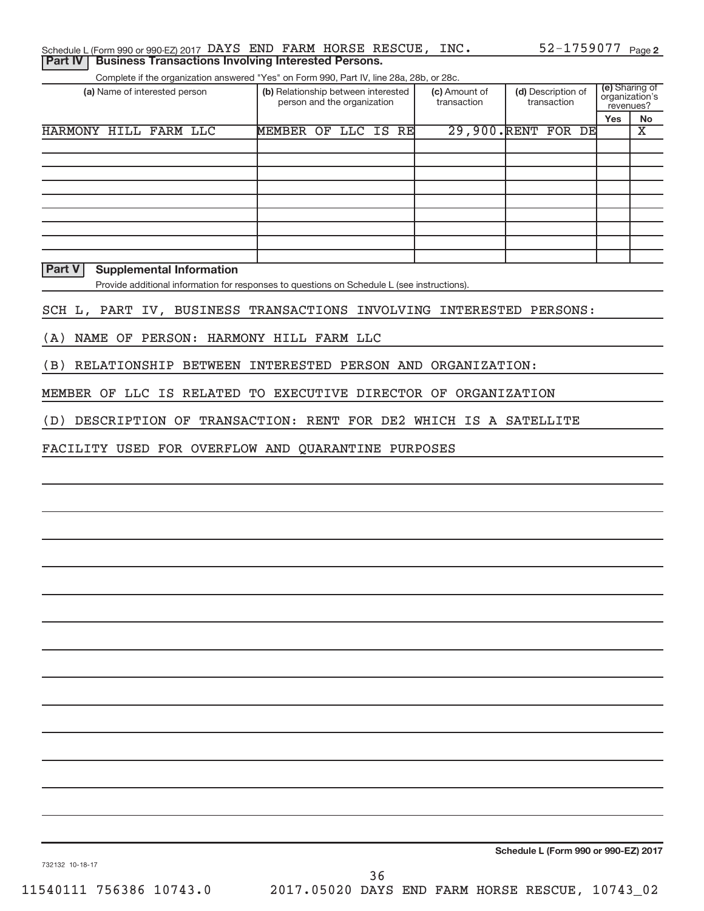| Schedule L (Form 990 or 990-EZ) 2017 DAYS END FARM HORSE RESCUE, INC. |  |  |  | 52-1759077 <sub>Page 2</sub> |  |
|-----------------------------------------------------------------------|--|--|--|------------------------------|--|
| <b>Part IV   Business Transactions Involving Interested Persons.</b>  |  |  |  |                              |  |

Complete if the organization answered "Yes" on Form 990, Part IV, line 28a, 28b, or 28c.

| (a) Name of interested person | (b) Relationship between interested<br>person and the organization |              |  | (c) Amount of<br>transaction | (d) Description of<br>transaction | (e) Sharing of<br>organization's<br>revenues? |           |
|-------------------------------|--------------------------------------------------------------------|--------------|--|------------------------------|-----------------------------------|-----------------------------------------------|-----------|
|                               |                                                                    |              |  |                              |                                   | Yes                                           | <b>No</b> |
| HARMONY HILL FARM LLC         | <b>MEMBER</b>                                                      | OF LLC IS RE |  | 29,900. RENT FOR DE          |                                   |                                               | х         |
|                               |                                                                    |              |  |                              |                                   |                                               |           |
|                               |                                                                    |              |  |                              |                                   |                                               |           |
|                               |                                                                    |              |  |                              |                                   |                                               |           |
|                               |                                                                    |              |  |                              |                                   |                                               |           |
|                               |                                                                    |              |  |                              |                                   |                                               |           |
|                               |                                                                    |              |  |                              |                                   |                                               |           |
|                               |                                                                    |              |  |                              |                                   |                                               |           |
|                               |                                                                    |              |  |                              |                                   |                                               |           |
|                               |                                                                    |              |  |                              |                                   |                                               |           |

**Part V Supplemental Information**

Provide additional information for responses to questions on Schedule L (see instructions).

SCH L, PART IV, BUSINESS TRANSACTIONS INVOLVING INTERESTED PERSONS:

(A) NAME OF PERSON: HARMONY HILL FARM LLC

(B) RELATIONSHIP BETWEEN INTERESTED PERSON AND ORGANIZATION:

MEMBER OF LLC IS RELATED TO EXECUTIVE DIRECTOR OF ORGANIZATION

(D) DESCRIPTION OF TRANSACTION: RENT FOR DE2 WHICH IS A SATELLITE

FACILITY USED FOR OVERFLOW AND QUARANTINE PURPOSES

**Schedule L (Form 990 or 990-EZ) 2017**

732132 10-18-17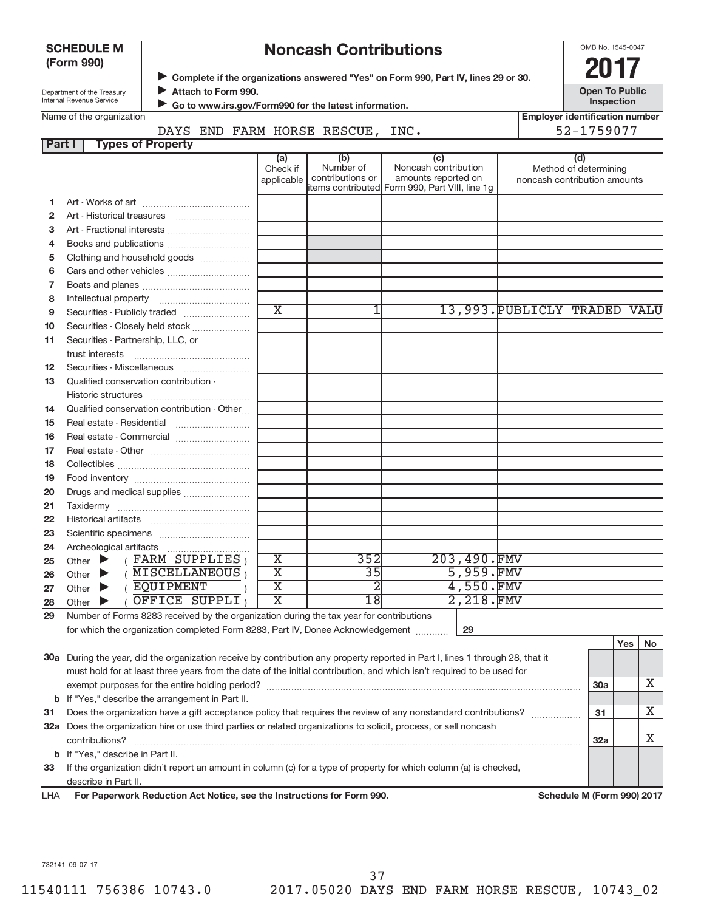| <b>SCHEDULE M</b><br>(Form 990) |                                                                                                                                |                          | <b>Noncash Contributions</b> |                               |                                                                                                                       | OMB No. 1545-0047                                  |  |                                                              |     |    |
|---------------------------------|--------------------------------------------------------------------------------------------------------------------------------|--------------------------|------------------------------|-------------------------------|-----------------------------------------------------------------------------------------------------------------------|----------------------------------------------------|--|--------------------------------------------------------------|-----|----|
|                                 | Department of the Treasury                                                                                                     | Attach to Form 990.      |                              |                               | Complete if the organizations answered "Yes" on Form 990, Part IV, lines 29 or 30.                                    |                                                    |  | <b>Open To Public</b>                                        |     |    |
|                                 | Internal Revenue Service                                                                                                       |                          |                              |                               | Go to www.irs.gov/Form990 for the latest information.                                                                 |                                                    |  | Inspection                                                   |     |    |
|                                 | Name of the organization                                                                                                       |                          |                              |                               |                                                                                                                       |                                                    |  | <b>Employer identification number</b>                        |     |    |
|                                 |                                                                                                                                |                          |                              |                               | DAYS END FARM HORSE RESCUE, INC.                                                                                      |                                                    |  | 52-1759077                                                   |     |    |
| <b>Part I</b>                   |                                                                                                                                | <b>Types of Property</b> |                              |                               |                                                                                                                       |                                                    |  |                                                              |     |    |
|                                 |                                                                                                                                |                          |                              | (a)<br>Check if<br>applicable | (b)<br>Number of<br>contributions or<br>items contributed Form 990, Part VIII, line 1g                                | (c)<br>Noncash contribution<br>amounts reported on |  | (d)<br>Method of determining<br>noncash contribution amounts |     |    |
| 1.                              |                                                                                                                                |                          |                              |                               |                                                                                                                       |                                                    |  |                                                              |     |    |
| 2                               |                                                                                                                                |                          |                              |                               |                                                                                                                       |                                                    |  |                                                              |     |    |
| з                               |                                                                                                                                |                          |                              |                               |                                                                                                                       |                                                    |  |                                                              |     |    |
| 4                               |                                                                                                                                |                          |                              |                               |                                                                                                                       |                                                    |  |                                                              |     |    |
| 5                               | Clothing and household goods                                                                                                   |                          |                              |                               |                                                                                                                       |                                                    |  |                                                              |     |    |
| 6                               |                                                                                                                                |                          |                              |                               |                                                                                                                       |                                                    |  |                                                              |     |    |
| 7                               |                                                                                                                                |                          |                              |                               |                                                                                                                       |                                                    |  |                                                              |     |    |
| 8                               |                                                                                                                                |                          |                              |                               |                                                                                                                       |                                                    |  |                                                              |     |    |
| 9                               |                                                                                                                                |                          |                              | $\overline{\textnormal{x}}$   | 1                                                                                                                     | 13,993. PUBLICLY TRADED VALU                       |  |                                                              |     |    |
| 10                              | Securities - Closely held stock                                                                                                |                          |                              |                               |                                                                                                                       |                                                    |  |                                                              |     |    |
| 11                              | Securities - Partnership, LLC, or                                                                                              |                          |                              |                               |                                                                                                                       |                                                    |  |                                                              |     |    |
|                                 | trust interests                                                                                                                |                          |                              |                               |                                                                                                                       |                                                    |  |                                                              |     |    |
| 12                              |                                                                                                                                |                          |                              |                               |                                                                                                                       |                                                    |  |                                                              |     |    |
| 13                              | Qualified conservation contribution -                                                                                          |                          |                              |                               |                                                                                                                       |                                                    |  |                                                              |     |    |
|                                 |                                                                                                                                |                          |                              |                               |                                                                                                                       |                                                    |  |                                                              |     |    |
| 14                              | Qualified conservation contribution - Other                                                                                    |                          |                              |                               |                                                                                                                       |                                                    |  |                                                              |     |    |
| 15                              |                                                                                                                                |                          |                              |                               |                                                                                                                       |                                                    |  |                                                              |     |    |
| 16                              |                                                                                                                                |                          |                              |                               |                                                                                                                       |                                                    |  |                                                              |     |    |
| 17                              |                                                                                                                                |                          |                              |                               |                                                                                                                       |                                                    |  |                                                              |     |    |
| 18                              |                                                                                                                                |                          |                              |                               |                                                                                                                       |                                                    |  |                                                              |     |    |
| 19                              |                                                                                                                                |                          |                              |                               |                                                                                                                       |                                                    |  |                                                              |     |    |
| 20<br>21                        | Drugs and medical supplies                                                                                                     |                          |                              |                               |                                                                                                                       |                                                    |  |                                                              |     |    |
| 22                              |                                                                                                                                |                          |                              |                               |                                                                                                                       |                                                    |  |                                                              |     |    |
| 23                              |                                                                                                                                |                          |                              |                               |                                                                                                                       |                                                    |  |                                                              |     |    |
| 24                              | Archeological artifacts                                                                                                        |                          |                              |                               |                                                                                                                       |                                                    |  |                                                              |     |    |
| 25                              | Other                                                                                                                          | FARM SUPPLIES            |                              | х                             | 352                                                                                                                   | 203,490.FMV                                        |  |                                                              |     |    |
| 26                              | Other                                                                                                                          | <b>MISCELLANEOUS</b>     |                              | $\overline{\text{X}}$         | $\overline{35}$                                                                                                       | 5,959.FMV                                          |  |                                                              |     |    |
| 27                              | Other                                                                                                                          | <b>EQUIPMENT</b>         |                              | $\overline{\text{X}}$         | 2                                                                                                                     | 4,550.FMV                                          |  |                                                              |     |    |
| 28                              | Other                                                                                                                          | OFFICE SUPPLI            |                              | $\overline{\textbf{X}}$       | $\overline{18}$                                                                                                       | 2,218.FMV                                          |  |                                                              |     |    |
| 29                              |                                                                                                                                |                          |                              |                               | Number of Forms 8283 received by the organization during the tax year for contributions                               |                                                    |  |                                                              |     |    |
|                                 |                                                                                                                                |                          |                              |                               | for which the organization completed Form 8283, Part IV, Donee Acknowledgement                                        | 29                                                 |  |                                                              |     |    |
|                                 |                                                                                                                                |                          |                              |                               |                                                                                                                       |                                                    |  |                                                              | Yes | No |
|                                 | 30a During the year, did the organization receive by contribution any property reported in Part I, lines 1 through 28, that it |                          |                              |                               |                                                                                                                       |                                                    |  |                                                              |     |    |
|                                 |                                                                                                                                |                          |                              |                               | must hold for at least three years from the date of the initial contribution, and which isn't required to be used for |                                                    |  |                                                              |     |    |
|                                 |                                                                                                                                |                          |                              |                               |                                                                                                                       |                                                    |  | 30a                                                          |     | х  |
|                                 | <b>b</b> If "Yes," describe the arrangement in Part II.                                                                        |                          |                              |                               |                                                                                                                       |                                                    |  |                                                              |     |    |
| 31                              |                                                                                                                                |                          |                              |                               | Does the organization have a gift acceptance policy that requires the review of any nonstandard contributions?        |                                                    |  | 31                                                           |     | X  |
|                                 | 32a Does the organization hire or use third parties or related organizations to solicit, process, or sell noncash              |                          |                              |                               |                                                                                                                       |                                                    |  |                                                              |     |    |
|                                 | contributions?                                                                                                                 |                          |                              |                               |                                                                                                                       |                                                    |  | 32a                                                          |     | х  |
|                                 | <b>b</b> If "Yes," describe in Part II.                                                                                        |                          |                              |                               |                                                                                                                       |                                                    |  |                                                              |     |    |
|                                 |                                                                                                                                |                          |                              |                               | 33 If the organization didn't report an amount in column (c) for a type of property for which column (a) is checked   |                                                    |  |                                                              |     |    |

**33** If the organization didn't report an amount in column (c) for a type of property for which column (a) is checked, describe in Part II.

LHA For Paperwork Reduction Act Notice, see the Instructions for Form 990. **Example 2017** Schedule M (Form 990) 2017

732141 09-07-17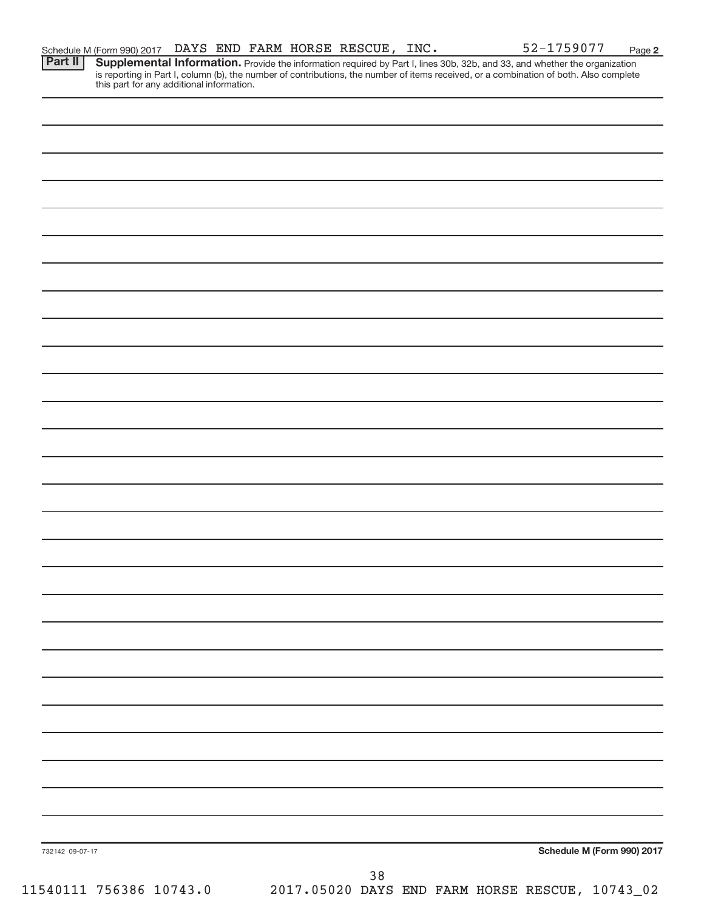**2**

Part II | Supplemental Information. Provide the information required by Part I, lines 30b, 32b, and 33, and whether the organization is reporting in Part I, column (b), the number of contributions, the number of items received, or a combination of both. Also complete this part for any additional information.

| 732142 09-07-17         |                                                       |  | Schedule M (Form 990) 2017 |
|-------------------------|-------------------------------------------------------|--|----------------------------|
|                         | 38<br>2017.05020 DAYS END FARM HORSE RESCUE, 10743_02 |  |                            |
| 11540111 756386 10743.0 |                                                       |  |                            |